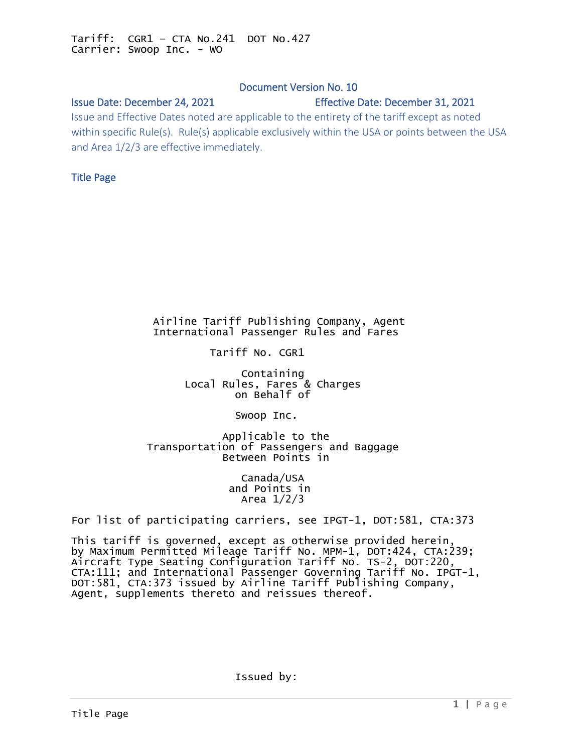# Document Version No. 10

# <span id="page-0-0"></span>Issue Date: December 24, 2021 Effective Date: December 31, 2021

Issue and Effective Dates noted are applicable to the entirety of the tariff except as noted within specific Rule(s). Rule(s) applicable exclusively within the USA or points between the USA and Area 1/2/3 are effective immediately.

# Title Page

## Airline Tariff Publishing Company, Agent International Passenger Rules and Fares

Tariff No. CGR1

 Containing Local Rules, Fares & Charges on Behalf of

Swoop Inc.

 Applicable to the Transportation of Passengers and Baggage Between Points in

> Canada/USA and Points in Area 1/2/3

For list of participating carriers, see IPGT-1, DOT:581, CTA:373

This tariff is governed, except as otherwise provided herein, by Maximum Permitted Mileage Tariff No. MPM-1, DOT:424, CTA:239; Aircraft Type Seating Configuration Tariff No. TS-2, DOT:220, CTA:111; and International Passenger Governing Tariff No. IPGT-1, DOT:581, CTA:373 issued by Airline Tariff Publishing Company, Agent, supplements thereto and reissues thereof.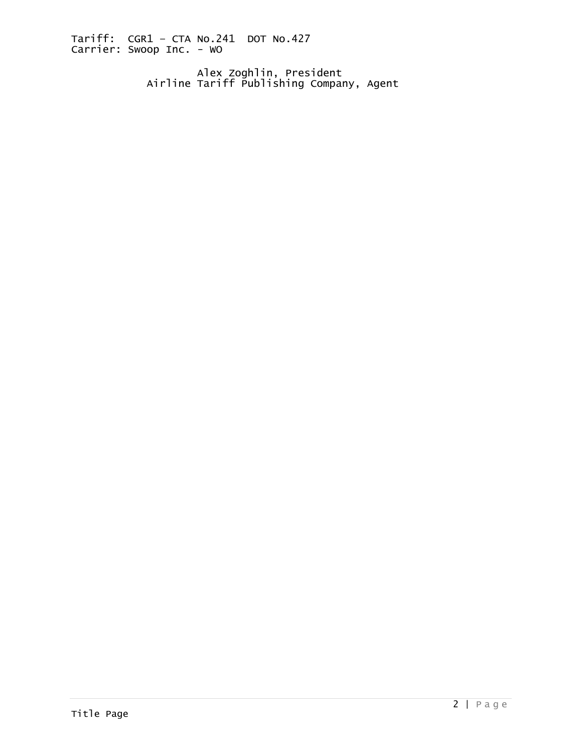Alex Zoghlin, President Airline Tariff Publishing Company, Agent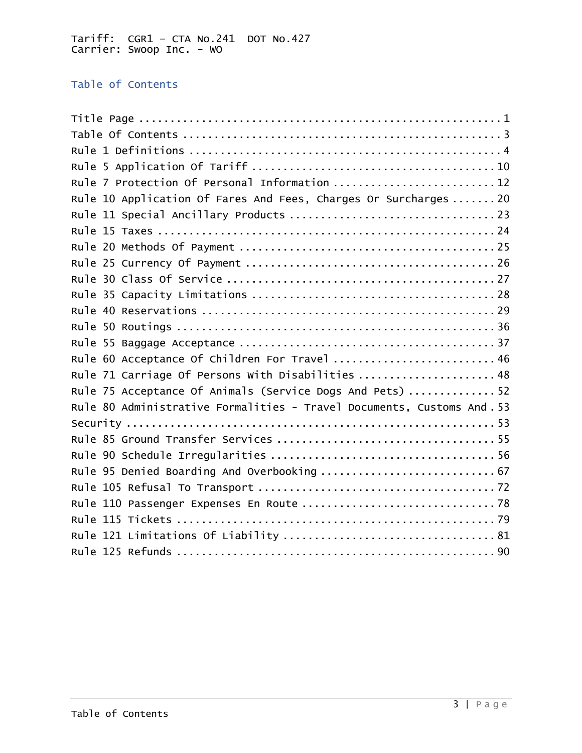# <span id="page-2-0"></span>Table of Contents

| Rule 7 Protection Of Personal Information  12                          |  |  |  |  |
|------------------------------------------------------------------------|--|--|--|--|
| Rule 10 Application Of Fares And Fees, Charges Or Surcharges  20       |  |  |  |  |
|                                                                        |  |  |  |  |
|                                                                        |  |  |  |  |
|                                                                        |  |  |  |  |
|                                                                        |  |  |  |  |
|                                                                        |  |  |  |  |
|                                                                        |  |  |  |  |
|                                                                        |  |  |  |  |
|                                                                        |  |  |  |  |
|                                                                        |  |  |  |  |
| Rule 60 Acceptance Of Children For Travel  46                          |  |  |  |  |
| Rule 71 Carriage Of Persons With Disabilities  48                      |  |  |  |  |
| Rule 75 Acceptance Of Animals (Service Dogs And Pets)  52              |  |  |  |  |
| Rule 80 Administrative Formalities - Travel Documents, Customs And. 53 |  |  |  |  |
|                                                                        |  |  |  |  |
|                                                                        |  |  |  |  |
|                                                                        |  |  |  |  |
| Rule 95 Denied Boarding And Overbooking  67                            |  |  |  |  |
|                                                                        |  |  |  |  |
|                                                                        |  |  |  |  |
|                                                                        |  |  |  |  |
|                                                                        |  |  |  |  |
|                                                                        |  |  |  |  |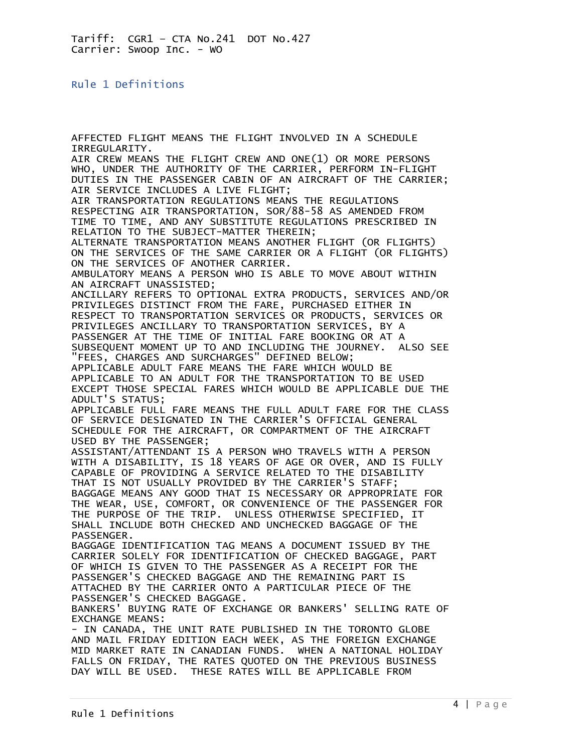<span id="page-3-0"></span>Rule 1 Definitions

AFFECTED FLIGHT MEANS THE FLIGHT INVOLVED IN A SCHEDULE IRREGULARITY. AIR CREW MEANS THE FLIGHT CREW AND ONE(1) OR MORE PERSONS WHO, UNDER THE AUTHORITY OF THE CARRIER, PERFORM IN-FLIGHT DUTIES IN THE PASSENGER CABIN OF AN AIRCRAFT OF THE CARRIER; AIR SERVICE INCLUDES A LIVE FLIGHT; AIR TRANSPORTATION REGULATIONS MEANS THE REGULATIONS RESPECTING AIR TRANSPORTATION, SOR/88-58 AS AMENDED FROM TIME TO TIME, AND ANY SUBSTITUTE REGULATIONS PRESCRIBED IN RELATION TO THE SUBJECT-MATTER THEREIN; ALTERNATE TRANSPORTATION MEANS ANOTHER FLIGHT (OR FLIGHTS) ON THE SERVICES OF THE SAME CARRIER OR A FLIGHT (OR FLIGHTS) ON THE SERVICES OF ANOTHER CARRIER. AMBULATORY MEANS A PERSON WHO IS ABLE TO MOVE ABOUT WITHIN AN AIRCRAFT UNASSISTED; ANCILLARY REFERS TO OPTIONAL EXTRA PRODUCTS, SERVICES AND/OR PRIVILEGES DISTINCT FROM THE FARE, PURCHASED EITHER IN RESPECT TO TRANSPORTATION SERVICES OR PRODUCTS, SERVICES OR PRIVILEGES ANCILLARY TO TRANSPORTATION SERVICES, BY A PASSENGER AT THE TIME OF INITIAL FARE BOOKING OR AT A SUBSEQUENT MOMENT UP TO AND INCLUDING THE JOURNEY. ALSO SEE "FEES, CHARGES AND SURCHARGES" DEFINED BELOW; APPLICABLE ADULT FARE MEANS THE FARE WHICH WOULD BE APPLICABLE TO AN ADULT FOR THE TRANSPORTATION TO BE USED EXCEPT THOSE SPECIAL FARES WHICH WOULD BE APPLICABLE DUE THE ADULT'S STATUS; APPLICABLE FULL FARE MEANS THE FULL ADULT FARE FOR THE CLASS OF SERVICE DESIGNATED IN THE CARRIER'S OFFICIAL GENERAL SCHEDULE FOR THE AIRCRAFT, OR COMPARTMENT OF THE AIRCRAFT USED BY THE PASSENGER; ASSISTANT/ATTENDANT IS A PERSON WHO TRAVELS WITH A PERSON WITH A DISABILITY, IS 18 YEARS OF AGE OR OVER, AND IS FULLY CAPABLE OF PROVIDING A SERVICE RELATED TO THE DISABILITY THAT IS NOT USUALLY PROVIDED BY THE CARRIER'S STAFF; BAGGAGE MEANS ANY GOOD THAT IS NECESSARY OR APPROPRIATE FOR THE WEAR, USE, COMFORT, OR CONVENIENCE OF THE PASSENGER FOR THE PURPOSE OF THE TRIP. UNLESS OTHERWISE SPECIFIED, IT SHALL INCLUDE BOTH CHECKED AND UNCHECKED BAGGAGE OF THE PASSENGER. BAGGAGE IDENTIFICATION TAG MEANS A DOCUMENT ISSUED BY THE CARRIER SOLELY FOR IDENTIFICATION OF CHECKED BAGGAGE, PART OF WHICH IS GIVEN TO THE PASSENGER AS A RECEIPT FOR THE PASSENGER'S CHECKED BAGGAGE AND THE REMAINING PART IS ATTACHED BY THE CARRIER ONTO A PARTICULAR PIECE OF THE PASSENGER'S CHECKED BAGGAGE. BANKERS' BUYING RATE OF EXCHANGE OR BANKERS' SELLING RATE OF EXCHANGE MEANS: - IN CANADA, THE UNIT RATE PUBLISHED IN THE TORONTO GLOBE AND MAIL FRIDAY EDITION EACH WEEK, AS THE FOREIGN EXCHANGE MID MARKET RATE IN CANADIAN FUNDS. WHEN A NATIONAL HOLIDAY FALLS ON FRIDAY, THE RATES QUOTED ON THE PREVIOUS BUSINESS DAY WILL BE USED. THESE RATES WILL BE APPLICABLE FROM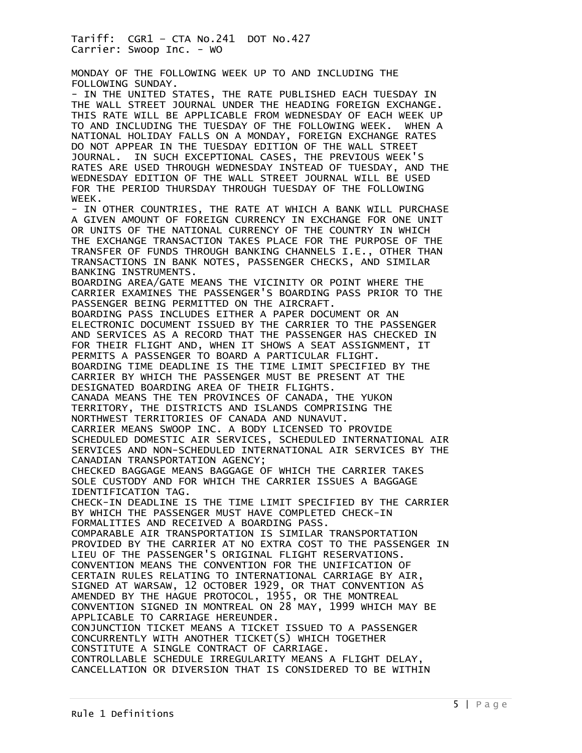MONDAY OF THE FOLLOWING WEEK UP TO AND INCLUDING THE FOLLOWING SUNDAY.

- IN THE UNITED STATES, THE RATE PUBLISHED EACH TUESDAY IN THE WALL STREET JOURNAL UNDER THE HEADING FOREIGN EXCHANGE. THIS RATE WILL BE APPLICABLE FROM WEDNESDAY OF EACH WEEK UP TO AND INCLUDING THE TUESDAY OF THE FOLLOWING WEEK. WHEN A NATIONAL HOLIDAY FALLS ON A MONDAY, FOREIGN EXCHANGE RATES DO NOT APPEAR IN THE TUESDAY EDITION OF THE WALL STREET JOURNAL. IN SUCH EXCEPTIONAL CASES, THE PREVIOUS WEEK'S RATES ARE USED THROUGH WEDNESDAY INSTEAD OF TUESDAY, AND THE WEDNESDAY EDITION OF THE WALL STREET JOURNAL WILL BE USED FOR THE PERIOD THURSDAY THROUGH TUESDAY OF THE FOLLOWING WEEK.

- IN OTHER COUNTRIES, THE RATE AT WHICH A BANK WILL PURCHASE A GIVEN AMOUNT OF FOREIGN CURRENCY IN EXCHANGE FOR ONE UNIT OR UNITS OF THE NATIONAL CURRENCY OF THE COUNTRY IN WHICH THE EXCHANGE TRANSACTION TAKES PLACE FOR THE PURPOSE OF THE TRANSFER OF FUNDS THROUGH BANKING CHANNELS I.E., OTHER THAN TRANSACTIONS IN BANK NOTES, PASSENGER CHECKS, AND SIMILAR BANKING INSTRUMENTS.

BOARDING AREA/GATE MEANS THE VICINITY OR POINT WHERE THE CARRIER EXAMINES THE PASSENGER'S BOARDING PASS PRIOR TO THE PASSENGER BEING PERMITTED ON THE AIRCRAFT.

BOARDING PASS INCLUDES EITHER A PAPER DOCUMENT OR AN ELECTRONIC DOCUMENT ISSUED BY THE CARRIER TO THE PASSENGER AND SERVICES AS A RECORD THAT THE PASSENGER HAS CHECKED IN FOR THEIR FLIGHT AND, WHEN IT SHOWS A SEAT ASSIGNMENT, IT PERMITS A PASSENGER TO BOARD A PARTICULAR FLIGHT. BOARDING TIME DEADLINE IS THE TIME LIMIT SPECIFIED BY THE CARRIER BY WHICH THE PASSENGER MUST BE PRESENT AT THE

DESIGNATED BOARDING AREA OF THEIR FLIGHTS.

CANADA MEANS THE TEN PROVINCES OF CANADA, THE YUKON TERRITORY, THE DISTRICTS AND ISLANDS COMPRISING THE NORTHWEST TERRITORIES OF CANADA AND NUNAVUT.

CARRIER MEANS SWOOP INC. A BODY LICENSED TO PROVIDE SCHEDULED DOMESTIC AIR SERVICES, SCHEDULED INTERNATIONAL AIR SERVICES AND NON-SCHEDULED INTERNATIONAL AIR SERVICES BY THE CANADIAN TRANSPORTATION AGENCY;

CHECKED BAGGAGE MEANS BAGGAGE OF WHICH THE CARRIER TAKES SOLE CUSTODY AND FOR WHICH THE CARRIER ISSUES A BAGGAGE IDENTIFICATION TAG.

CHECK-IN DEADLINE IS THE TIME LIMIT SPECIFIED BY THE CARRIER BY WHICH THE PASSENGER MUST HAVE COMPLETED CHECK-IN FORMALITIES AND RECEIVED A BOARDING PASS.

COMPARABLE AIR TRANSPORTATION IS SIMILAR TRANSPORTATION PROVIDED BY THE CARRIER AT NO EXTRA COST TO THE PASSENGER IN LIEU OF THE PASSENGER'S ORIGINAL FLIGHT RESERVATIONS. CONVENTION MEANS THE CONVENTION FOR THE UNIFICATION OF CERTAIN RULES RELATING TO INTERNATIONAL CARRIAGE BY AIR, SIGNED AT WARSAW, 12 OCTOBER 1929, OR THAT CONVENTION AS AMENDED BY THE HAGUE PROTOCOL, 1955, OR THE MONTREAL CONVENTION SIGNED IN MONTREAL ON 28 MAY, 1999 WHICH MAY BE APPLICABLE TO CARRIAGE HEREUNDER. CONJUNCTION TICKET MEANS A TICKET ISSUED TO A PASSENGER CONCURRENTLY WITH ANOTHER TICKET(S) WHICH TOGETHER CONSTITUTE A SINGLE CONTRACT OF CARRIAGE. CONTROLLABLE SCHEDULE IRREGULARITY MEANS A FLIGHT DELAY, CANCELLATION OR DIVERSION THAT IS CONSIDERED TO BE WITHIN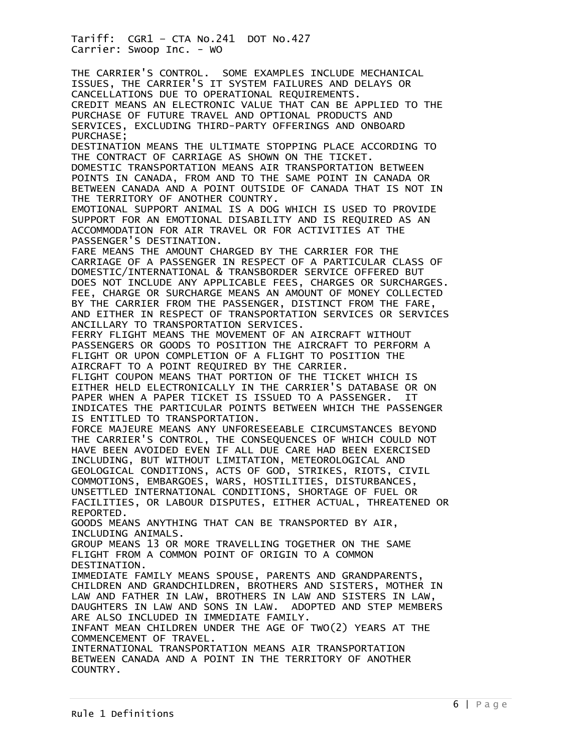THE CARRIER'S CONTROL. SOME EXAMPLES INCLUDE MECHANICAL ISSUES, THE CARRIER'S IT SYSTEM FAILURES AND DELAYS OR CANCELLATIONS DUE TO OPERATIONAL REQUIREMENTS. CREDIT MEANS AN ELECTRONIC VALUE THAT CAN BE APPLIED TO THE PURCHASE OF FUTURE TRAVEL AND OPTIONAL PRODUCTS AND SERVICES, EXCLUDING THIRD-PARTY OFFERINGS AND ONBOARD PURCHASE; DESTINATION MEANS THE ULTIMATE STOPPING PLACE ACCORDING TO THE CONTRACT OF CARRIAGE AS SHOWN ON THE TICKET. DOMESTIC TRANSPORTATION MEANS AIR TRANSPORTATION BETWEEN POINTS IN CANADA, FROM AND TO THE SAME POINT IN CANADA OR BETWEEN CANADA AND A POINT OUTSIDE OF CANADA THAT IS NOT IN THE TERRITORY OF ANOTHER COUNTRY. EMOTIONAL SUPPORT ANIMAL IS A DOG WHICH IS USED TO PROVIDE SUPPORT FOR AN EMOTIONAL DISABILITY AND IS REQUIRED AS AN ACCOMMODATION FOR AIR TRAVEL OR FOR ACTIVITIES AT THE PASSENGER'S DESTINATION. FARE MEANS THE AMOUNT CHARGED BY THE CARRIER FOR THE CARRIAGE OF A PASSENGER IN RESPECT OF A PARTICULAR CLASS OF DOMESTIC/INTERNATIONAL & TRANSBORDER SERVICE OFFERED BUT DOES NOT INCLUDE ANY APPLICABLE FEES, CHARGES OR SURCHARGES. FEE, CHARGE OR SURCHARGE MEANS AN AMOUNT OF MONEY COLLECTED BY THE CARRIER FROM THE PASSENGER, DISTINCT FROM THE FARE, AND EITHER IN RESPECT OF TRANSPORTATION SERVICES OR SERVICES ANCILLARY TO TRANSPORTATION SERVICES. FERRY FLIGHT MEANS THE MOVEMENT OF AN AIRCRAFT WITHOUT PASSENGERS OR GOODS TO POSITION THE AIRCRAFT TO PERFORM A FLIGHT OR UPON COMPLETION OF A FLIGHT TO POSITION THE AIRCRAFT TO A POINT REQUIRED BY THE CARRIER. FLIGHT COUPON MEANS THAT PORTION OF THE TICKET WHICH IS EITHER HELD ELECTRONICALLY IN THE CARRIER'S DATABASE OR ON PAPER WHEN A PAPER TICKET IS ISSUED TO A PASSENGER. IT INDICATES THE PARTICULAR POINTS BETWEEN WHICH THE PASSENGER IS ENTITLED TO TRANSPORTATION. FORCE MAJEURE MEANS ANY UNFORESEEABLE CIRCUMSTANCES BEYOND THE CARRIER'S CONTROL, THE CONSEQUENCES OF WHICH COULD NOT HAVE BEEN AVOIDED EVEN IF ALL DUE CARE HAD BEEN EXERCISED INCLUDING, BUT WITHOUT LIMITATION, METEOROLOGICAL AND GEOLOGICAL CONDITIONS, ACTS OF GOD, STRIKES, RIOTS, CIVIL COMMOTIONS, EMBARGOES, WARS, HOSTILITIES, DISTURBANCES, UNSETTLED INTERNATIONAL CONDITIONS, SHORTAGE OF FUEL OR FACILITIES, OR LABOUR DISPUTES, EITHER ACTUAL, THREATENED OR REPORTED. GOODS MEANS ANYTHING THAT CAN BE TRANSPORTED BY AIR, INCLUDING ANIMALS. GROUP MEANS 13 OR MORE TRAVELLING TOGETHER ON THE SAME FLIGHT FROM A COMMON POINT OF ORIGIN TO A COMMON DESTINATION. IMMEDIATE FAMILY MEANS SPOUSE, PARENTS AND GRANDPARENTS, CHILDREN AND GRANDCHILDREN, BROTHERS AND SISTERS, MOTHER IN LAW AND FATHER IN LAW, BROTHERS IN LAW AND SISTERS IN LAW, DAUGHTERS IN LAW AND SONS IN LAW. ADOPTED AND STEP MEMBERS ARE ALSO INCLUDED IN IMMEDIATE FAMILY. INFANT MEAN CHILDREN UNDER THE AGE OF TWO(2) YEARS AT THE COMMENCEMENT OF TRAVEL. INTERNATIONAL TRANSPORTATION MEANS AIR TRANSPORTATION BETWEEN CANADA AND A POINT IN THE TERRITORY OF ANOTHER COUNTRY.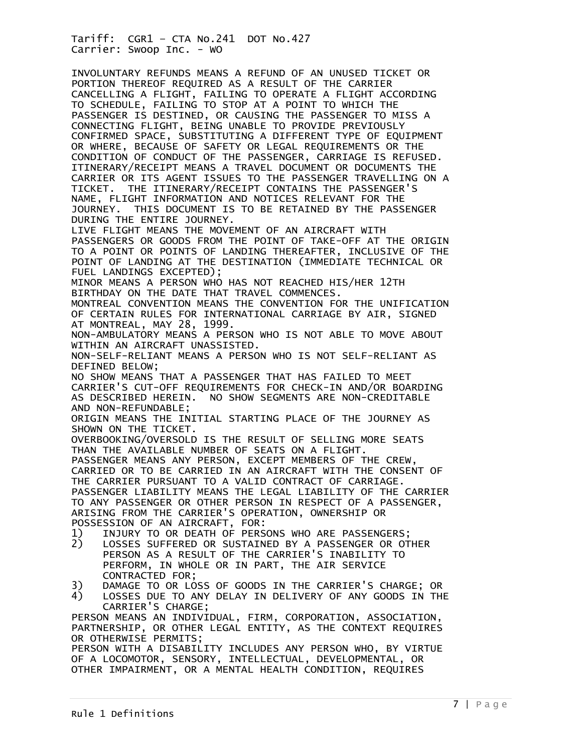INVOLUNTARY REFUNDS MEANS A REFUND OF AN UNUSED TICKET OR PORTION THEREOF REQUIRED AS A RESULT OF THE CARRIER CANCELLING A FLIGHT, FAILING TO OPERATE A FLIGHT ACCORDING TO SCHEDULE, FAILING TO STOP AT A POINT TO WHICH THE PASSENGER IS DESTINED, OR CAUSING THE PASSENGER TO MISS A CONNECTING FLIGHT, BEING UNABLE TO PROVIDE PREVIOUSLY CONFIRMED SPACE, SUBSTITUTING A DIFFERENT TYPE OF EQUIPMENT OR WHERE, BECAUSE OF SAFETY OR LEGAL REQUIREMENTS OR THE CONDITION OF CONDUCT OF THE PASSENGER, CARRIAGE IS REFUSED. ITINERARY/RECEIPT MEANS A TRAVEL DOCUMENT OR DOCUMENTS THE CARRIER OR ITS AGENT ISSUES TO THE PASSENGER TRAVELLING ON A TICKET. THE ITINERARY/RECEIPT CONTAINS THE PASSENGER'S NAME, FLIGHT INFORMATION AND NOTICES RELEVANT FOR THE JOURNEY. THIS DOCUMENT IS TO BE RETAINED BY THE PASSENGER DURING THE ENTIRE JOURNEY. LIVE FLIGHT MEANS THE MOVEMENT OF AN AIRCRAFT WITH PASSENGERS OR GOODS FROM THE POINT OF TAKE-OFF AT THE ORIGIN TO A POINT OR POINTS OF LANDING THEREAFTER, INCLUSIVE OF THE POINT OF LANDING AT THE DESTINATION (IMMEDIATE TECHNICAL OR FUEL LANDINGS EXCEPTED); MINOR MEANS A PERSON WHO HAS NOT REACHED HIS/HER 12TH BIRTHDAY ON THE DATE THAT TRAVEL COMMENCES. MONTREAL CONVENTION MEANS THE CONVENTION FOR THE UNIFICATION OF CERTAIN RULES FOR INTERNATIONAL CARRIAGE BY AIR, SIGNED AT MONTREAL, MAY 28, 1999. NON-AMBULATORY MEANS A PERSON WHO IS NOT ABLE TO MOVE ABOUT WITHIN AN AIRCRAFT UNASSISTED. NON-SELF-RELIANT MEANS A PERSON WHO IS NOT SELF-RELIANT AS DEFINED BELOW; NO SHOW MEANS THAT A PASSENGER THAT HAS FAILED TO MEET CARRIER'S CUT-OFF REQUIREMENTS FOR CHECK-IN AND/OR BOARDING AS DESCRIBED HEREIN. NO SHOW SEGMENTS ARE NON-CREDITABLE AND NON-REFUNDABLE; ORIGIN MEANS THE INITIAL STARTING PLACE OF THE JOURNEY AS SHOWN ON THE TICKET. OVERBOOKING/OVERSOLD IS THE RESULT OF SELLING MORE SEATS THAN THE AVAILABLE NUMBER OF SEATS ON A FLIGHT. PASSENGER MEANS ANY PERSON, EXCEPT MEMBERS OF THE CREW, CARRIED OR TO BE CARRIED IN AN AIRCRAFT WITH THE CONSENT OF THE CARRIER PURSUANT TO A VALID CONTRACT OF CARRIAGE. PASSENGER LIABILITY MEANS THE LEGAL LIABILITY OF THE CARRIER TO ANY PASSENGER OR OTHER PERSON IN RESPECT OF A PASSENGER, ARISING FROM THE CARRIER'S OPERATION, OWNERSHIP OR POSSESSION OF AN AIRCRAFT, FOR: 1) INJURY TO OR DEATH OF PERSONS WHO ARE PASSENGERS; LOSSES SUFFERED OR SUSTAINED BY A PASSENGER OR OTHER PERSON AS A RESULT OF THE CARRIER'S INABILITY TO PERFORM, IN WHOLE OR IN PART, THE AIR SERVICE CONTRACTED FOR;<br>3) DAMAGE TO OR LO 3) DAMAGE TO OR LOSS OF GOODS IN THE CARRIER'S CHARGE; OR<br>4) LOSSES DUE TO ANY DELAY IN DELIVERY OF ANY GOODS IN TH LOSSES DUE TO ANY DELAY IN DELIVERY OF ANY GOODS IN THE CARRIER'S CHARGE; PERSON MEANS AN INDIVIDUAL, FIRM, CORPORATION, ASSOCIATION, PARTNERSHIP, OR OTHER LEGAL ENTITY, AS THE CONTEXT REQUIRES

OR OTHERWISE PERMITS; PERSON WITH A DISABILITY INCLUDES ANY PERSON WHO, BY VIRTUE OF A LOCOMOTOR, SENSORY, INTELLECTUAL, DEVELOPMENTAL, OR OTHER IMPAIRMENT, OR A MENTAL HEALTH CONDITION, REQUIRES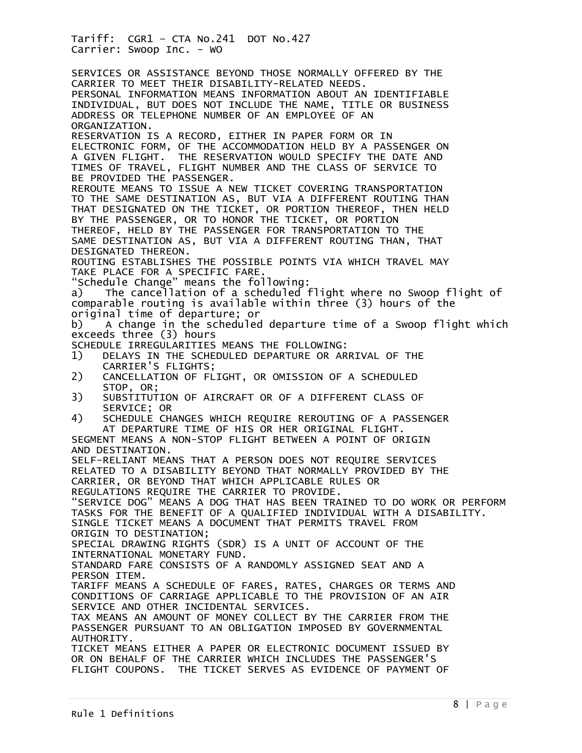SERVICES OR ASSISTANCE BEYOND THOSE NORMALLY OFFERED BY THE CARRIER TO MEET THEIR DISABILITY-RELATED NEEDS. PERSONAL INFORMATION MEANS INFORMATION ABOUT AN IDENTIFIABLE INDIVIDUAL, BUT DOES NOT INCLUDE THE NAME, TITLE OR BUSINESS ADDRESS OR TELEPHONE NUMBER OF AN EMPLOYEE OF AN ORGANIZATION. RESERVATION IS A RECORD, EITHER IN PAPER FORM OR IN ELECTRONIC FORM, OF THE ACCOMMODATION HELD BY A PASSENGER ON A GIVEN FLIGHT. THE RESERVATION WOULD SPECIFY THE DATE AND TIMES OF TRAVEL, FLIGHT NUMBER AND THE CLASS OF SERVICE TO BE PROVIDED THE PASSENGER. REROUTE MEANS TO ISSUE A NEW TICKET COVERING TRANSPORTATION TO THE SAME DESTINATION AS, BUT VIA A DIFFERENT ROUTING THAN THAT DESIGNATED ON THE TICKET, OR PORTION THEREOF, THEN HELD BY THE PASSENGER, OR TO HONOR THE TICKET, OR PORTION THEREOF, HELD BY THE PASSENGER FOR TRANSPORTATION TO THE SAME DESTINATION AS, BUT VIA A DIFFERENT ROUTING THAN, THAT DESIGNATED THEREON. ROUTING ESTABLISHES THE POSSIBLE POINTS VIA WHICH TRAVEL MAY TAKE PLACE FOR A SPECIFIC FARE. "Schedule Change" means the following: a) The cancellation of a scheduled flight where no Swoop flight of comparable routing is available within three (3) hours of the original time of departure; or b) A change in the scheduled departure time of a Swoop flight which exceeds three (3) hours SCHEDULE IRREGULARITIES MEANS THE FOLLOWING: 1) DELAYS IN THE SCHEDULED DEPARTURE OR ARRIVAL OF THE CARRIER'S FLIGHTS;<br>2) CANCELLATION OF FL 2) CANCELLATION OF FLIGHT, OR OMISSION OF A SCHEDULED STOP, OR;<br>3) SUBSTITUT 3) SUBSTITUTION OF AIRCRAFT OR OF A DIFFERENT CLASS OF SERVICE; OR<br>(4) SCHEDULE CH 4) SCHEDULE CHANGES WHICH REQUIRE REROUTING OF A PASSENGER AT DEPARTURE TIME OF HIS OR HER ORIGINAL FLIGHT. SEGMENT MEANS A NON-STOP FLIGHT BETWEEN A POINT OF ORIGIN AND DESTINATION. SELF-RELIANT MEANS THAT A PERSON DOES NOT REQUIRE SERVICES RELATED TO A DISABILITY BEYOND THAT NORMALLY PROVIDED BY THE CARRIER, OR BEYOND THAT WHICH APPLICABLE RULES OR REGULATIONS REQUIRE THE CARRIER TO PROVIDE. "SERVICE DOG" MEANS A DOG THAT HAS BEEN TRAINED TO DO WORK OR PERFORM TASKS FOR THE BENEFIT OF A QUALIFIED INDIVIDUAL WITH A DISABILITY. SINGLE TICKET MEANS A DOCUMENT THAT PERMITS TRAVEL FROM ORIGIN TO DESTINATION; SPECIAL DRAWING RIGHTS (SDR) IS A UNIT OF ACCOUNT OF THE INTERNATIONAL MONETARY FUND. STANDARD FARE CONSISTS OF A RANDOMLY ASSIGNED SEAT AND A PERSON ITEM. TARIFF MEANS A SCHEDULE OF FARES, RATES, CHARGES OR TERMS AND CONDITIONS OF CARRIAGE APPLICABLE TO THE PROVISION OF AN AIR SERVICE AND OTHER INCIDENTAL SERVICES. TAX MEANS AN AMOUNT OF MONEY COLLECT BY THE CARRIER FROM THE PASSENGER PURSUANT TO AN OBLIGATION IMPOSED BY GOVERNMENTAL AUTHORITY. TICKET MEANS EITHER A PAPER OR ELECTRONIC DOCUMENT ISSUED BY OR ON BEHALF OF THE CARRIER WHICH INCLUDES THE PASSENGER'S FLIGHT COUPONS. THE TICKET SERVES AS EVIDENCE OF PAYMENT OF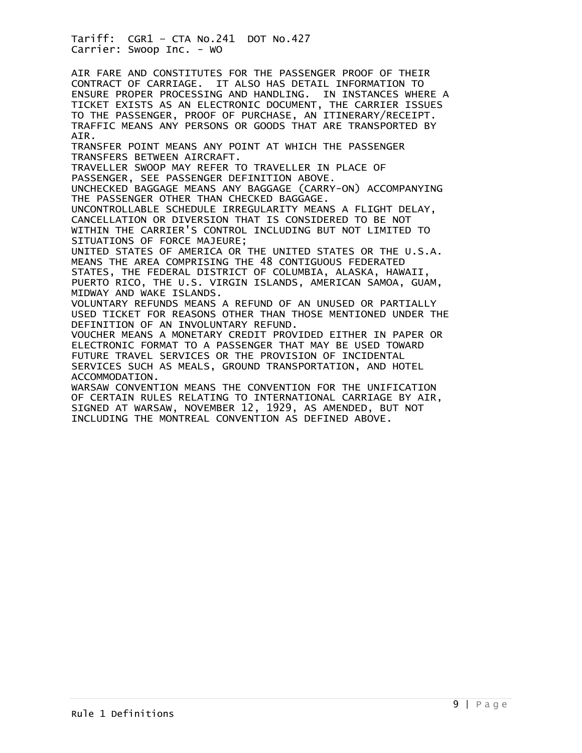AIR FARE AND CONSTITUTES FOR THE PASSENGER PROOF OF THEIR CONTRACT OF CARRIAGE. IT ALSO HAS DETAIL INFORMATION TO ENSURE PROPER PROCESSING AND HANDLING. IN INSTANCES WHERE A TICKET EXISTS AS AN ELECTRONIC DOCUMENT, THE CARRIER ISSUES TO THE PASSENGER, PROOF OF PURCHASE, AN ITINERARY/RECEIPT. TRAFFIC MEANS ANY PERSONS OR GOODS THAT ARE TRANSPORTED BY AIR. TRANSFER POINT MEANS ANY POINT AT WHICH THE PASSENGER TRANSFERS BETWEEN AIRCRAFT. TRAVELLER SWOOP MAY REFER TO TRAVELLER IN PLACE OF PASSENGER, SEE PASSENGER DEFINITION ABOVE. UNCHECKED BAGGAGE MEANS ANY BAGGAGE (CARRY-ON) ACCOMPANYING THE PASSENGER OTHER THAN CHECKED BAGGAGE. UNCONTROLLABLE SCHEDULE IRREGULARITY MEANS A FLIGHT DELAY, CANCELLATION OR DIVERSION THAT IS CONSIDERED TO BE NOT WITHIN THE CARRIER'S CONTROL INCLUDING BUT NOT LIMITED TO SITUATIONS OF FORCE MAJEURE; UNITED STATES OF AMERICA OR THE UNITED STATES OR THE U.S.A. MEANS THE AREA COMPRISING THE 48 CONTIGUOUS FEDERATED STATES, THE FEDERAL DISTRICT OF COLUMBIA, ALASKA, HAWAII, PUERTO RICO, THE U.S. VIRGIN ISLANDS, AMERICAN SAMOA, GUAM, MIDWAY AND WAKE ISLANDS. VOLUNTARY REFUNDS MEANS A REFUND OF AN UNUSED OR PARTIALLY USED TICKET FOR REASONS OTHER THAN THOSE MENTIONED UNDER THE DEFINITION OF AN INVOLUNTARY REFUND. VOUCHER MEANS A MONETARY CREDIT PROVIDED EITHER IN PAPER OR ELECTRONIC FORMAT TO A PASSENGER THAT MAY BE USED TOWARD FUTURE TRAVEL SERVICES OR THE PROVISION OF INCIDENTAL SERVICES SUCH AS MEALS, GROUND TRANSPORTATION, AND HOTEL ACCOMMODATION. WARSAW CONVENTION MEANS THE CONVENTION FOR THE UNIFICATION OF CERTAIN RULES RELATING TO INTERNATIONAL CARRIAGE BY AIR, SIGNED AT WARSAW, NOVEMBER 12, 1929, AS AMENDED, BUT NOT INCLUDING THE MONTREAL CONVENTION AS DEFINED ABOVE.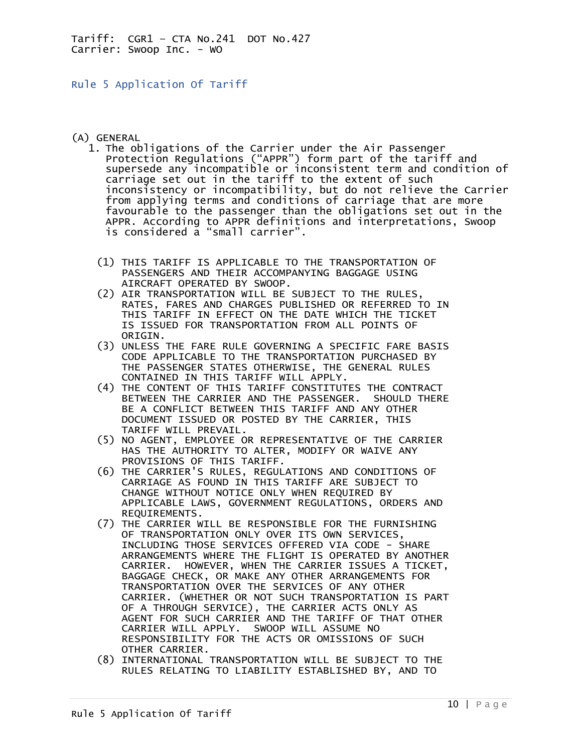<span id="page-9-0"></span>Rule 5 Application Of Tariff

## (A) GENERAL

- 1. The obligations of the Carrier under the Air Passenger Protection Regulations ("APPR") form part of the tariff and supersede any incompatible or inconsistent term and condition of carriage set out in the tariff to the extent of such inconsistency or incompatibility, but do not relieve the Carrier from applying terms and conditions of carriage that are more favourable to the passenger than the obligations set out in the APPR. According to APPR definitions and interpretations, Swoop is considered a "small carrier".
	- (1) THIS TARIFF IS APPLICABLE TO THE TRANSPORTATION OF PASSENGERS AND THEIR ACCOMPANYING BAGGAGE USING AIRCRAFT OPERATED BY SWOOP.
	- (2) AIR TRANSPORTATION WILL BE SUBJECT TO THE RULES, RATES, FARES AND CHARGES PUBLISHED OR REFERRED TO IN THIS TARIFF IN EFFECT ON THE DATE WHICH THE TICKET IS ISSUED FOR TRANSPORTATION FROM ALL POINTS OF ORIGIN.
	- (3) UNLESS THE FARE RULE GOVERNING A SPECIFIC FARE BASIS CODE APPLICABLE TO THE TRANSPORTATION PURCHASED BY THE PASSENGER STATES OTHERWISE, THE GENERAL RULES CONTAINED IN THIS TARIFF WILL APPLY.
	- (4) THE CONTENT OF THIS TARIFF CONSTITUTES THE CONTRACT BETWEEN THE CARRIER AND THE PASSENGER. SHOULD THERE BE A CONFLICT BETWEEN THIS TARIFF AND ANY OTHER DOCUMENT ISSUED OR POSTED BY THE CARRIER, THIS TARIFF WILL PREVAIL.
- (5) NO AGENT, EMPLOYEE OR REPRESENTATIVE OF THE CARRIER HAS THE AUTHORITY TO ALTER, MODIFY OR WAIVE ANY PROVISIONS OF THIS TARIFF.
- (6) THE CARRIER'S RULES, REGULATIONS AND CONDITIONS OF CARRIAGE AS FOUND IN THIS TARIFF ARE SUBJECT TO CHANGE WITHOUT NOTICE ONLY WHEN REQUIRED BY APPLICABLE LAWS, GOVERNMENT REGULATIONS, ORDERS AND REQUIREMENTS.
- (7) THE CARRIER WILL BE RESPONSIBLE FOR THE FURNISHING OF TRANSPORTATION ONLY OVER ITS OWN SERVICES, INCLUDING THOSE SERVICES OFFERED VIA CODE - SHARE ARRANGEMENTS WHERE THE FLIGHT IS OPERATED BY ANOTHER CARRIER. HOWEVER, WHEN THE CARRIER ISSUES A TICKET, BAGGAGE CHECK, OR MAKE ANY OTHER ARRANGEMENTS FOR TRANSPORTATION OVER THE SERVICES OF ANY OTHER CARRIER. (WHETHER OR NOT SUCH TRANSPORTATION IS PART OF A THROUGH SERVICE), THE CARRIER ACTS ONLY AS AGENT FOR SUCH CARRIER AND THE TARIFF OF THAT OTHER CARRIER WILL APPLY. SWOOP WILL ASSUME NO RESPONSIBILITY FOR THE ACTS OR OMISSIONS OF SUCH OTHER CARRIER.
	- (8) INTERNATIONAL TRANSPORTATION WILL BE SUBJECT TO THE RULES RELATING TO LIABILITY ESTABLISHED BY, AND TO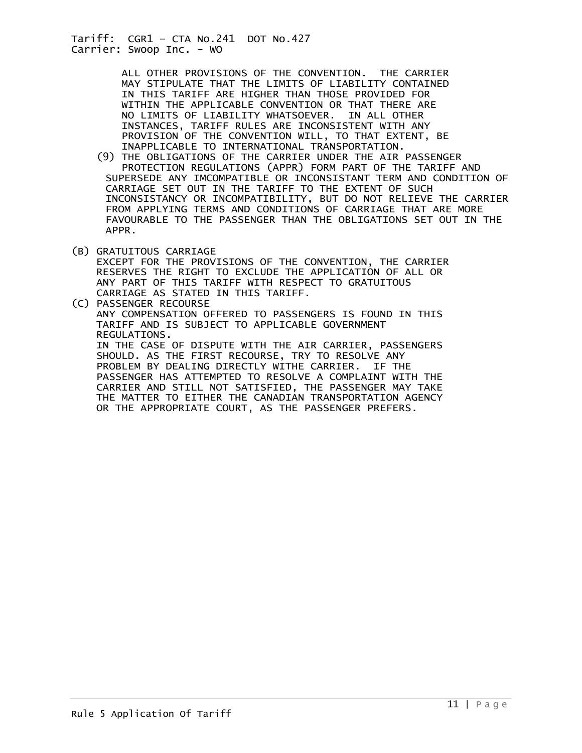> ALL OTHER PROVISIONS OF THE CONVENTION. THE CARRIER MAY STIPULATE THAT THE LIMITS OF LIABILITY CONTAINED IN THIS TARIFF ARE HIGHER THAN THOSE PROVIDED FOR WITHIN THE APPLICABLE CONVENTION OR THAT THERE ARE NO LIMITS OF LIABILITY WHATSOEVER. IN ALL OTHER INSTANCES, TARIFF RULES ARE INCONSISTENT WITH ANY PROVISION OF THE CONVENTION WILL, TO THAT EXTENT, BE INAPPLICABLE TO INTERNATIONAL TRANSPORTATION.

- (9) THE OBLIGATIONS OF THE CARRIER UNDER THE AIR PASSENGER PROTECTION REGULATIONS (APPR) FORM PART OF THE TARIFF AND SUPERSEDE ANY IMCOMPATIBLE OR INCONSISTANT TERM AND CONDITION OF CARRIAGE SET OUT IN THE TARIFF TO THE EXTENT OF SUCH INCONSISTANCY OR INCOMPATIBILITY, BUT DO NOT RELIEVE THE CARRIER FROM APPLYING TERMS AND CONDITIONS OF CARRIAGE THAT ARE MORE FAVOURABLE TO THE PASSENGER THAN THE OBLIGATIONS SET OUT IN THE APPR.
- (B) GRATUITOUS CARRIAGE EXCEPT FOR THE PROVISIONS OF THE CONVENTION, THE CARRIER RESERVES THE RIGHT TO EXCLUDE THE APPLICATION OF ALL OR ANY PART OF THIS TARIFF WITH RESPECT TO GRATUITOUS CARRIAGE AS STATED IN THIS TARIFF.

(C) PASSENGER RECOURSE ANY COMPENSATION OFFERED TO PASSENGERS IS FOUND IN THIS TARIFF AND IS SUBJECT TO APPLICABLE GOVERNMENT REGULATIONS. IN THE CASE OF DISPUTE WITH THE AIR CARRIER, PASSENGERS SHOULD. AS THE FIRST RECOURSE, TRY TO RESOLVE ANY PROBLEM BY DEALING DIRECTLY WITHE CARRIER. IF THE PASSENGER HAS ATTEMPTED TO RESOLVE A COMPLAINT WITH THE CARRIER AND STILL NOT SATISFIED, THE PASSENGER MAY TAKE THE MATTER TO EITHER THE CANADIAN TRANSPORTATION AGENCY OR THE APPROPRIATE COURT, AS THE PASSENGER PREFERS.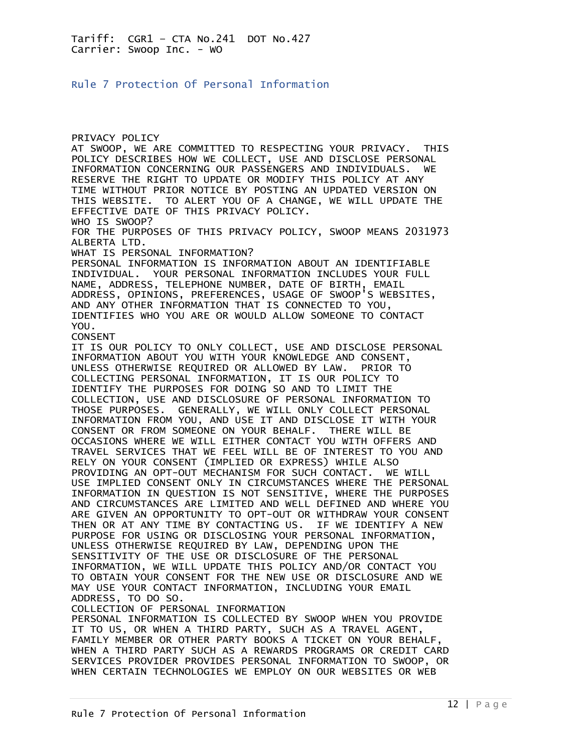<span id="page-11-0"></span>Rule 7 Protection Of Personal Information

PRIVACY POLICY AT SWOOP, WE ARE COMMITTED TO RESPECTING YOUR PRIVACY. THIS POLICY DESCRIBES HOW WE COLLECT, USE AND DISCLOSE PERSONAL INFORMATION CONCERNING OUR PASSENGERS AND INDIVIDUALS. WE RESERVE THE RIGHT TO UPDATE OR MODIFY THIS POLICY AT ANY TIME WITHOUT PRIOR NOTICE BY POSTING AN UPDATED VERSION ON THIS WEBSITE. TO ALERT YOU OF A CHANGE, WE WILL UPDATE THE EFFECTIVE DATE OF THIS PRIVACY POLICY. WHO IS SWOOP? FOR THE PURPOSES OF THIS PRIVACY POLICY, SWOOP MEANS 2031973 ALBERTA LTD. WHAT IS PERSONAL INFORMATION? PERSONAL INFORMATION IS INFORMATION ABOUT AN IDENTIFIABLE INDIVIDUAL. YOUR PERSONAL INFORMATION INCLUDES YOUR FULL NAME, ADDRESS, TELEPHONE NUMBER, DATE OF BIRTH, EMAIL ADDRESS, OPINIONS, PREFERENCES, USAGE OF SWOOP'S WEBSITES, AND ANY OTHER INFORMATION THAT IS CONNECTED TO YOU, IDENTIFIES WHO YOU ARE OR WOULD ALLOW SOMEONE TO CONTACT YOU. CONSENT IT IS OUR POLICY TO ONLY COLLECT, USE AND DISCLOSE PERSONAL INFORMATION ABOUT YOU WITH YOUR KNOWLEDGE AND CONSENT, UNLESS OTHERWISE REQUIRED OR ALLOWED BY LAW. PRIOR TO COLLECTING PERSONAL INFORMATION, IT IS OUR POLICY TO IDENTIFY THE PURPOSES FOR DOING SO AND TO LIMIT THE COLLECTION, USE AND DISCLOSURE OF PERSONAL INFORMATION TO THOSE PURPOSES. GENERALLY, WE WILL ONLY COLLECT PERSONAL INFORMATION FROM YOU, AND USE IT AND DISCLOSE IT WITH YOUR CONSENT OR FROM SOMEONE ON YOUR BEHALF. THERE WILL BE OCCASIONS WHERE WE WILL EITHER CONTACT YOU WITH OFFERS AND TRAVEL SERVICES THAT WE FEEL WILL BE OF INTEREST TO YOU AND RELY ON YOUR CONSENT (IMPLIED OR EXPRESS) WHILE ALSO PROVIDING AN OPT-OUT MECHANISM FOR SUCH CONTACT. WE WILL USE IMPLIED CONSENT ONLY IN CIRCUMSTANCES WHERE THE PERSONAL INFORMATION IN QUESTION IS NOT SENSITIVE, WHERE THE PURPOSES AND CIRCUMSTANCES ARE LIMITED AND WELL DEFINED AND WHERE YOU ARE GIVEN AN OPPORTUNITY TO OPT-OUT OR WITHDRAW YOUR CONSENT THEN OR AT ANY TIME BY CONTACTING US. IF WE IDENTIFY A NEW PURPOSE FOR USING OR DISCLOSING YOUR PERSONAL INFORMATION, UNLESS OTHERWISE REQUIRED BY LAW, DEPENDING UPON THE SENSITIVITY OF THE USE OR DISCLOSURE OF THE PERSONAL INFORMATION, WE WILL UPDATE THIS POLICY AND/OR CONTACT YOU TO OBTAIN YOUR CONSENT FOR THE NEW USE OR DISCLOSURE AND WE MAY USE YOUR CONTACT INFORMATION, INCLUDING YOUR EMAIL ADDRESS, TO DO SO. COLLECTION OF PERSONAL INFORMATION PERSONAL INFORMATION IS COLLECTED BY SWOOP WHEN YOU PROVIDE

IT TO US, OR WHEN A THIRD PARTY, SUCH AS A TRAVEL AGENT, FAMILY MEMBER OR OTHER PARTY BOOKS A TICKET ON YOUR BEHALF, WHEN A THIRD PARTY SUCH AS A REWARDS PROGRAMS OR CREDIT CARD SERVICES PROVIDER PROVIDES PERSONAL INFORMATION TO SWOOP, OR WHEN CERTAIN TECHNOLOGIES WE EMPLOY ON OUR WEBSITES OR WEB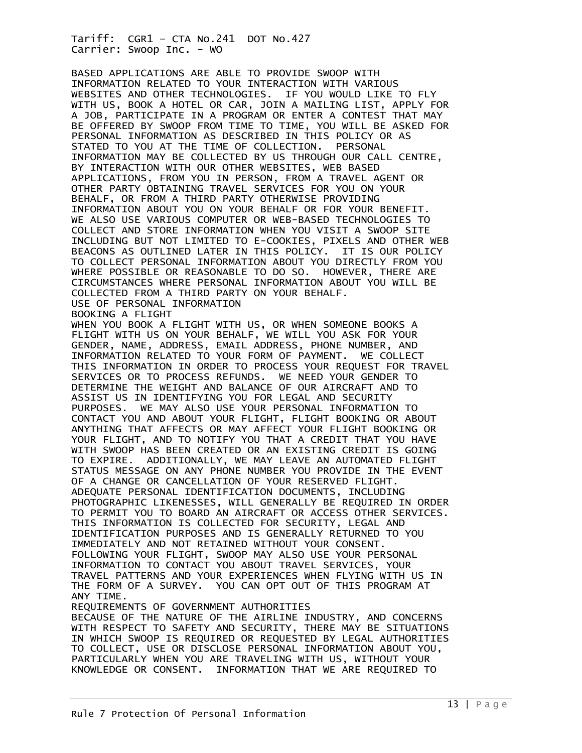BASED APPLICATIONS ARE ABLE TO PROVIDE SWOOP WITH INFORMATION RELATED TO YOUR INTERACTION WITH VARIOUS WEBSITES AND OTHER TECHNOLOGIES. IF YOU WOULD LIKE TO FLY WITH US, BOOK A HOTEL OR CAR, JOIN A MAILING LIST, APPLY FOR A JOB, PARTICIPATE IN A PROGRAM OR ENTER A CONTEST THAT MAY BE OFFERED BY SWOOP FROM TIME TO TIME, YOU WILL BE ASKED FOR PERSONAL INFORMATION AS DESCRIBED IN THIS POLICY OR AS STATED TO YOU AT THE TIME OF COLLECTION. PERSONAL INFORMATION MAY BE COLLECTED BY US THROUGH OUR CALL CENTRE, BY INTERACTION WITH OUR OTHER WEBSITES, WEB BASED APPLICATIONS, FROM YOU IN PERSON, FROM A TRAVEL AGENT OR OTHER PARTY OBTAINING TRAVEL SERVICES FOR YOU ON YOUR BEHALF, OR FROM A THIRD PARTY OTHERWISE PROVIDING INFORMATION ABOUT YOU ON YOUR BEHALF OR FOR YOUR BENEFIT. WE ALSO USE VARIOUS COMPUTER OR WEB-BASED TECHNOLOGIES TO COLLECT AND STORE INFORMATION WHEN YOU VISIT A SWOOP SITE INCLUDING BUT NOT LIMITED TO E-COOKIES, PIXELS AND OTHER WEB BEACONS AS OUTLINED LATER IN THIS POLICY. IT IS OUR POLICY TO COLLECT PERSONAL INFORMATION ABOUT YOU DIRECTLY FROM YOU WHERE POSSIBLE OR REASONABLE TO DO SO. HOWEVER, THERE ARE CIRCUMSTANCES WHERE PERSONAL INFORMATION ABOUT YOU WILL BE COLLECTED FROM A THIRD PARTY ON YOUR BEHALF. USE OF PERSONAL INFORMATION BOOKING A FLIGHT

WHEN YOU BOOK A FLIGHT WITH US, OR WHEN SOMEONE BOOKS A FLIGHT WITH US ON YOUR BEHALF, WE WILL YOU ASK FOR YOUR GENDER, NAME, ADDRESS, EMAIL ADDRESS, PHONE NUMBER, AND INFORMATION RELATED TO YOUR FORM OF PAYMENT. WE COLLECT THIS INFORMATION IN ORDER TO PROCESS YOUR REQUEST FOR TRAVEL SERVICES OR TO PROCESS REFUNDS. WE NEED YOUR GENDER TO DETERMINE THE WEIGHT AND BALANCE OF OUR AIRCRAFT AND TO ASSIST US IN IDENTIFYING YOU FOR LEGAL AND SECURITY PURPOSES. WE MAY ALSO USE YOUR PERSONAL INFORMATION TO CONTACT YOU AND ABOUT YOUR FLIGHT, FLIGHT BOOKING OR ABOUT ANYTHING THAT AFFECTS OR MAY AFFECT YOUR FLIGHT BOOKING OR YOUR FLIGHT, AND TO NOTIFY YOU THAT A CREDIT THAT YOU HAVE WITH SWOOP HAS BEEN CREATED OR AN EXISTING CREDIT IS GOING TO EXPIRE. ADDITIONALLY, WE MAY LEAVE AN AUTOMATED FLIGHT STATUS MESSAGE ON ANY PHONE NUMBER YOU PROVIDE IN THE EVENT OF A CHANGE OR CANCELLATION OF YOUR RESERVED FLIGHT. ADEQUATE PERSONAL IDENTIFICATION DOCUMENTS, INCLUDING PHOTOGRAPHIC LIKENESSES, WILL GENERALLY BE REQUIRED IN ORDER TO PERMIT YOU TO BOARD AN AIRCRAFT OR ACCESS OTHER SERVICES. THIS INFORMATION IS COLLECTED FOR SECURITY, LEGAL AND IDENTIFICATION PURPOSES AND IS GENERALLY RETURNED TO YOU IMMEDIATELY AND NOT RETAINED WITHOUT YOUR CONSENT. FOLLOWING YOUR FLIGHT, SWOOP MAY ALSO USE YOUR PERSONAL INFORMATION TO CONTACT YOU ABOUT TRAVEL SERVICES, YOUR TRAVEL PATTERNS AND YOUR EXPERIENCES WHEN FLYING WITH US IN THE FORM OF A SURVEY. YOU CAN OPT OUT OF THIS PROGRAM AT ANY TIME. REQUIREMENTS OF GOVERNMENT AUTHORITIES

BECAUSE OF THE NATURE OF THE AIRLINE INDUSTRY, AND CONCERNS WITH RESPECT TO SAFETY AND SECURITY, THERE MAY BE SITUATIONS IN WHICH SWOOP IS REQUIRED OR REQUESTED BY LEGAL AUTHORITIES TO COLLECT, USE OR DISCLOSE PERSONAL INFORMATION ABOUT YOU, PARTICULARLY WHEN YOU ARE TRAVELING WITH US, WITHOUT YOUR KNOWLEDGE OR CONSENT. INFORMATION THAT WE ARE REQUIRED TO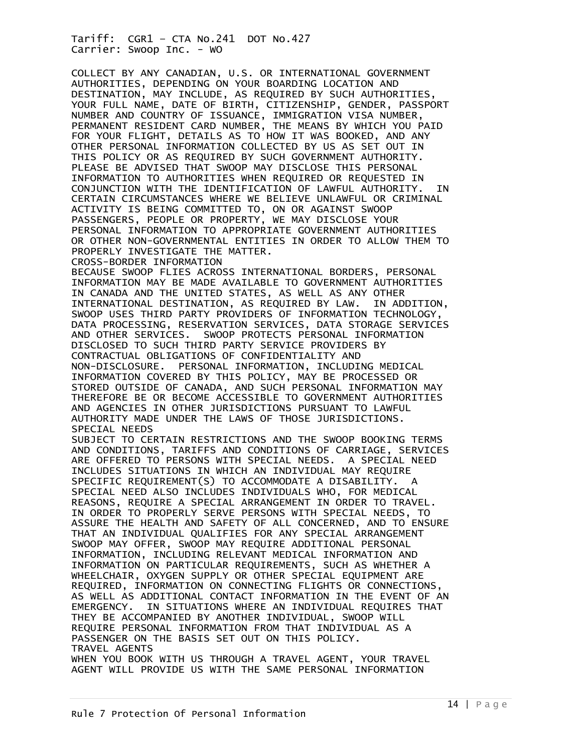COLLECT BY ANY CANADIAN, U.S. OR INTERNATIONAL GOVERNMENT AUTHORITIES, DEPENDING ON YOUR BOARDING LOCATION AND DESTINATION, MAY INCLUDE, AS REQUIRED BY SUCH AUTHORITIES, YOUR FULL NAME, DATE OF BIRTH, CITIZENSHIP, GENDER, PASSPORT NUMBER AND COUNTRY OF ISSUANCE, IMMIGRATION VISA NUMBER, PERMANENT RESIDENT CARD NUMBER, THE MEANS BY WHICH YOU PAID FOR YOUR FLIGHT, DETAILS AS TO HOW IT WAS BOOKED, AND ANY OTHER PERSONAL INFORMATION COLLECTED BY US AS SET OUT IN THIS POLICY OR AS REQUIRED BY SUCH GOVERNMENT AUTHORITY. PLEASE BE ADVISED THAT SWOOP MAY DISCLOSE THIS PERSONAL INFORMATION TO AUTHORITIES WHEN REQUIRED OR REQUESTED IN CONJUNCTION WITH THE IDENTIFICATION OF LAWFUL AUTHORITY. IN CERTAIN CIRCUMSTANCES WHERE WE BELIEVE UNLAWFUL OR CRIMINAL ACTIVITY IS BEING COMMITTED TO, ON OR AGAINST SWOOP PASSENGERS, PEOPLE OR PROPERTY, WE MAY DISCLOSE YOUR PERSONAL INFORMATION TO APPROPRIATE GOVERNMENT AUTHORITIES OR OTHER NON-GOVERNMENTAL ENTITIES IN ORDER TO ALLOW THEM TO PROPERLY INVESTIGATE THE MATTER. CROSS-BORDER INFORMATION BECAUSE SWOOP FLIES ACROSS INTERNATIONAL BORDERS, PERSONAL INFORMATION MAY BE MADE AVAILABLE TO GOVERNMENT AUTHORITIES IN CANADA AND THE UNITED STATES, AS WELL AS ANY OTHER INTERNATIONAL DESTINATION, AS REQUIRED BY LAW. IN ADDITION, SWOOP USES THIRD PARTY PROVIDERS OF INFORMATION TECHNOLOGY, DATA PROCESSING, RESERVATION SERVICES, DATA STORAGE SERVICES AND OTHER SERVICES. SWOOP PROTECTS PERSONAL INFORMATION DISCLOSED TO SUCH THIRD PARTY SERVICE PROVIDERS BY CONTRACTUAL OBLIGATIONS OF CONFIDENTIALITY AND NON-DISCLOSURE. PERSONAL INFORMATION, INCLUDING MEDICAL INFORMATION COVERED BY THIS POLICY, MAY BE PROCESSED OR STORED OUTSIDE OF CANADA, AND SUCH PERSONAL INFORMATION MAY THEREFORE BE OR BECOME ACCESSIBLE TO GOVERNMENT AUTHORITIES AND AGENCIES IN OTHER JURISDICTIONS PURSUANT TO LAWFUL AUTHORITY MADE UNDER THE LAWS OF THOSE JURISDICTIONS. SPECIAL NEEDS SUBJECT TO CERTAIN RESTRICTIONS AND THE SWOOP BOOKING TERMS AND CONDITIONS, TARIFFS AND CONDITIONS OF CARRIAGE, SERVICES ARE OFFERED TO PERSONS WITH SPECIAL NEEDS. A SPECIAL NEED INCLUDES SITUATIONS IN WHICH AN INDIVIDUAL MAY REQUIRE SPECIFIC REQUIREMENT(S) TO ACCOMMODATE A DISABILITY. A SPECIAL NEED ALSO INCLUDES INDIVIDUALS WHO, FOR MEDICAL REASONS, REQUIRE A SPECIAL ARRANGEMENT IN ORDER TO TRAVEL. IN ORDER TO PROPERLY SERVE PERSONS WITH SPECIAL NEEDS, TO ASSURE THE HEALTH AND SAFETY OF ALL CONCERNED, AND TO ENSURE THAT AN INDIVIDUAL QUALIFIES FOR ANY SPECIAL ARRANGEMENT SWOOP MAY OFFER, SWOOP MAY REQUIRE ADDITIONAL PERSONAL INFORMATION, INCLUDING RELEVANT MEDICAL INFORMATION AND INFORMATION ON PARTICULAR REQUIREMENTS, SUCH AS WHETHER A WHEELCHAIR, OXYGEN SUPPLY OR OTHER SPECIAL EQUIPMENT ARE REQUIRED, INFORMATION ON CONNECTING FLIGHTS OR CONNECTIONS, AS WELL AS ADDITIONAL CONTACT INFORMATION IN THE EVENT OF AN EMERGENCY. IN SITUATIONS WHERE AN INDIVIDUAL REQUIRES THAT THEY BE ACCOMPANIED BY ANOTHER INDIVIDUAL, SWOOP WILL REQUIRE PERSONAL INFORMATION FROM THAT INDIVIDUAL AS A PASSENGER ON THE BASIS SET OUT ON THIS POLICY. TRAVEL AGENTS

WHEN YOU BOOK WITH US THROUGH A TRAVEL AGENT, YOUR TRAVEL AGENT WILL PROVIDE US WITH THE SAME PERSONAL INFORMATION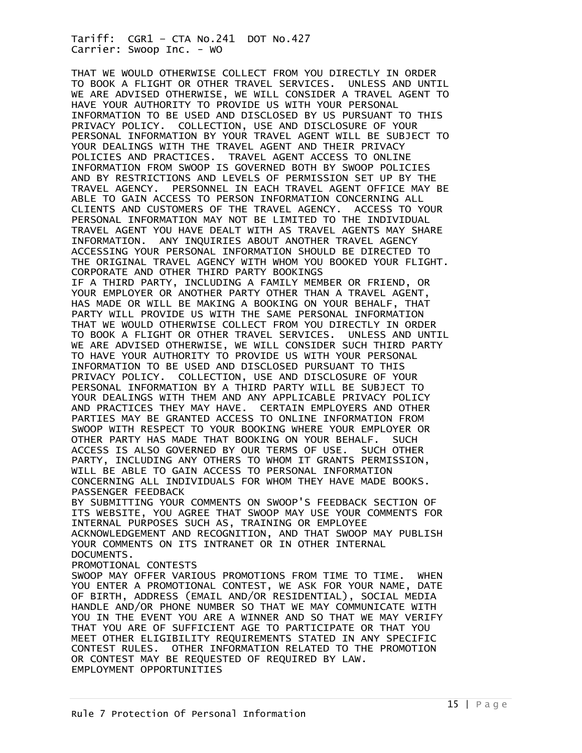THAT WE WOULD OTHERWISE COLLECT FROM YOU DIRECTLY IN ORDER TO BOOK A FLIGHT OR OTHER TRAVEL SERVICES. UNLESS AND UNTIL WE ARE ADVISED OTHERWISE, WE WILL CONSIDER A TRAVEL AGENT TO HAVE YOUR AUTHORITY TO PROVIDE US WITH YOUR PERSONAL INFORMATION TO BE USED AND DISCLOSED BY US PURSUANT TO THIS PRIVACY POLICY. COLLECTION, USE AND DISCLOSURE OF YOUR PERSONAL INFORMATION BY YOUR TRAVEL AGENT WILL BE SUBJECT TO YOUR DEALINGS WITH THE TRAVEL AGENT AND THEIR PRIVACY POLICIES AND PRACTICES. TRAVEL AGENT ACCESS TO ONLINE INFORMATION FROM SWOOP IS GOVERNED BOTH BY SWOOP POLICIES AND BY RESTRICTIONS AND LEVELS OF PERMISSION SET UP BY THE TRAVEL AGENCY. PERSONNEL IN EACH TRAVEL AGENT OFFICE MAY BE ABLE TO GAIN ACCESS TO PERSON INFORMATION CONCERNING ALL CLIENTS AND CUSTOMERS OF THE TRAVEL AGENCY. ACCESS TO YOUR PERSONAL INFORMATION MAY NOT BE LIMITED TO THE INDIVIDUAL TRAVEL AGENT YOU HAVE DEALT WITH AS TRAVEL AGENTS MAY SHARE INFORMATION. ANY INQUIRIES ABOUT ANOTHER TRAVEL AGENCY ACCESSING YOUR PERSONAL INFORMATION SHOULD BE DIRECTED TO THE ORIGINAL TRAVEL AGENCY WITH WHOM YOU BOOKED YOUR FLIGHT. CORPORATE AND OTHER THIRD PARTY BOOKINGS IF A THIRD PARTY, INCLUDING A FAMILY MEMBER OR FRIEND, OR YOUR EMPLOYER OR ANOTHER PARTY OTHER THAN A TRAVEL AGENT, HAS MADE OR WILL BE MAKING A BOOKING ON YOUR BEHALF, THAT PARTY WILL PROVIDE US WITH THE SAME PERSONAL INFORMATION THAT WE WOULD OTHERWISE COLLECT FROM YOU DIRECTLY IN ORDER TO BOOK A FLIGHT OR OTHER TRAVEL SERVICES. UNLESS AND UNTIL WE ARE ADVISED OTHERWISE, WE WILL CONSIDER SUCH THIRD PARTY TO HAVE YOUR AUTHORITY TO PROVIDE US WITH YOUR PERSONAL INFORMATION TO BE USED AND DISCLOSED PURSUANT TO THIS PRIVACY POLICY. COLLECTION, USE AND DISCLOSURE OF YOUR PERSONAL INFORMATION BY A THIRD PARTY WILL BE SUBJECT TO YOUR DEALINGS WITH THEM AND ANY APPLICABLE PRIVACY POLICY AND PRACTICES THEY MAY HAVE. CERTAIN EMPLOYERS AND OTHER PARTIES MAY BE GRANTED ACCESS TO ONLINE INFORMATION FROM SWOOP WITH RESPECT TO YOUR BOOKING WHERE YOUR EMPLOYER OR OTHER PARTY HAS MADE THAT BOOKING ON YOUR BEHALF. SUCH ACCESS IS ALSO GOVERNED BY OUR TERMS OF USE. SUCH OTHER PARTY, INCLUDING ANY OTHERS TO WHOM IT GRANTS PERMISSION, WILL BE ABLE TO GAIN ACCESS TO PERSONAL INFORMATION CONCERNING ALL INDIVIDUALS FOR WHOM THEY HAVE MADE BOOKS. PASSENGER FEEDBACK BY SUBMITTING YOUR COMMENTS ON SWOOP'S FEEDBACK SECTION OF ITS WEBSITE, YOU AGREE THAT SWOOP MAY USE YOUR COMMENTS FOR INTERNAL PURPOSES SUCH AS, TRAINING OR EMPLOYEE ACKNOWLEDGEMENT AND RECOGNITION, AND THAT SWOOP MAY PUBLISH YOUR COMMENTS ON ITS INTRANET OR IN OTHER INTERNAL DOCUMENTS. PROMOTIONAL CONTESTS SWOOP MAY OFFER VARIOUS PROMOTIONS FROM TIME TO TIME. WHEN YOU ENTER A PROMOTIONAL CONTEST, WE ASK FOR YOUR NAME, DATE OF BIRTH, ADDRESS (EMAIL AND/OR RESIDENTIAL), SOCIAL MEDIA HANDLE AND/OR PHONE NUMBER SO THAT WE MAY COMMUNICATE WITH YOU IN THE EVENT YOU ARE A WINNER AND SO THAT WE MAY VERIFY THAT YOU ARE OF SUFFICIENT AGE TO PARTICIPATE OR THAT YOU MEET OTHER ELIGIBILITY REQUIREMENTS STATED IN ANY SPECIFIC CONTEST RULES. OTHER INFORMATION RELATED TO THE PROMOTION OR CONTEST MAY BE REQUESTED OF REQUIRED BY LAW. EMPLOYMENT OPPORTUNITIES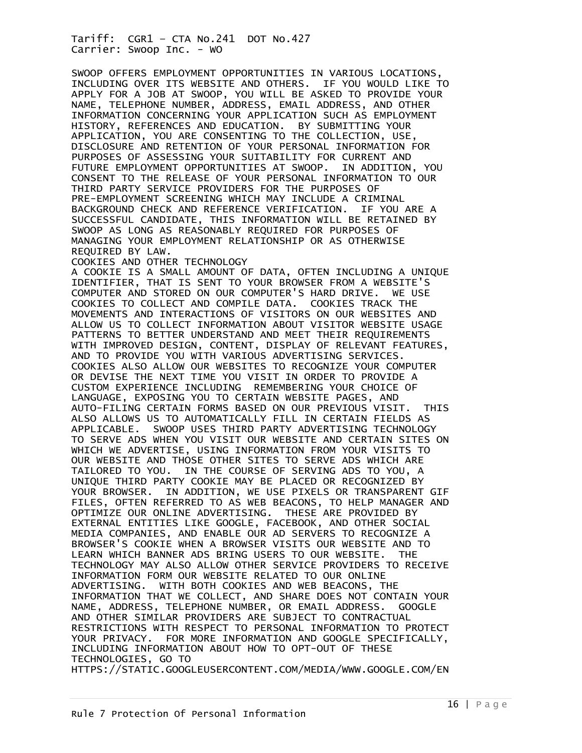SWOOP OFFERS EMPLOYMENT OPPORTUNITIES IN VARIOUS LOCATIONS, INCLUDING OVER ITS WEBSITE AND OTHERS. IF YOU WOULD LIKE TO APPLY FOR A JOB AT SWOOP, YOU WILL BE ASKED TO PROVIDE YOUR NAME, TELEPHONE NUMBER, ADDRESS, EMAIL ADDRESS, AND OTHER INFORMATION CONCERNING YOUR APPLICATION SUCH AS EMPLOYMENT HISTORY, REFERENCES AND EDUCATION. BY SUBMITTING YOUR APPLICATION, YOU ARE CONSENTING TO THE COLLECTION, USE, DISCLOSURE AND RETENTION OF YOUR PERSONAL INFORMATION FOR PURPOSES OF ASSESSING YOUR SUITABILITY FOR CURRENT AND FUTURE EMPLOYMENT OPPORTUNITIES AT SWOOP. IN ADDITION, YOU CONSENT TO THE RELEASE OF YOUR PERSONAL INFORMATION TO OUR THIRD PARTY SERVICE PROVIDERS FOR THE PURPOSES OF PRE-EMPLOYMENT SCREENING WHICH MAY INCLUDE A CRIMINAL BACKGROUND CHECK AND REFERENCE VERIFICATION. IF YOU ARE A SUCCESSFUL CANDIDATE, THIS INFORMATION WILL BE RETAINED BY SWOOP AS LONG AS REASONABLY REQUIRED FOR PURPOSES OF MANAGING YOUR EMPLOYMENT RELATIONSHIP OR AS OTHERWISE REQUIRED BY LAW. COOKIES AND OTHER TECHNOLOGY A COOKIE IS A SMALL AMOUNT OF DATA, OFTEN INCLUDING A UNIQUE IDENTIFIER, THAT IS SENT TO YOUR BROWSER FROM A WEBSITE'S COMPUTER AND STORED ON OUR COMPUTER'S HARD DRIVE. WE USE COOKIES TO COLLECT AND COMPILE DATA. COOKIES TRACK THE MOVEMENTS AND INTERACTIONS OF VISITORS ON OUR WEBSITES AND ALLOW US TO COLLECT INFORMATION ABOUT VISITOR WEBSITE USAGE

PATTERNS TO BETTER UNDERSTAND AND MEET THEIR REQUIREMENTS WITH IMPROVED DESIGN, CONTENT, DISPLAY OF RELEVANT FEATURES, AND TO PROVIDE YOU WITH VARIOUS ADVERTISING SERVICES. COOKIES ALSO ALLOW OUR WEBSITES TO RECOGNIZE YOUR COMPUTER OR DEVISE THE NEXT TIME YOU VISIT IN ORDER TO PROVIDE A CUSTOM EXPERIENCE INCLUDING REMEMBERING YOUR CHOICE OF LANGUAGE, EXPOSING YOU TO CERTAIN WEBSITE PAGES, AND AUTO-FILING CERTAIN FORMS BASED ON OUR PREVIOUS VISIT. THIS ALSO ALLOWS US TO AUTOMATICALLY FILL IN CERTAIN FIELDS AS APPLICABLE. SWOOP USES THIRD PARTY ADVERTISING TECHNOLOGY TO SERVE ADS WHEN YOU VISIT OUR WEBSITE AND CERTAIN SITES ON WHICH WE ADVERTISE, USING INFORMATION FROM YOUR VISITS TO OUR WEBSITE AND THOSE OTHER SITES TO SERVE ADS WHICH ARE TAILORED TO YOU. IN THE COURSE OF SERVING ADS TO YOU, A UNIQUE THIRD PARTY COOKIE MAY BE PLACED OR RECOGNIZED BY YOUR BROWSER. IN ADDITION, WE USE PIXELS OR TRANSPARENT GIF FILES, OFTEN REFERRED TO AS WEB BEACONS, TO HELP MANAGER AND OPTIMIZE OUR ONLINE ADVERTISING. THESE ARE PROVIDED BY EXTERNAL ENTITIES LIKE GOOGLE, FACEBOOK, AND OTHER SOCIAL MEDIA COMPANIES, AND ENABLE OUR AD SERVERS TO RECOGNIZE A BROWSER'S COOKIE WHEN A BROWSER VISITS OUR WEBSITE AND TO LEARN WHICH BANNER ADS BRING USERS TO OUR WEBSITE. THE TECHNOLOGY MAY ALSO ALLOW OTHER SERVICE PROVIDERS TO RECEIVE INFORMATION FORM OUR WEBSITE RELATED TO OUR ONLINE ADVERTISING. WITH BOTH COOKIES AND WEB BEACONS, THE INFORMATION THAT WE COLLECT, AND SHARE DOES NOT CONTAIN YOUR NAME, ADDRESS, TELEPHONE NUMBER, OR EMAIL ADDRESS. GOOGLE AND OTHER SIMILAR PROVIDERS ARE SUBJECT TO CONTRACTUAL RESTRICTIONS WITH RESPECT TO PERSONAL INFORMATION TO PROTECT YOUR PRIVACY. FOR MORE INFORMATION AND GOOGLE SPECIFICALLY, INCLUDING INFORMATION ABOUT HOW TO OPT-OUT OF THESE TECHNOLOGIES, GO TO

HTTPS://STATIC.GOOGLEUSERCONTENT.COM/MEDIA/WWW.GOOGLE.COM/EN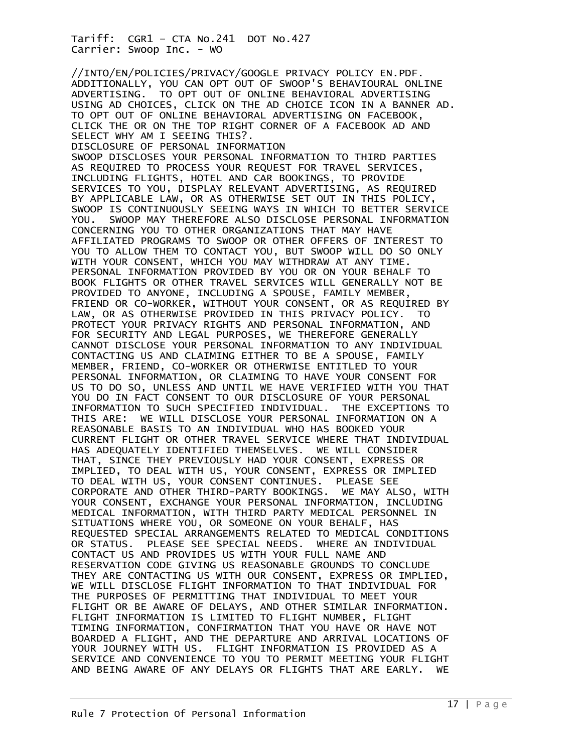//INTO/EN/POLICIES/PRIVACY/GOOGLE PRIVACY POLICY EN.PDF. ADDITIONALLY, YOU CAN OPT OUT OF SWOOP'S BEHAVIOURAL ONLINE ADVERTISING. TO OPT OUT OF ONLINE BEHAVIORAL ADVERTISING USING AD CHOICES, CLICK ON THE AD CHOICE ICON IN A BANNER AD. TO OPT OUT OF ONLINE BEHAVIORAL ADVERTISING ON FACEBOOK, CLICK THE OR ON THE TOP RIGHT CORNER OF A FACEBOOK AD AND SELECT WHY AM I SEEING THIS?. DISCLOSURE OF PERSONAL INFORMATION SWOOP DISCLOSES YOUR PERSONAL INFORMATION TO THIRD PARTIES AS REQUIRED TO PROCESS YOUR REQUEST FOR TRAVEL SERVICES, INCLUDING FLIGHTS, HOTEL AND CAR BOOKINGS, TO PROVIDE SERVICES TO YOU, DISPLAY RELEVANT ADVERTISING, AS REQUIRED BY APPLICABLE LAW, OR AS OTHERWISE SET OUT IN THIS POLICY, SWOOP IS CONTINUOUSLY SEEING WAYS IN WHICH TO BETTER SERVICE YOU. SWOOP MAY THEREFORE ALSO DISCLOSE PERSONAL INFORMATION CONCERNING YOU TO OTHER ORGANIZATIONS THAT MAY HAVE AFFILIATED PROGRAMS TO SWOOP OR OTHER OFFERS OF INTEREST TO YOU TO ALLOW THEM TO CONTACT YOU, BUT SWOOP WILL DO SO ONLY WITH YOUR CONSENT, WHICH YOU MAY WITHDRAW AT ANY TIME. PERSONAL INFORMATION PROVIDED BY YOU OR ON YOUR BEHALF TO BOOK FLIGHTS OR OTHER TRAVEL SERVICES WILL GENERALLY NOT BE PROVIDED TO ANYONE, INCLUDING A SPOUSE, FAMILY MEMBER, FRIEND OR CO-WORKER, WITHOUT YOUR CONSENT, OR AS REQUIRED BY LAW, OR AS OTHERWISE PROVIDED IN THIS PRIVACY POLICY. TO PROTECT YOUR PRIVACY RIGHTS AND PERSONAL INFORMATION, AND FOR SECURITY AND LEGAL PURPOSES, WE THEREFORE GENERALLY CANNOT DISCLOSE YOUR PERSONAL INFORMATION TO ANY INDIVIDUAL CONTACTING US AND CLAIMING EITHER TO BE A SPOUSE, FAMILY MEMBER, FRIEND, CO-WORKER OR OTHERWISE ENTITLED TO YOUR PERSONAL INFORMATION, OR CLAIMING TO HAVE YOUR CONSENT FOR US TO DO SO, UNLESS AND UNTIL WE HAVE VERIFIED WITH YOU THAT YOU DO IN FACT CONSENT TO OUR DISCLOSURE OF YOUR PERSONAL INFORMATION TO SUCH SPECIFIED INDIVIDUAL. THE EXCEPTIONS TO THIS ARE: WE WILL DISCLOSE YOUR PERSONAL INFORMATION ON A REASONABLE BASIS TO AN INDIVIDUAL WHO HAS BOOKED YOUR CURRENT FLIGHT OR OTHER TRAVEL SERVICE WHERE THAT INDIVIDUAL HAS ADEQUATELY IDENTIFIED THEMSELVES. WE WILL CONSIDER THAT, SINCE THEY PREVIOUSLY HAD YOUR CONSENT, EXPRESS OR IMPLIED, TO DEAL WITH US, YOUR CONSENT, EXPRESS OR IMPLIED TO DEAL WITH US, YOUR CONSENT CONTINUES. PLEASE SEE CORPORATE AND OTHER THIRD-PARTY BOOKINGS. WE MAY ALSO, WITH YOUR CONSENT, EXCHANGE YOUR PERSONAL INFORMATION, INCLUDING MEDICAL INFORMATION, WITH THIRD PARTY MEDICAL PERSONNEL IN SITUATIONS WHERE YOU, OR SOMEONE ON YOUR BEHALF, HAS REQUESTED SPECIAL ARRANGEMENTS RELATED TO MEDICAL CONDITIONS OR STATUS. PLEASE SEE SPECIAL NEEDS. WHERE AN INDIVIDUAL CONTACT US AND PROVIDES US WITH YOUR FULL NAME AND RESERVATION CODE GIVING US REASONABLE GROUNDS TO CONCLUDE THEY ARE CONTACTING US WITH OUR CONSENT, EXPRESS OR IMPLIED, WE WILL DISCLOSE FLIGHT INFORMATION TO THAT INDIVIDUAL FOR THE PURPOSES OF PERMITTING THAT INDIVIDUAL TO MEET YOUR FLIGHT OR BE AWARE OF DELAYS, AND OTHER SIMILAR INFORMATION. FLIGHT INFORMATION IS LIMITED TO FLIGHT NUMBER, FLIGHT TIMING INFORMATION, CONFIRMATION THAT YOU HAVE OR HAVE NOT BOARDED A FLIGHT, AND THE DEPARTURE AND ARRIVAL LOCATIONS OF YOUR JOURNEY WITH US. FLIGHT INFORMATION IS PROVIDED AS A SERVICE AND CONVENIENCE TO YOU TO PERMIT MEETING YOUR FLIGHT AND BEING AWARE OF ANY DELAYS OR FLIGHTS THAT ARE EARLY. WE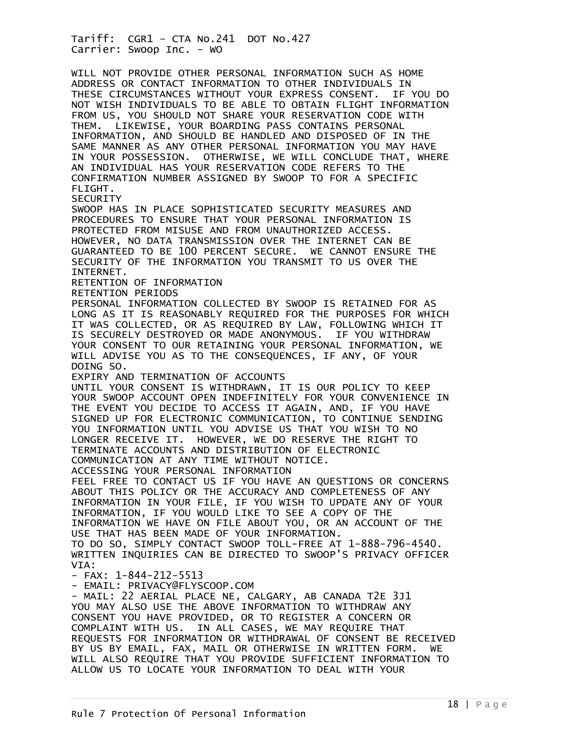WILL NOT PROVIDE OTHER PERSONAL INFORMATION SUCH AS HOME ADDRESS OR CONTACT INFORMATION TO OTHER INDIVIDUALS IN THESE CIRCUMSTANCES WITHOUT YOUR EXPRESS CONSENT. IF YOU DO NOT WISH INDIVIDUALS TO BE ABLE TO OBTAIN FLIGHT INFORMATION FROM US, YOU SHOULD NOT SHARE YOUR RESERVATION CODE WITH THEM. LIKEWISE, YOUR BOARDING PASS CONTAINS PERSONAL INFORMATION, AND SHOULD BE HANDLED AND DISPOSED OF IN THE SAME MANNER AS ANY OTHER PERSONAL INFORMATION YOU MAY HAVE IN YOUR POSSESSION. OTHERWISE, WE WILL CONCLUDE THAT, WHERE AN INDIVIDUAL HAS YOUR RESERVATION CODE REFERS TO THE CONFIRMATION NUMBER ASSIGNED BY SWOOP TO FOR A SPECIFIC FLIGHT. **SECURITY** SWOOP HAS IN PLACE SOPHISTICATED SECURITY MEASURES AND PROCEDURES TO ENSURE THAT YOUR PERSONAL INFORMATION IS PROTECTED FROM MISUSE AND FROM UNAUTHORIZED ACCESS. HOWEVER, NO DATA TRANSMISSION OVER THE INTERNET CAN BE GUARANTEED TO BE 100 PERCENT SECURE. WE CANNOT ENSURE THE SECURITY OF THE INFORMATION YOU TRANSMIT TO US OVER THE INTERNET. RETENTION OF INFORMATION RETENTION PERIODS PERSONAL INFORMATION COLLECTED BY SWOOP IS RETAINED FOR AS LONG AS IT IS REASONABLY REQUIRED FOR THE PURPOSES FOR WHICH IT WAS COLLECTED, OR AS REQUIRED BY LAW, FOLLOWING WHICH IT IS SECURELY DESTROYED OR MADE ANONYMOUS. IF YOU WITHDRAW YOUR CONSENT TO OUR RETAINING YOUR PERSONAL INFORMATION, WE WILL ADVISE YOU AS TO THE CONSEQUENCES, IF ANY, OF YOUR DOING SO. EXPIRY AND TERMINATION OF ACCOUNTS UNTIL YOUR CONSENT IS WITHDRAWN, IT IS OUR POLICY TO KEEP YOUR SWOOP ACCOUNT OPEN INDEFINITELY FOR YOUR CONVENIENCE IN THE EVENT YOU DECIDE TO ACCESS IT AGAIN, AND, IF YOU HAVE SIGNED UP FOR ELECTRONIC COMMUNICATION, TO CONTINUE SENDING YOU INFORMATION UNTIL YOU ADVISE US THAT YOU WISH TO NO LONGER RECEIVE IT. HOWEVER, WE DO RESERVE THE RIGHT TO TERMINATE ACCOUNTS AND DISTRIBUTION OF ELECTRONIC COMMUNICATION AT ANY TIME WITHOUT NOTICE. ACCESSING YOUR PERSONAL INFORMATION FEEL FREE TO CONTACT US IF YOU HAVE AN QUESTIONS OR CONCERNS ABOUT THIS POLICY OR THE ACCURACY AND COMPLETENESS OF ANY INFORMATION IN YOUR FILE, IF YOU WISH TO UPDATE ANY OF YOUR INFORMATION, IF YOU WOULD LIKE TO SEE A COPY OF THE INFORMATION WE HAVE ON FILE ABOUT YOU, OR AN ACCOUNT OF THE USE THAT HAS BEEN MADE OF YOUR INFORMATION. TO DO SO, SIMPLY CONTACT SWOOP TOLL-FREE AT 1-888-796-4540. WRITTEN INQUIRIES CAN BE DIRECTED TO SWOOP'S PRIVACY OFFICER VIA: - FAX: 1-844-212-5513 - EMAIL: PRIVACY@FLYSCOOP.COM - MAIL: 22 AERIAL PLACE NE, CALGARY, AB CANADA T2E 3J1 YOU MAY ALSO USE THE ABOVE INFORMATION TO WITHDRAW ANY CONSENT YOU HAVE PROVIDED, OR TO REGISTER A CONCERN OR COMPLAINT WITH US. IN ALL CASES, WE MAY REQUIRE THAT REQUESTS FOR INFORMATION OR WITHDRAWAL OF CONSENT BE RECEIVED BY US BY EMAIL, FAX, MAIL OR OTHERWISE IN WRITTEN FORM. WE WILL ALSO REQUIRE THAT YOU PROVIDE SUFFICIENT INFORMATION TO ALLOW US TO LOCATE YOUR INFORMATION TO DEAL WITH YOUR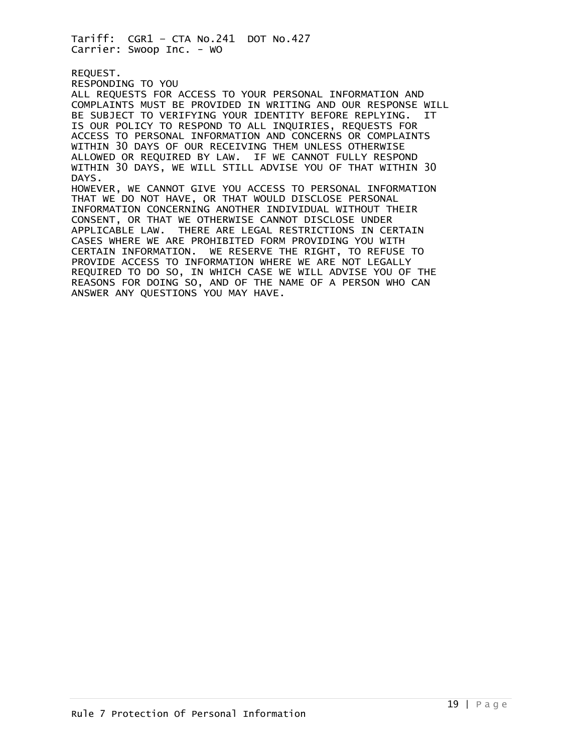REQUEST. RESPONDING TO YOU ALL REQUESTS FOR ACCESS TO YOUR PERSONAL INFORMATION AND COMPLAINTS MUST BE PROVIDED IN WRITING AND OUR RESPONSE WILL BE SUBJECT TO VERIFYING YOUR IDENTITY BEFORE REPLYING. IT IS OUR POLICY TO RESPOND TO ALL INQUIRIES, REQUESTS FOR ACCESS TO PERSONAL INFORMATION AND CONCERNS OR COMPLAINTS WITHIN 30 DAYS OF OUR RECEIVING THEM UNLESS OTHERWISE ALLOWED OR REQUIRED BY LAW. IF WE CANNOT FULLY RESPOND WITHIN 30 DAYS, WE WILL STILL ADVISE YOU OF THAT WITHIN 30 DAYS. HOWEVER, WE CANNOT GIVE YOU ACCESS TO PERSONAL INFORMATION THAT WE DO NOT HAVE, OR THAT WOULD DISCLOSE PERSONAL INFORMATION CONCERNING ANOTHER INDIVIDUAL WITHOUT THEIR CONSENT, OR THAT WE OTHERWISE CANNOT DISCLOSE UNDER APPLICABLE LAW. THERE ARE LEGAL RESTRICTIONS IN CERTAIN CASES WHERE WE ARE PROHIBITED FORM PROVIDING YOU WITH CERTAIN INFORMATION. WE RESERVE THE RIGHT, TO REFUSE TO PROVIDE ACCESS TO INFORMATION WHERE WE ARE NOT LEGALLY REQUIRED TO DO SO, IN WHICH CASE WE WILL ADVISE YOU OF THE REASONS FOR DOING SO, AND OF THE NAME OF A PERSON WHO CAN ANSWER ANY QUESTIONS YOU MAY HAVE.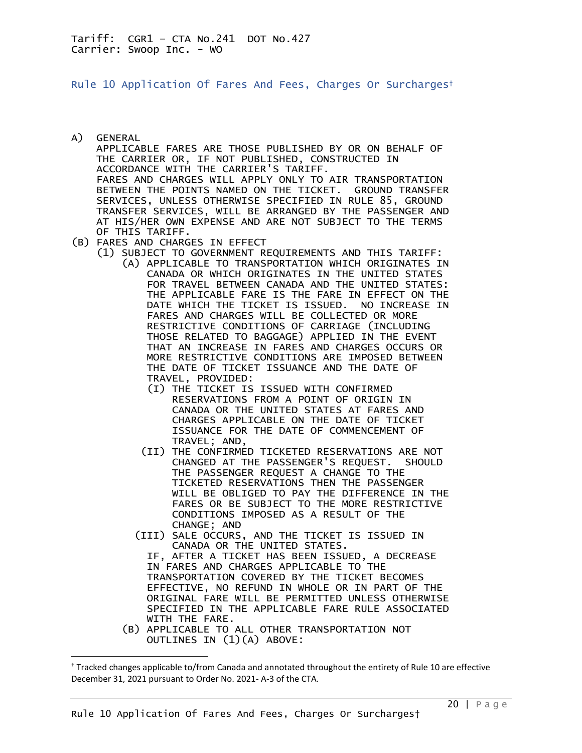<span id="page-19-0"></span>Rule 10 Application Of Fares And Fees, Charges Or Surcharges†

- A) GENERAL APPLICABLE FARES ARE THOSE PUBLISHED BY OR ON BEHALF OF THE CARRIER OR, IF NOT PUBLISHED, CONSTRUCTED IN ACCORDANCE WITH THE CARRIER'S TARIFF. FARES AND CHARGES WILL APPLY ONLY TO AIR TRANSPORTATION BETWEEN THE POINTS NAMED ON THE TICKET. GROUND TRANSFER SERVICES, UNLESS OTHERWISE SPECIFIED IN RULE 85, GROUND TRANSFER SERVICES, WILL BE ARRANGED BY THE PASSENGER AND AT HIS/HER OWN EXPENSE AND ARE NOT SUBJECT TO THE TERMS OF THIS TARIFF.
- (B) FARES AND CHARGES IN EFFECT
	- (1) SUBJECT TO GOVERNMENT REQUIREMENTS AND THIS TARIFF: (A) APPLICABLE TO TRANSPORTATION WHICH ORIGINATES IN CANADA OR WHICH ORIGINATES IN THE UNITED STATES FOR TRAVEL BETWEEN CANADA AND THE UNITED STATES: THE APPLICABLE FARE IS THE FARE IN EFFECT ON THE DATE WHICH THE TICKET IS ISSUED. NO INCREASE IN FARES AND CHARGES WILL BE COLLECTED OR MORE RESTRICTIVE CONDITIONS OF CARRIAGE (INCLUDING THOSE RELATED TO BAGGAGE) APPLIED IN THE EVENT THAT AN INCREASE IN FARES AND CHARGES OCCURS OR MORE RESTRICTIVE CONDITIONS ARE IMPOSED BETWEEN THE DATE OF TICKET ISSUANCE AND THE DATE OF TRAVEL, PROVIDED:
		- (I) THE TICKET IS ISSUED WITH CONFIRMED RESERVATIONS FROM A POINT OF ORIGIN IN CANADA OR THE UNITED STATES AT FARES AND CHARGES APPLICABLE ON THE DATE OF TICKET ISSUANCE FOR THE DATE OF COMMENCEMENT OF TRAVEL; AND,
		- (II) THE CONFIRMED TICKETED RESERVATIONS ARE NOT CHANGED AT THE PASSENGER'S REQUEST. SHOULD THE PASSENGER REQUEST A CHANGE TO THE TICKETED RESERVATIONS THEN THE PASSENGER WILL BE OBLIGED TO PAY THE DIFFERENCE IN THE FARES OR BE SUBJECT TO THE MORE RESTRICTIVE CONDITIONS IMPOSED AS A RESULT OF THE CHANGE; AND
		- (III) SALE OCCURS, AND THE TICKET IS ISSUED IN CANADA OR THE UNITED STATES.

 IF, AFTER A TICKET HAS BEEN ISSUED, A DECREASE IN FARES AND CHARGES APPLICABLE TO THE TRANSPORTATION COVERED BY THE TICKET BECOMES EFFECTIVE, NO REFUND IN WHOLE OR IN PART OF THE ORIGINAL FARE WILL BE PERMITTED UNLESS OTHERWISE SPECIFIED IN THE APPLICABLE FARE RULE ASSOCIATED WITH THE FARE.

 (B) APPLICABLE TO ALL OTHER TRANSPORTATION NOT OUTLINES IN  $(1)(A)$  ABOVE:

<sup>†</sup> Tracked changes applicable to/from Canada and annotated throughout the entirety of Rule 10 are effective December 31, 2021 pursuant to Order No. 2021- A-3 of the CTA.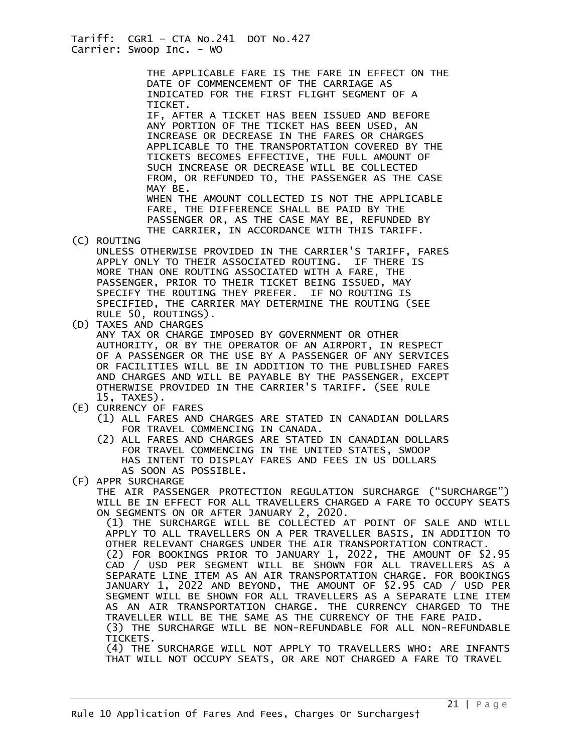THE APPLICABLE FARE IS THE FARE IN EFFECT ON THE DATE OF COMMENCEMENT OF THE CARRIAGE AS INDICATED FOR THE FIRST FLIGHT SEGMENT OF A TICKET.

 IF, AFTER A TICKET HAS BEEN ISSUED AND BEFORE ANY PORTION OF THE TICKET HAS BEEN USED, AN INCREASE OR DECREASE IN THE FARES OR CHARGES APPLICABLE TO THE TRANSPORTATION COVERED BY THE TICKETS BECOMES EFFECTIVE, THE FULL AMOUNT OF SUCH INCREASE OR DECREASE WILL BE COLLECTED FROM, OR REFUNDED TO, THE PASSENGER AS THE CASE MAY BE.

 WHEN THE AMOUNT COLLECTED IS NOT THE APPLICABLE FARE, THE DIFFERENCE SHALL BE PAID BY THE PASSENGER OR, AS THE CASE MAY BE, REFUNDED BY THE CARRIER, IN ACCORDANCE WITH THIS TARIFF.

- (C) ROUTING UNLESS OTHERWISE PROVIDED IN THE CARRIER'S TARIFF, FARES APPLY ONLY TO THEIR ASSOCIATED ROUTING. IF THERE IS MORE THAN ONE ROUTING ASSOCIATED WITH A FARE, THE PASSENGER, PRIOR TO THEIR TICKET BEING ISSUED, MAY SPECIFY THE ROUTING THEY PREFER. IF NO ROUTING IS SPECIFIED, THE CARRIER MAY DETERMINE THE ROUTING (SEE RULE 50, ROUTINGS).
- (D) TAXES AND CHARGES

 ANY TAX OR CHARGE IMPOSED BY GOVERNMENT OR OTHER AUTHORITY, OR BY THE OPERATOR OF AN AIRPORT, IN RESPECT OF A PASSENGER OR THE USE BY A PASSENGER OF ANY SERVICES OR FACILITIES WILL BE IN ADDITION TO THE PUBLISHED FARES AND CHARGES AND WILL BE PAYABLE BY THE PASSENGER, EXCEPT OTHERWISE PROVIDED IN THE CARRIER'S TARIFF. (SEE RULE 15, TAXES).

- (E) CURRENCY OF FARES
	- (1) ALL FARES AND CHARGES ARE STATED IN CANADIAN DOLLARS FOR TRAVEL COMMENCING IN CANADA.
	- (2) ALL FARES AND CHARGES ARE STATED IN CANADIAN DOLLARS FOR TRAVEL COMMENCING IN THE UNITED STATES, SWOOP HAS INTENT TO DISPLAY FARES AND FEES IN US DOLLARS AS SOON AS POSSIBLE.
- (F) APPR SURCHARGE

THE AIR PASSENGER PROTECTION REGULATION SURCHARGE ("SURCHARGE") WILL BE IN EFFECT FOR ALL TRAVELLERS CHARGED A FARE TO OCCUPY SEATS ON SEGMENTS ON OR AFTER JANUARY 2, 2020.

(1) THE SURCHARGE WILL BE COLLECTED AT POINT OF SALE AND WILL APPLY TO ALL TRAVELLERS ON A PER TRAVELLER BASIS, IN ADDITION TO OTHER RELEVANT CHARGES UNDER THE AIR TRANSPORTATION CONTRACT. (2) FOR BOOKINGS PRIOR TO JANUARY 1, 2022, THE AMOUNT OF \$2.95 CAD / USD PER SEGMENT WILL BE SHOWN FOR ALL TRAVELLERS AS A SEPARATE LINE ITEM AS AN AIR TRANSPORTATION CHARGE. FOR BOOKINGS JANUARY 1, 2022 AND BEYOND, THE AMOUNT OF \$2.95 CAD / USD PER SEGMENT WILL BE SHOWN FOR ALL TRAVELLERS AS A SEPARATE LINE ITEM AS AN AIR TRANSPORTATION CHARGE. THE CURRENCY CHARGED TO THE TRAVELLER WILL BE THE SAME AS THE CURRENCY OF THE FARE PAID. (3) THE SURCHARGE WILL BE NON-REFUNDABLE FOR ALL NON-REFUNDABLE TICKETS.

(4) THE SURCHARGE WILL NOT APPLY TO TRAVELLERS WHO: ARE INFANTS THAT WILL NOT OCCUPY SEATS, OR ARE NOT CHARGED A FARE TO TRAVEL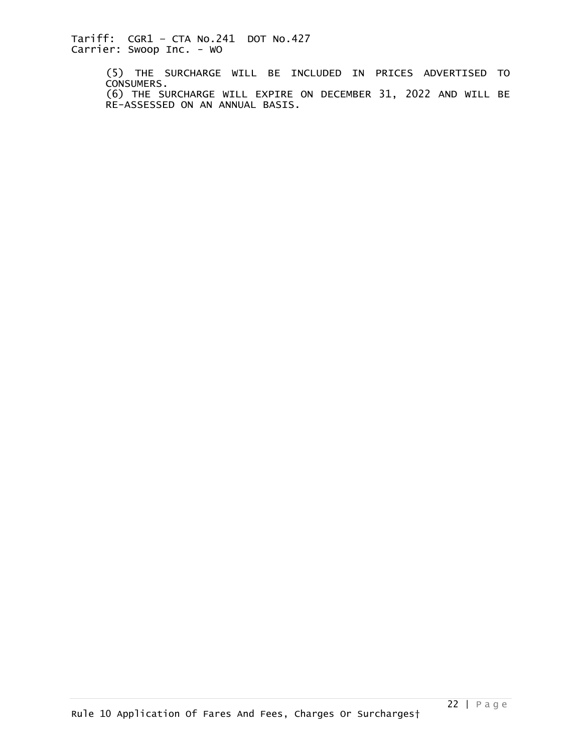> (5) THE SURCHARGE WILL BE INCLUDED IN PRICES ADVERTISED TO CONSUMERS. (6) THE SURCHARGE WILL EXPIRE ON DECEMBER 31, 2022 AND WILL BE RE-ASSESSED ON AN ANNUAL BASIS.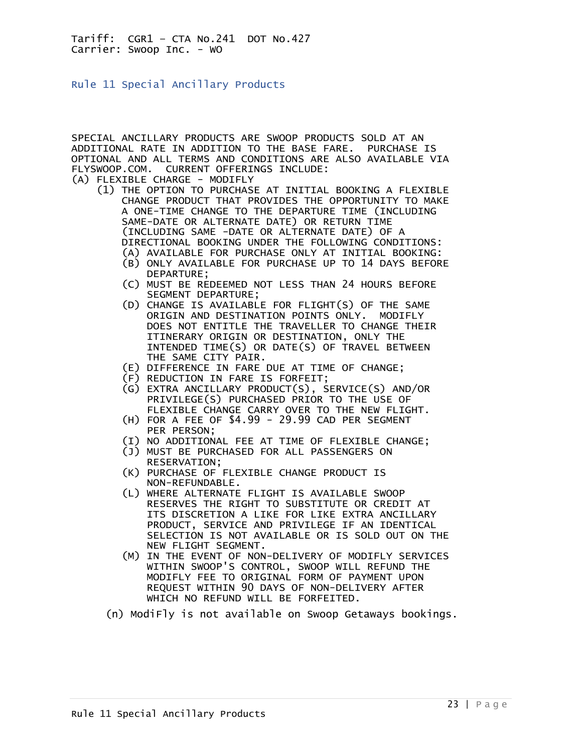<span id="page-22-0"></span>Rule 11 Special Ancillary Products

SPECIAL ANCILLARY PRODUCTS ARE SWOOP PRODUCTS SOLD AT AN ADDITIONAL RATE IN ADDITION TO THE BASE FARE. PURCHASE IS OPTIONAL AND ALL TERMS AND CONDITIONS ARE ALSO AVAILABLE VIA FLYSWOOP.COM. CURRENT OFFERINGS INCLUDE:

- (A) FLEXIBLE CHARGE MODIFLY
	- (1) THE OPTION TO PURCHASE AT INITIAL BOOKING A FLEXIBLE CHANGE PRODUCT THAT PROVIDES THE OPPORTUNITY TO MAKE A ONE-TIME CHANGE TO THE DEPARTURE TIME (INCLUDING SAME-DATE OR ALTERNATE DATE) OR RETURN TIME (INCLUDING SAME -DATE OR ALTERNATE DATE) OF A DIRECTIONAL BOOKING UNDER THE FOLLOWING CONDITIONS:
		- (A) AVAILABLE FOR PURCHASE ONLY AT INITIAL BOOKING:
		- (B) ONLY AVAILABLE FOR PURCHASE UP TO 14 DAYS BEFORE DEPARTURE;
		- (C) MUST BE REDEEMED NOT LESS THAN 24 HOURS BEFORE SEGMENT DEPARTURE;
		- (D) CHANGE IS AVAILABLE FOR FLIGHT(S) OF THE SAME ORIGIN AND DESTINATION POINTS ONLY. MODIFLY DOES NOT ENTITLE THE TRAVELLER TO CHANGE THEIR ITINERARY ORIGIN OR DESTINATION, ONLY THE INTENDED TIME(S) OR DATE(S) OF TRAVEL BETWEEN THE SAME CITY PAIR.
		- (E) DIFFERENCE IN FARE DUE AT TIME OF CHANGE;
		- (F) REDUCTION IN FARE IS FORFEIT;
		- (G) EXTRA ANCILLARY PRODUCT(S), SERVICE(S) AND/OR PRIVILEGE(S) PURCHASED PRIOR TO THE USE OF FLEXIBLE CHANGE CARRY OVER TO THE NEW FLIGHT.
		- (H) FOR A FEE OF \$4.99 29.99 CAD PER SEGMENT PER PERSON;
		- (I) NO ADDITIONAL FEE AT TIME OF FLEXIBLE CHANGE;
		- (J) MUST BE PURCHASED FOR ALL PASSENGERS ON RESERVATION;
		- (K) PURCHASE OF FLEXIBLE CHANGE PRODUCT IS NON-REFUNDABLE.
		- (L) WHERE ALTERNATE FLIGHT IS AVAILABLE SWOOP RESERVES THE RIGHT TO SUBSTITUTE OR CREDIT AT ITS DISCRETION A LIKE FOR LIKE EXTRA ANCILLARY PRODUCT, SERVICE AND PRIVILEGE IF AN IDENTICAL SELECTION IS NOT AVAILABLE OR IS SOLD OUT ON THE NEW FLIGHT SEGMENT.
- (M) IN THE EVENT OF NON-DELIVERY OF MODIFLY SERVICES WITHIN SWOOP'S CONTROL, SWOOP WILL REFUND THE MODIFLY FEE TO ORIGINAL FORM OF PAYMENT UPON REQUEST WITHIN 90 DAYS OF NON-DELIVERY AFTER WHICH NO REFUND WILL BE FORFEITED.
	- (n) ModiFly is not available on Swoop Getaways bookings.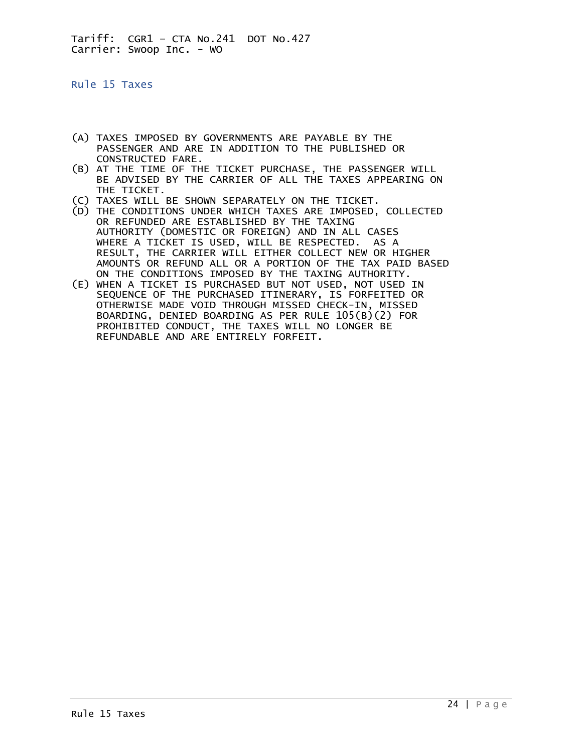<span id="page-23-0"></span>Rule 15 Taxes

- (A) TAXES IMPOSED BY GOVERNMENTS ARE PAYABLE BY THE PASSENGER AND ARE IN ADDITION TO THE PUBLISHED OR CONSTRUCTED FARE.
- (B) AT THE TIME OF THE TICKET PURCHASE, THE PASSENGER WILL BE ADVISED BY THE CARRIER OF ALL THE TAXES APPEARING ON THE TICKET.
- (C) TAXES WILL BE SHOWN SEPARATELY ON THE TICKET.
- (D) THE CONDITIONS UNDER WHICH TAXES ARE IMPOSED, COLLECTED OR REFUNDED ARE ESTABLISHED BY THE TAXING AUTHORITY (DOMESTIC OR FOREIGN) AND IN ALL CASES WHERE A TICKET IS USED, WILL BE RESPECTED. AS A RESULT, THE CARRIER WILL EITHER COLLECT NEW OR HIGHER AMOUNTS OR REFUND ALL OR A PORTION OF THE TAX PAID BASED ON THE CONDITIONS IMPOSED BY THE TAXING AUTHORITY.
- (E) WHEN A TICKET IS PURCHASED BUT NOT USED, NOT USED IN SEQUENCE OF THE PURCHASED ITINERARY, IS FORFEITED OR OTHERWISE MADE VOID THROUGH MISSED CHECK-IN, MISSED BOARDING, DENIED BOARDING AS PER RULE 105(B)(2) FOR PROHIBITED CONDUCT, THE TAXES WILL NO LONGER BE REFUNDABLE AND ARE ENTIRELY FORFEIT.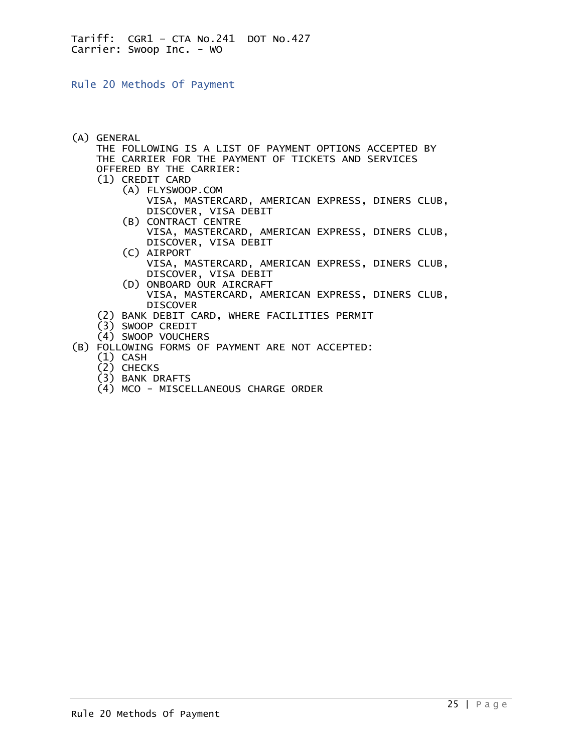<span id="page-24-0"></span>Rule 20 Methods Of Payment

(A) GENERAL

 THE FOLLOWING IS A LIST OF PAYMENT OPTIONS ACCEPTED BY THE CARRIER FOR THE PAYMENT OF TICKETS AND SERVICES OFFERED BY THE CARRIER:

- (1) CREDIT CARD
	- (A) FLYSWOOP.COM VISA, MASTERCARD, AMERICAN EXPRESS, DINERS CLUB, DISCOVER, VISA DEBIT
	- (B) CONTRACT CENTRE VISA, MASTERCARD, AMERICAN EXPRESS, DINERS CLUB, DISCOVER, VISA DEBIT
	- (C) AIRPORT VISA, MASTERCARD, AMERICAN EXPRESS, DINERS CLUB, DISCOVER, VISA DEBIT
	- (D) ONBOARD OUR AIRCRAFT VISA, MASTERCARD, AMERICAN EXPRESS, DINERS CLUB, DISCOVER
- (2) BANK DEBIT CARD, WHERE FACILITIES PERMIT
- $(3)$  SWOOP CREDIT
- (4) SWOOP VOUCHERS
- (B) FOLLOWING FORMS OF PAYMENT ARE NOT ACCEPTED:
	- (1) CASH
	- (2) CHECKS
	- (3) BANK DRAFTS
	- (4) MCO MISCELLANEOUS CHARGE ORDER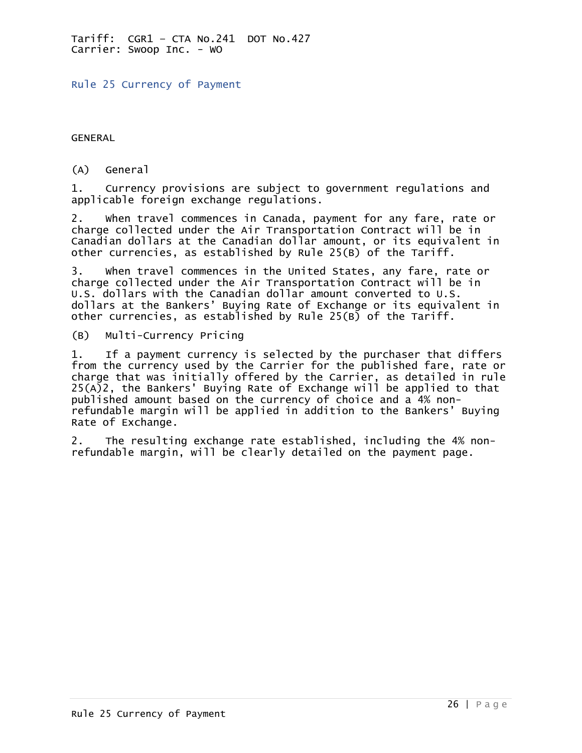<span id="page-25-0"></span>Rule 25 Currency of Payment

GENERAL

(A) General

1. Currency provisions are subject to government regulations and applicable foreign exchange regulations.

2. When travel commences in Canada, payment for any fare, rate or charge collected under the Air Transportation Contract will be in Canadian dollars at the Canadian dollar amount, or its equivalent in other currencies, as established by Rule 25(B) of the Tariff.

3. When travel commences in the United States, any fare, rate or charge collected under the Air Transportation Contract will be in U.S. dollars with the Canadian dollar amount converted to U.S. dollars at the Bankers' Buying Rate of Exchange or its equivalent in other currencies, as established by Rule 25(B) of the Tariff.

(B) Multi-Currency Pricing

1. If a payment currency is selected by the purchaser that differs from the currency used by the Carrier for the published fare, rate or charge that was initially offered by the Carrier, as detailed in rule 25(A)2, the Bankers' Buying Rate of Exchange will be applied to that published amount based on the currency of choice and a 4% nonrefundable margin will be applied in addition to the Bankers' Buying Rate of Exchange.

2. The resulting exchange rate established, including the 4% nonrefundable margin, will be clearly detailed on the payment page.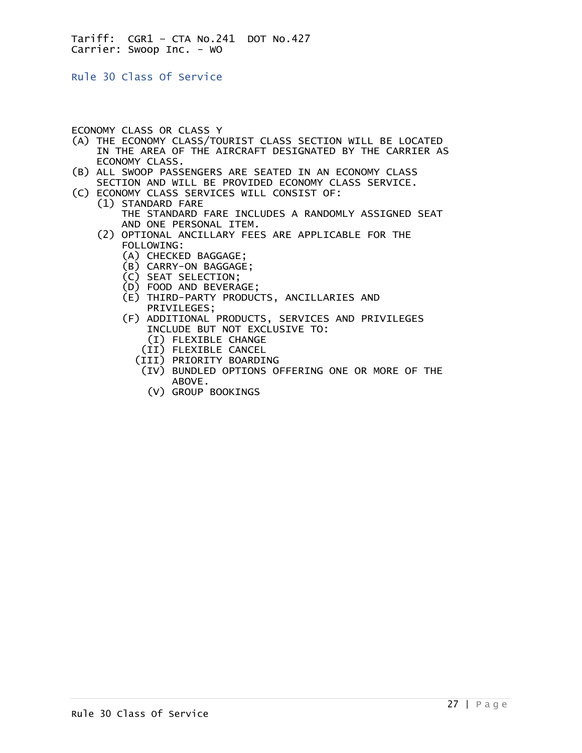<span id="page-26-0"></span>Rule 30 Class Of Service

## ECONOMY CLASS OR CLASS Y

- (A) THE ECONOMY CLASS/TOURIST CLASS SECTION WILL BE LOCATED IN THE AREA OF THE AIRCRAFT DESIGNATED BY THE CARRIER AS ECONOMY CLASS.
- (B) ALL SWOOP PASSENGERS ARE SEATED IN AN ECONOMY CLASS SECTION AND WILL BE PROVIDED ECONOMY CLASS SERVICE.
- (C) ECONOMY CLASS SERVICES WILL CONSIST OF:
	- (1) STANDARD FARE THE STANDARD FARE INCLUDES A RANDOMLY ASSIGNED SEAT AND ONE PERSONAL ITEM.
	- (2) OPTIONAL ANCILLARY FEES ARE APPLICABLE FOR THE FOLLOWING:
		- (A) CHECKED BAGGAGE;
		- (B) CARRY-ON BAGGAGE;
		- (C) SEAT SELECTION;
		- (D) FOOD AND BEVERAGE;
		- (E) THIRD-PARTY PRODUCTS, ANCILLARIES AND PRIVILEGES;
		- (F) ADDITIONAL PRODUCTS, SERVICES AND PRIVILEGES INCLUDE BUT NOT EXCLUSIVE TO:
			- (I) FLEXIBLE CHANGE
			- (II) FLEXIBLE CANCEL
			- (III) PRIORITY BOARDING
			- (IV) BUNDLED OPTIONS OFFERING ONE OR MORE OF THE ABOVE.
				- (V) GROUP BOOKINGS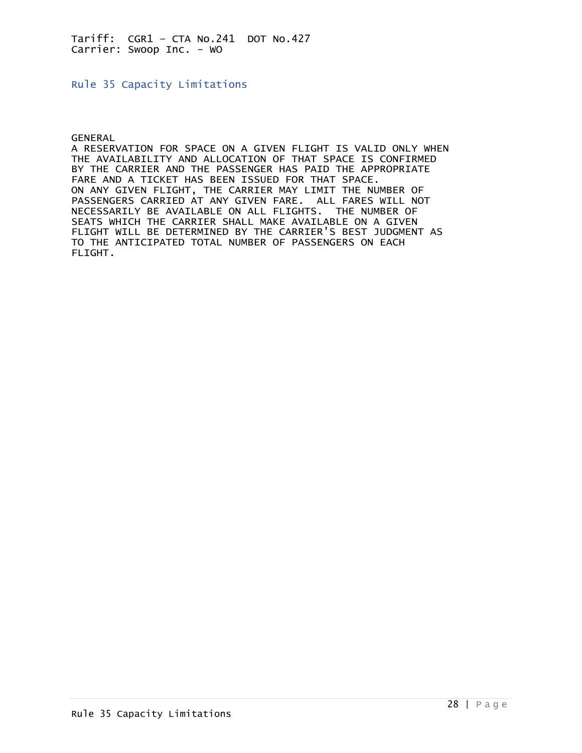<span id="page-27-0"></span>Rule 35 Capacity Limitations

GENERAL

A RESERVATION FOR SPACE ON A GIVEN FLIGHT IS VALID ONLY WHEN THE AVAILABILITY AND ALLOCATION OF THAT SPACE IS CONFIRMED BY THE CARRIER AND THE PASSENGER HAS PAID THE APPROPRIATE FARE AND A TICKET HAS BEEN ISSUED FOR THAT SPACE. ON ANY GIVEN FLIGHT, THE CARRIER MAY LIMIT THE NUMBER OF PASSENGERS CARRIED AT ANY GIVEN FARE. ALL FARES WILL NOT NECESSARILY BE AVAILABLE ON ALL FLIGHTS. THE NUMBER OF SEATS WHICH THE CARRIER SHALL MAKE AVAILABLE ON A GIVEN FLIGHT WILL BE DETERMINED BY THE CARRIER'S BEST JUDGMENT AS TO THE ANTICIPATED TOTAL NUMBER OF PASSENGERS ON EACH FLIGHT.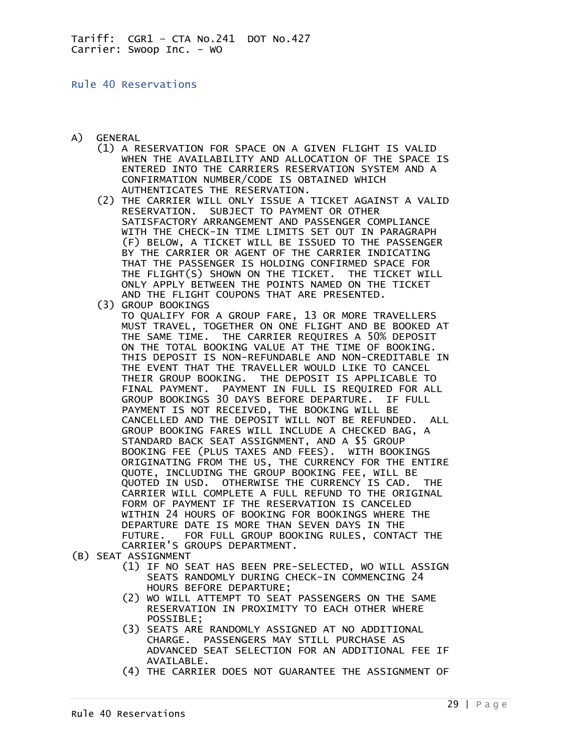## <span id="page-28-0"></span>Rule 40 Reservations

- A) GENERAL
	- (1) A RESERVATION FOR SPACE ON A GIVEN FLIGHT IS VALID WHEN THE AVAILABILITY AND ALLOCATION OF THE SPACE IS ENTERED INTO THE CARRIERS RESERVATION SYSTEM AND A CONFIRMATION NUMBER/CODE IS OBTAINED WHICH AUTHENTICATES THE RESERVATION.
	- (2) THE CARRIER WILL ONLY ISSUE A TICKET AGAINST A VALID RESERVATION. SUBJECT TO PAYMENT OR OTHER SATISFACTORY ARRANGEMENT AND PASSENGER COMPLIANCE WITH THE CHECK-IN TIME LIMITS SET OUT IN PARAGRAPH (F) BELOW, A TICKET WILL BE ISSUED TO THE PASSENGER BY THE CARRIER OR AGENT OF THE CARRIER INDICATING THAT THE PASSENGER IS HOLDING CONFIRMED SPACE FOR THE FLIGHT(S) SHOWN ON THE TICKET. THE TICKET WILL ONLY APPLY BETWEEN THE POINTS NAMED ON THE TICKET AND THE FLIGHT COUPONS THAT ARE PRESENTED.
	- (3) GROUP BOOKINGS
- TO QUALIFY FOR A GROUP FARE, 13 OR MORE TRAVELLERS MUST TRAVEL, TOGETHER ON ONE FLIGHT AND BE BOOKED AT THE SAME TIME. THE CARRIER REQUIRES A 50% DEPOSIT ON THE TOTAL BOOKING VALUE AT THE TIME OF BOOKING. THIS DEPOSIT IS NON-REFUNDABLE AND NON-CREDITABLE IN THE EVENT THAT THE TRAVELLER WOULD LIKE TO CANCEL THEIR GROUP BOOKING. THE DEPOSIT IS APPLICABLE TO FINAL PAYMENT. PAYMENT IN FULL IS REQUIRED FOR ALL GROUP BOOKINGS 30 DAYS BEFORE DEPARTURE. IF FULL PAYMENT IS NOT RECEIVED, THE BOOKING WILL BE CANCELLED AND THE DEPOSIT WILL NOT BE REFUNDED. ALL GROUP BOOKING FARES WILL INCLUDE A CHECKED BAG, A STANDARD BACK SEAT ASSIGNMENT, AND A \$5 GROUP BOOKING FEE (PLUS TAXES AND FEES). WITH BOOKINGS ORIGINATING FROM THE US, THE CURRENCY FOR THE ENTIRE QUOTE, INCLUDING THE GROUP BOOKING FEE, WILL BE QUOTED IN USD. OTHERWISE THE CURRENCY IS CAD. THE CARRIER WILL COMPLETE A FULL REFUND TO THE ORIGINAL FORM OF PAYMENT IF THE RESERVATION IS CANCELED WITHIN 24 HOURS OF BOOKING FOR BOOKINGS WHERE THE DEPARTURE DATE IS MORE THAN SEVEN DAYS IN THE FUTURE. FOR FULL GROUP BOOKING RULES, CONTACT THE CARRIER'S GROUPS DEPARTMENT.
- (B) SEAT ASSIGNMENT
	- (1) IF NO SEAT HAS BEEN PRE-SELECTED, WO WILL ASSIGN SEATS RANDOMLY DURING CHECK-IN COMMENCING 24 HOURS BEFORE DEPARTURE;
	- (2) WO WILL ATTEMPT TO SEAT PASSENGERS ON THE SAME RESERVATION IN PROXIMITY TO EACH OTHER WHERE POSSIBLE;
	- (3) SEATS ARE RANDOMLY ASSIGNED AT NO ADDITIONAL CHARGE. PASSENGERS MAY STILL PURCHASE AS ADVANCED SEAT SELECTION FOR AN ADDITIONAL FEE IF AVAILABLE.
	- (4) THE CARRIER DOES NOT GUARANTEE THE ASSIGNMENT OF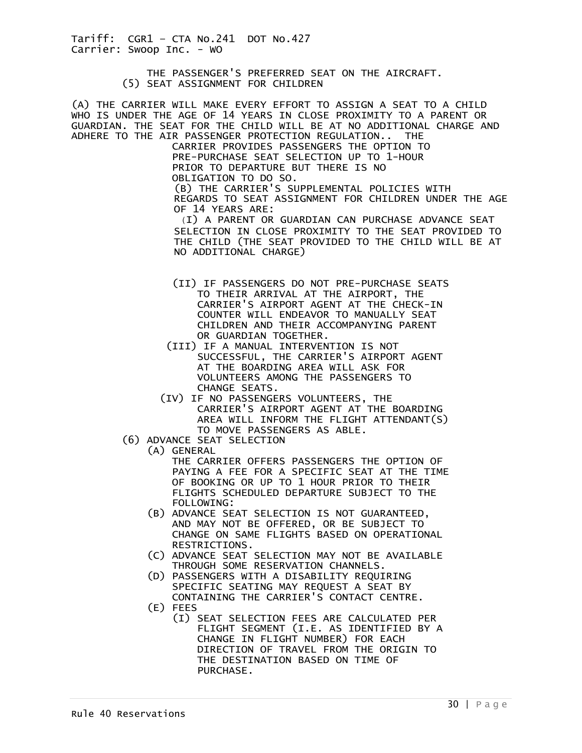> THE PASSENGER'S PREFERRED SEAT ON THE AIRCRAFT. (5) SEAT ASSIGNMENT FOR CHILDREN

(A) THE CARRIER WILL MAKE EVERY EFFORT TO ASSIGN A SEAT TO A CHILD WHO IS UNDER THE AGE OF 14 YEARS IN CLOSE PROXIMITY TO A PARENT OR GUARDIAN. THE SEAT FOR THE CHILD WILL BE AT NO ADDITIONAL CHARGE AND ADHERE TO THE AIR PASSENGER PROTECTION REGULATION.. THE

 CARRIER PROVIDES PASSENGERS THE OPTION TO PRE-PURCHASE SEAT SELECTION UP TO 1-HOUR PRIOR TO DEPARTURE BUT THERE IS NO OBLIGATION TO DO SO. (B) THE CARRIER'S SUPPLEMENTAL POLICIES WITH

REGARDS TO SEAT ASSIGNMENT FOR CHILDREN UNDER THE AGE OF 14 YEARS ARE:

(I) A PARENT OR GUARDIAN CAN PURCHASE ADVANCE SEAT SELECTION IN CLOSE PROXIMITY TO THE SEAT PROVIDED TO THE CHILD (THE SEAT PROVIDED TO THE CHILD WILL BE AT NO ADDITIONAL CHARGE)

- (II) IF PASSENGERS DO NOT PRE-PURCHASE SEATS TO THEIR ARRIVAL AT THE AIRPORT, THE CARRIER'S AIRPORT AGENT AT THE CHECK-IN COUNTER WILL ENDEAVOR TO MANUALLY SEAT CHILDREN AND THEIR ACCOMPANYING PARENT OR GUARDIAN TOGETHER.
- (III) IF A MANUAL INTERVENTION IS NOT SUCCESSFUL, THE CARRIER'S AIRPORT AGENT AT THE BOARDING AREA WILL ASK FOR VOLUNTEERS AMONG THE PASSENGERS TO CHANGE SEATS.
- (IV) IF NO PASSENGERS VOLUNTEERS, THE CARRIER'S AIRPORT AGENT AT THE BOARDING AREA WILL INFORM THE FLIGHT ATTENDANT(S) TO MOVE PASSENGERS AS ABLE.
- (6) ADVANCE SEAT SELECTION
	- (A) GENERAL

 THE CARRIER OFFERS PASSENGERS THE OPTION OF PAYING A FEE FOR A SPECIFIC SEAT AT THE TIME OF BOOKING OR UP TO 1 HOUR PRIOR TO THEIR FLIGHTS SCHEDULED DEPARTURE SUBJECT TO THE FOLLOWING:

- (B) ADVANCE SEAT SELECTION IS NOT GUARANTEED, AND MAY NOT BE OFFERED, OR BE SUBJECT TO CHANGE ON SAME FLIGHTS BASED ON OPERATIONAL RESTRICTIONS.
- (C) ADVANCE SEAT SELECTION MAY NOT BE AVAILABLE THROUGH SOME RESERVATION CHANNELS.
- (D) PASSENGERS WITH A DISABILITY REQUIRING SPECIFIC SEATING MAY REQUEST A SEAT BY CONTAINING THE CARRIER'S CONTACT CENTRE.
- (E) FEES
	- (I) SEAT SELECTION FEES ARE CALCULATED PER FLIGHT SEGMENT (I.E. AS IDENTIFIED BY A CHANGE IN FLIGHT NUMBER) FOR EACH DIRECTION OF TRAVEL FROM THE ORIGIN TO THE DESTINATION BASED ON TIME OF PURCHASE.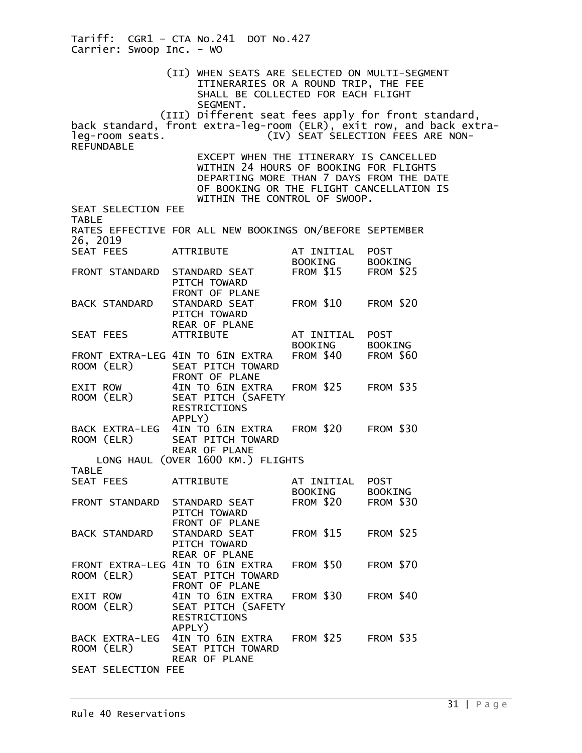Tariff: CGR1 – CTA No.241 DOT No.427 Carrier: Swoop Inc. - WO (II) WHEN SEATS ARE SELECTED ON MULTI-SEGMENT ITINERARIES OR A ROUND TRIP, THE FEE SHALL BE COLLECTED FOR EACH FLIGHT SEGMENT. (III) Different seat fees apply for front standard, back standard, front extra-leg-room (ELR), exit row, and back extra-<br>leg-room seats. (IV) SEAT SELECTION FEES ARE NON-(IV) SEAT SELECTION FEES ARE NON-REFUNDABLE EXCEPT WHEN THE ITINERARY IS CANCELLED WITHIN 24 HOURS OF BOOKING FOR FLIGHTS DEPARTING MORE THAN 7 DAYS FROM THE DATE OF BOOKING OR THE FLIGHT CANCELLATION IS WITHIN THE CONTROL OF SWOOP. SEAT SELECTION FEE TABLE RATES EFFECTIVE FOR ALL NEW BOOKINGS ON/BEFORE SEPTEMBER 26, 2019<br>SEAT FEES SEAT FEES ATTRIBUTE AT INITIAL POST BOOKING BOOKING<br>STANDARD SEAT FROM \$15 FROM \$25 FRONT STANDARD PITCH TOWARD FRONT OF PLANE BACK STANDARD STANDARD SEAT FROM \$10 FROM \$20 PITCH TOWARD REAR OF PLANE<br>ATTRIBUTE SEAT FEES ATTRIBUTE AT INITIAL POST BOOKING BOOKING<br>FROM \$40 FROM \$60 FRONT EXTRA-LEG 4IN TO 6IN EXTRA<br>ROOM (ELR) SEAT PITCH TOWARI SEAT PITCH TOWARD FRONT OF PLANE<br>EXIT ROW 4IN TO 6IN EXT EXIT ROW 4IN TO 6IN EXTRA FROM \$25 FROM \$35<br>ROOM (ELR) SEAT PITCH (SAFETY SEAT PITCH (SAFETY RESTRICTIONS APPLY) BACK EXTRA-LEG 4IN TO 6IN EXTRA FROM \$20 FROM \$30<br>ROOM (ELR) SEAT PITCH TOWARD SEAT PITCH TOWARD REAR OF PLANE LONG HAUL (OVER 1600 KM.) FLIGHTS TABLE<br>SEAT FEES ATTRIBUTE AT INITIAL POST BOOKING BOOKING<br>STANDARD SEAT FROM \$20 FROM \$30 FRONT STANDARD PITCH TOWARD FRONT OF PLANE BACK STANDARD STANDARD SEAT FROM \$15 FROM \$25 PITCH TOWARD REAR OF PLANE FRONT EXTRA-LEG 4IN TO 6IN EXTRA FROM \$50 FROM \$70<br>ROOM (ELR) SEAT PITCH TOWARD SEAT PITCH TOWARD FRONT OF PLANE<br>EXIT ROW 4IN TO 6IN EXT 4IN TO 6IN EXTRA FROM \$30 FROM \$40 ROOM (ELR) SEAT PITCH (SAFETY RESTRICTIONS APPLY) BACK EXTRA-LEG 4IN TO 6IN EXTRA FROM \$25 FROM \$35<br>ROOM (ELR) SEAT PITCH TOWARD SEAT PITCH TOWARD REAR OF PLANE SEAT SELECTION FEE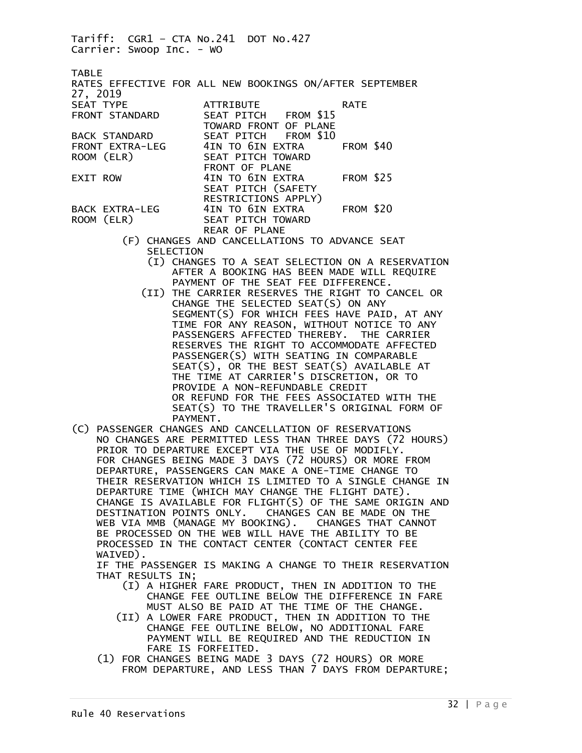Tariff: CGR1 – CTA No.241 DOT No.427 Carrier: Swoop Inc. - WO TABLE RATES EFFECTIVE FOR ALL NEW BOOKINGS ON/AFTER SEPTEMBER 27, 2019 SEAT TYPE ATTRIBUTE RATE FRONT STANDARD SEAT PITCH TOWARD FRONT OF PLANE<br>SEAT PITCH FROM \$10 BACK STANDARD SEAT PITCH FROM \$10 FRONT EXTRA-LEG 4IN TO 6IN EXTRA<br>ROOM (ELR) SEAT PITCH TOWARD SEAT PITCH TOWARD FRONT OF PLANE EXIT ROW 4IN TO 6IN EXTRA FROM \$25 SEAT PITCH (SAFETY RESTRICTIONS APPLY) BACK EXTRA-LEG 4IN TO 6IN EXTRA FROM \$20<br>ROOM (ELR) SEAT PITCH TOWARD SEAT PITCH TOWARD REAR OF PLANE

- (F) CHANGES AND CANCELLATIONS TO ADVANCE SEAT SELECTION
	- (I) CHANGES TO A SEAT SELECTION ON A RESERVATION AFTER A BOOKING HAS BEEN MADE WILL REQUIRE PAYMENT OF THE SEAT FEE DIFFERENCE.
	- (II) THE CARRIER RESERVES THE RIGHT TO CANCEL OR CHANGE THE SELECTED SEAT(S) ON ANY SEGMENT(S) FOR WHICH FEES HAVE PAID, AT ANY TIME FOR ANY REASON, WITHOUT NOTICE TO ANY PASSENGERS AFFECTED THEREBY. THE CARRIER RESERVES THE RIGHT TO ACCOMMODATE AFFECTED PASSENGER(S) WITH SEATING IN COMPARABLE SEAT(S), OR THE BEST SEAT(S) AVAILABLE AT THE TIME AT CARRIER'S DISCRETION, OR TO PROVIDE A NON-REFUNDABLE CREDIT OR REFUND FOR THE FEES ASSOCIATED WITH THE SEAT(S) TO THE TRAVELLER'S ORIGINAL FORM OF PAYMENT.
- (C) PASSENGER CHANGES AND CANCELLATION OF RESERVATIONS NO CHANGES ARE PERMITTED LESS THAN THREE DAYS (72 HOURS) PRIOR TO DEPARTURE EXCEPT VIA THE USE OF MODIFLY. FOR CHANGES BEING MADE 3 DAYS (72 HOURS) OR MORE FROM DEPARTURE, PASSENGERS CAN MAKE A ONE-TIME CHANGE TO THEIR RESERVATION WHICH IS LIMITED TO A SINGLE CHANGE IN DEPARTURE TIME (WHICH MAY CHANGE THE FLIGHT DATE). CHANGE IS AVAILABLE FOR FLIGHT(S) OF THE SAME ORIGIN AND DESTINATION POINTS ONLY. CHANGES CAN BE MADE ON THE WEB VIA MMB (MANAGE MY BOOKING). CHANGES THAT CANNOT BE PROCESSED ON THE WEB WILL HAVE THE ABILITY TO BE PROCESSED IN THE CONTACT CENTER (CONTACT CENTER FEE WAIVED).

 IF THE PASSENGER IS MAKING A CHANGE TO THEIR RESERVATION THAT RESULTS IN;

- (I) A HIGHER FARE PRODUCT, THEN IN ADDITION TO THE CHANGE FEE OUTLINE BELOW THE DIFFERENCE IN FARE MUST ALSO BE PAID AT THE TIME OF THE CHANGE.
- (II) A LOWER FARE PRODUCT, THEN IN ADDITION TO THE CHANGE FEE OUTLINE BELOW, NO ADDITIONAL FARE PAYMENT WILL BE REQUIRED AND THE REDUCTION IN FARE IS FORFEITED.
	- (1) FOR CHANGES BEING MADE 3 DAYS (72 HOURS) OR MORE FROM DEPARTURE, AND LESS THAN 7 DAYS FROM DEPARTURE;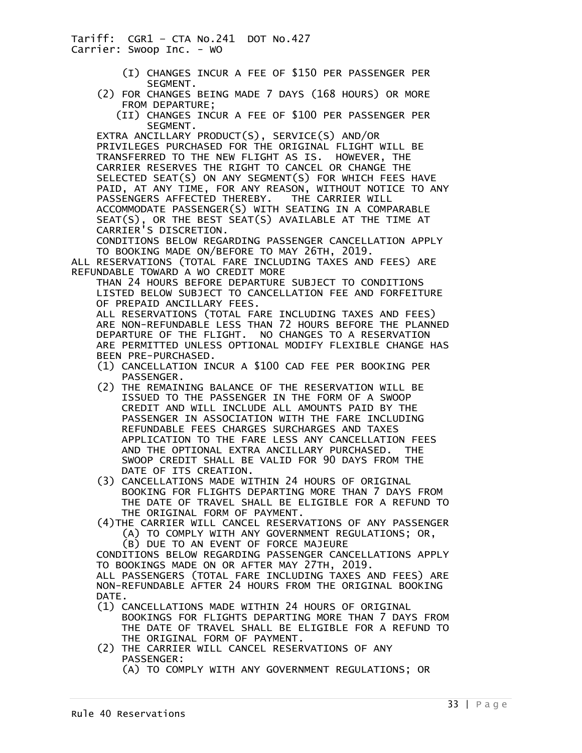- (I) CHANGES INCUR A FEE OF \$150 PER PASSENGER PER SEGMENT.
- (2) FOR CHANGES BEING MADE 7 DAYS (168 HOURS) OR MORE FROM DEPARTURE;
	- (II) CHANGES INCUR A FEE OF \$100 PER PASSENGER PER SEGMENT.

 EXTRA ANCILLARY PRODUCT(S), SERVICE(S) AND/OR PRIVILEGES PURCHASED FOR THE ORIGINAL FLIGHT WILL BE TRANSFERRED TO THE NEW FLIGHT AS IS. HOWEVER, THE CARRIER RESERVES THE RIGHT TO CANCEL OR CHANGE THE SELECTED SEAT(S) ON ANY SEGMENT(S) FOR WHICH FEES HAVE PAID, AT ANY TIME, FOR ANY REASON, WITHOUT NOTICE TO ANY PASSENGERS AFFECTED THEREBY. THE CARRIER WILL ACCOMMODATE PASSENGER(S) WITH SEATING IN A COMPARABLE SEAT(S), OR THE BEST SEAT(S) AVAILABLE AT THE TIME AT CARRIER'S DISCRETION.

 CONDITIONS BELOW REGARDING PASSENGER CANCELLATION APPLY TO BOOKING MADE ON/BEFORE TO MAY 26TH, 2019.

ALL RESERVATIONS (TOTAL FARE INCLUDING TAXES AND FEES) ARE REFUNDABLE TOWARD A WO CREDIT MORE

 THAN 24 HOURS BEFORE DEPARTURE SUBJECT TO CONDITIONS LISTED BELOW SUBJECT TO CANCELLATION FEE AND FORFEITURE OF PREPAID ANCILLARY FEES.

 ALL RESERVATIONS (TOTAL FARE INCLUDING TAXES AND FEES) ARE NON-REFUNDABLE LESS THAN 72 HOURS BEFORE THE PLANNED DEPARTURE OF THE FLIGHT. NO CHANGES TO A RESERVATION ARE PERMITTED UNLESS OPTIONAL MODIFY FLEXIBLE CHANGE HAS BEEN PRE-PURCHASED.

- (1) CANCELLATION INCUR A \$100 CAD FEE PER BOOKING PER PASSENGER.
- (2) THE REMAINING BALANCE OF THE RESERVATION WILL BE ISSUED TO THE PASSENGER IN THE FORM OF A SWOOP CREDIT AND WILL INCLUDE ALL AMOUNTS PAID BY THE PASSENGER IN ASSOCIATION WITH THE FARE INCLUDING REFUNDABLE FEES CHARGES SURCHARGES AND TAXES APPLICATION TO THE FARE LESS ANY CANCELLATION FEES AND THE OPTIONAL EXTRA ANCILLARY PURCHASED. THE SWOOP CREDIT SHALL BE VALID FOR 90 DAYS FROM THE DATE OF ITS CREATION.
- (3) CANCELLATIONS MADE WITHIN 24 HOURS OF ORIGINAL BOOKING FOR FLIGHTS DEPARTING MORE THAN 7 DAYS FROM THE DATE OF TRAVEL SHALL BE ELIGIBLE FOR A REFUND TO THE ORIGINAL FORM OF PAYMENT.
- (4)THE CARRIER WILL CANCEL RESERVATIONS OF ANY PASSENGER (A) TO COMPLY WITH ANY GOVERNMENT REGULATIONS; OR, (B) DUE TO AN EVENT OF FORCE MAJEURE

 CONDITIONS BELOW REGARDING PASSENGER CANCELLATIONS APPLY TO BOOKINGS MADE ON OR AFTER MAY 27TH, 2019.

 ALL PASSENGERS (TOTAL FARE INCLUDING TAXES AND FEES) ARE NON-REFUNDABLE AFTER 24 HOURS FROM THE ORIGINAL BOOKING DATE.

- (1) CANCELLATIONS MADE WITHIN 24 HOURS OF ORIGINAL BOOKINGS FOR FLIGHTS DEPARTING MORE THAN 7 DAYS FROM THE DATE OF TRAVEL SHALL BE ELIGIBLE FOR A REFUND TO THE ORIGINAL FORM OF PAYMENT.
- (2) THE CARRIER WILL CANCEL RESERVATIONS OF ANY PASSENGER: (A) TO COMPLY WITH ANY GOVERNMENT REGULATIONS; OR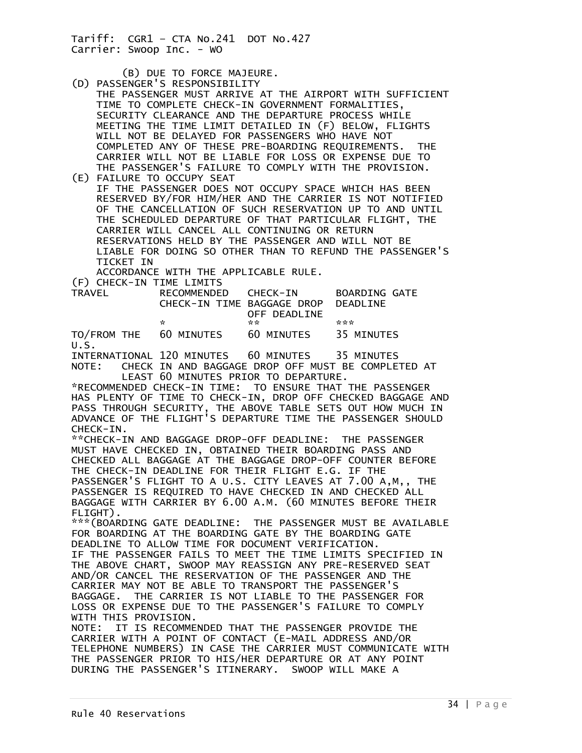(B) DUE TO FORCE MAJEURE.

- (D) PASSENGER'S RESPONSIBILITY THE PASSENGER MUST ARRIVE AT THE AIRPORT WITH SUFFICIENT TIME TO COMPLETE CHECK-IN GOVERNMENT FORMALITIES, SECURITY CLEARANCE AND THE DEPARTURE PROCESS WHILE MEETING THE TIME LIMIT DETAILED IN (F) BELOW, FLIGHTS WILL NOT BE DELAYED FOR PASSENGERS WHO HAVE NOT COMPLETED ANY OF THESE PRE-BOARDING REQUIREMENTS. THE CARRIER WILL NOT BE LIABLE FOR LOSS OR EXPENSE DUE TO THE PASSENGER'S FAILURE TO COMPLY WITH THE PROVISION.
- (E) FAILURE TO OCCUPY SEAT IF THE PASSENGER DOES NOT OCCUPY SPACE WHICH HAS BEEN RESERVED BY/FOR HIM/HER AND THE CARRIER IS NOT NOTIFIED OF THE CANCELLATION OF SUCH RESERVATION UP TO AND UNTIL THE SCHEDULED DEPARTURE OF THAT PARTICULAR FLIGHT, THE CARRIER WILL CANCEL ALL CONTINUING OR RETURN RESERVATIONS HELD BY THE PASSENGER AND WILL NOT BE LIABLE FOR DOING SO OTHER THAN TO REFUND THE PASSENGER'S TICKET IN

ACCORDANCE WITH THE APPLICABLE RULE.

(F) CHECK-IN TIME LIMITS

| <b>TRAVEL</b> | RECOMMENDED CHECK-IN |                                     | BOARDING GATE |
|---------------|----------------------|-------------------------------------|---------------|
|               |                      | CHECK-IN TIME BAGGAGE DROP DEADLINE |               |
|               |                      | OFF DEADLINE                        |               |
|               | ÷.                   | <b>Service</b>                      | ***           |
|               |                      |                                     |               |

TO/FROM THE 60 MINUTES 60 MINUTES 35 MINUTES U.S.

INTERNATIONAL 120 MINUTES 60 MINUTES 35 MINUTES NOTE: CHECK IN AND BAGGAGE DROP OFF MUST BE COMPLETED AT LEAST 60 MINUTES PRIOR TO DEPARTURE.

\*RECOMMENDED CHECK-IN TIME: TO ENSURE THAT THE PASSENGER HAS PLENTY OF TIME TO CHECK-IN, DROP OFF CHECKED BAGGAGE AND PASS THROUGH SECURITY, THE ABOVE TABLE SETS OUT HOW MUCH IN ADVANCE OF THE FLIGHT'S DEPARTURE TIME THE PASSENGER SHOULD CHECK-IN.

\*\*CHECK-IN AND BAGGAGE DROP-OFF DEADLINE: THE PASSENGER MUST HAVE CHECKED IN, OBTAINED THEIR BOARDING PASS AND CHECKED ALL BAGGAGE AT THE BAGGAGE DROP-OFF COUNTER BEFORE THE CHECK-IN DEADLINE FOR THEIR FLIGHT E.G. IF THE PASSENGER'S FLIGHT TO A U.S. CITY LEAVES AT 7.00 A,M,, THE PASSENGER IS REQUIRED TO HAVE CHECKED IN AND CHECKED ALL BAGGAGE WITH CARRIER BY 6.00 A.M. (60 MINUTES BEFORE THEIR

FLIGHT).

\*\*\*(BOARDING GATE DEADLINE: THE PASSENGER MUST BE AVAILABLE FOR BOARDING AT THE BOARDING GATE BY THE BOARDING GATE DEADLINE TO ALLOW TIME FOR DOCUMENT VERIFICATION. IF THE PASSENGER FAILS TO MEET THE TIME LIMITS SPECIFIED IN THE ABOVE CHART, SWOOP MAY REASSIGN ANY PRE-RESERVED SEAT AND/OR CANCEL THE RESERVATION OF THE PASSENGER AND THE CARRIER MAY NOT BE ABLE TO TRANSPORT THE PASSENGER'S BAGGAGE. THE CARRIER IS NOT LIABLE TO THE PASSENGER FOR LOSS OR EXPENSE DUE TO THE PASSENGER'S FAILURE TO COMPLY WITH THIS PROVISION.

NOTE: IT IS RECOMMENDED THAT THE PASSENGER PROVIDE THE CARRIER WITH A POINT OF CONTACT (E-MAIL ADDRESS AND/OR TELEPHONE NUMBERS) IN CASE THE CARRIER MUST COMMUNICATE WITH THE PASSENGER PRIOR TO HIS/HER DEPARTURE OR AT ANY POINT DURING THE PASSENGER'S ITINERARY. SWOOP WILL MAKE A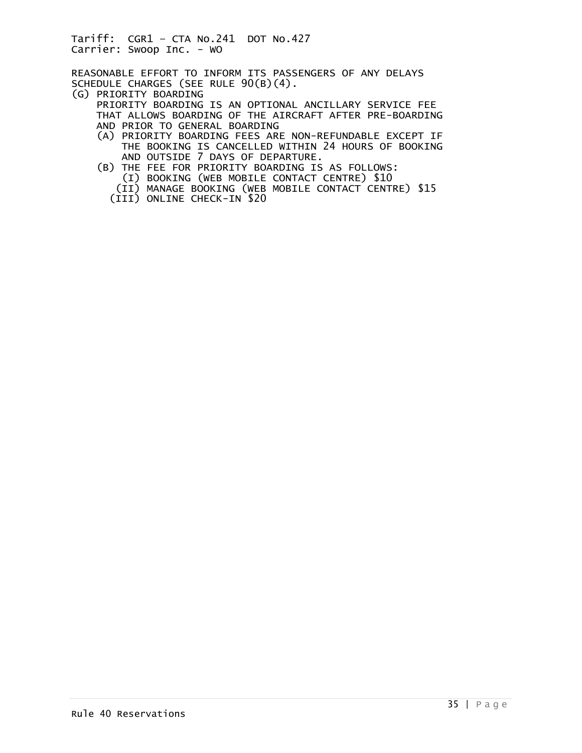REASONABLE EFFORT TO INFORM ITS PASSENGERS OF ANY DELAYS SCHEDULE CHARGES (SEE RULE 90(B)(4).

(G) PRIORITY BOARDING

 PRIORITY BOARDING IS AN OPTIONAL ANCILLARY SERVICE FEE THAT ALLOWS BOARDING OF THE AIRCRAFT AFTER PRE-BOARDING AND PRIOR TO GENERAL BOARDING

- (A) PRIORITY BOARDING FEES ARE NON-REFUNDABLE EXCEPT IF THE BOOKING IS CANCELLED WITHIN 24 HOURS OF BOOKING AND OUTSIDE 7 DAYS OF DEPARTURE.
- (B) THE FEE FOR PRIORITY BOARDING IS AS FOLLOWS: (I) BOOKING (WEB MOBILE CONTACT CENTRE) \$10
	- (II) MANAGE BOOKING (WEB MOBILE CONTACT CENTRE) \$15
	- (III) ONLINE CHECK-IN \$20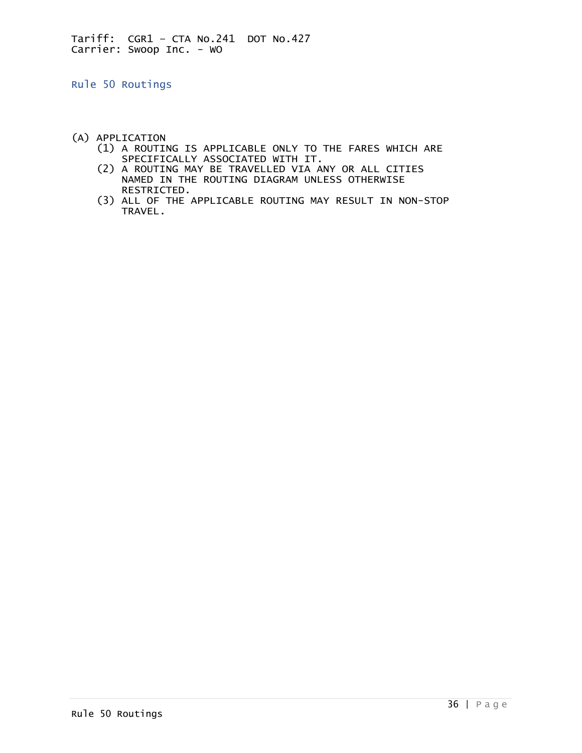<span id="page-35-0"></span>Rule 50 Routings

- (A) APPLICATION
	- (1) A ROUTING IS APPLICABLE ONLY TO THE FARES WHICH ARE SPECIFICALLY ASSOCIATED WITH IT.
	- (2) A ROUTING MAY BE TRAVELLED VIA ANY OR ALL CITIES NAMED IN THE ROUTING DIAGRAM UNLESS OTHERWISE RESTRICTED.
	- (3) ALL OF THE APPLICABLE ROUTING MAY RESULT IN NON-STOP TRAVEL.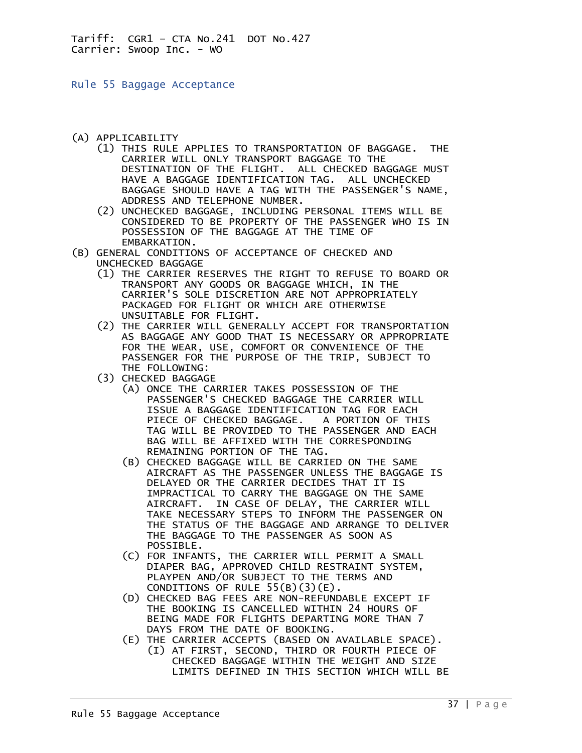Rule 55 Baggage Acceptance

- (A) APPLICABILITY
- (1) THIS RULE APPLIES TO TRANSPORTATION OF BAGGAGE. THE CARRIER WILL ONLY TRANSPORT BAGGAGE TO THE DESTINATION OF THE FLIGHT. ALL CHECKED BAGGAGE MUST HAVE A BAGGAGE IDENTIFICATION TAG. ALL UNCHECKED BAGGAGE SHOULD HAVE A TAG WITH THE PASSENGER'S NAME, ADDRESS AND TELEPHONE NUMBER.
	- (2) UNCHECKED BAGGAGE, INCLUDING PERSONAL ITEMS WILL BE CONSIDERED TO BE PROPERTY OF THE PASSENGER WHO IS IN POSSESSION OF THE BAGGAGE AT THE TIME OF EMBARKATION.
- (B) GENERAL CONDITIONS OF ACCEPTANCE OF CHECKED AND UNCHECKED BAGGAGE
	- (1) THE CARRIER RESERVES THE RIGHT TO REFUSE TO BOARD OR TRANSPORT ANY GOODS OR BAGGAGE WHICH, IN THE CARRIER'S SOLE DISCRETION ARE NOT APPROPRIATELY PACKAGED FOR FLIGHT OR WHICH ARE OTHERWISE UNSUITABLE FOR FLIGHT.
	- (2) THE CARRIER WILL GENERALLY ACCEPT FOR TRANSPORTATION AS BAGGAGE ANY GOOD THAT IS NECESSARY OR APPROPRIATE FOR THE WEAR, USE, COMFORT OR CONVENIENCE OF THE PASSENGER FOR THE PURPOSE OF THE TRIP, SUBJECT TO THE FOLLOWING:
	- (3) CHECKED BAGGAGE
		- (A) ONCE THE CARRIER TAKES POSSESSION OF THE PASSENGER'S CHECKED BAGGAGE THE CARRIER WILL ISSUE A BAGGAGE IDENTIFICATION TAG FOR EACH PIECE OF CHECKED BAGGAGE. A PORTION OF THIS TAG WILL BE PROVIDED TO THE PASSENGER AND EACH BAG WILL BE AFFIXED WITH THE CORRESPONDING REMAINING PORTION OF THE TAG.
		- (B) CHECKED BAGGAGE WILL BE CARRIED ON THE SAME AIRCRAFT AS THE PASSENGER UNLESS THE BAGGAGE IS DELAYED OR THE CARRIER DECIDES THAT IT IS IMPRACTICAL TO CARRY THE BAGGAGE ON THE SAME AIRCRAFT. IN CASE OF DELAY, THE CARRIER WILL TAKE NECESSARY STEPS TO INFORM THE PASSENGER ON THE STATUS OF THE BAGGAGE AND ARRANGE TO DELIVER THE BAGGAGE TO THE PASSENGER AS SOON AS POSSIBLE.
- (C) FOR INFANTS, THE CARRIER WILL PERMIT A SMALL DIAPER BAG, APPROVED CHILD RESTRAINT SYSTEM, PLAYPEN AND/OR SUBJECT TO THE TERMS AND CONDITIONS OF RULE  $55(B)(3)(E)$ .
	- (D) CHECKED BAG FEES ARE NON-REFUNDABLE EXCEPT IF THE BOOKING IS CANCELLED WITHIN 24 HOURS OF BEING MADE FOR FLIGHTS DEPARTING MORE THAN 7 DAYS FROM THE DATE OF BOOKING.
	- (E) THE CARRIER ACCEPTS (BASED ON AVAILABLE SPACE). (I) AT FIRST, SECOND, THIRD OR FOURTH PIECE OF CHECKED BAGGAGE WITHIN THE WEIGHT AND SIZE LIMITS DEFINED IN THIS SECTION WHICH WILL BE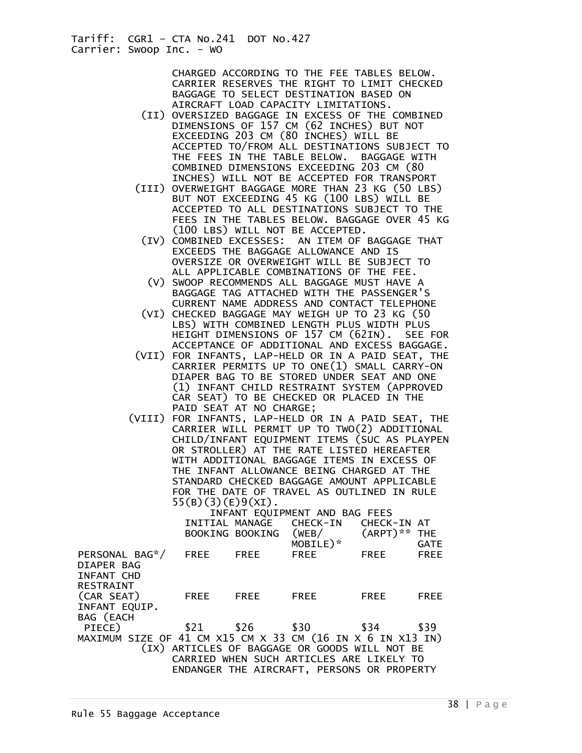> CHARGED ACCORDING TO THE FEE TABLES BELOW. CARRIER RESERVES THE RIGHT TO LIMIT CHECKED BAGGAGE TO SELECT DESTINATION BASED ON AIRCRAFT LOAD CAPACITY LIMITATIONS.

- (II) OVERSIZED BAGGAGE IN EXCESS OF THE COMBINED DIMENSIONS OF 157 CM (62 INCHES) BUT NOT EXCEEDING 203 CM (80 INCHES) WILL BE ACCEPTED TO/FROM ALL DESTINATIONS SUBJECT TO THE FEES IN THE TABLE BELOW. BAGGAGE WITH COMBINED DIMENSIONS EXCEEDING 203 CM (80 INCHES) WILL NOT BE ACCEPTED FOR TRANSPORT
- (III) OVERWEIGHT BAGGAGE MORE THAN 23 KG (50 LBS) BUT NOT EXCEEDING 45 KG (100 LBS) WILL BE ACCEPTED TO ALL DESTINATIONS SUBJECT TO THE FEES IN THE TABLES BELOW. BAGGAGE OVER 45 KG (100 LBS) WILL NOT BE ACCEPTED.
- (IV) COMBINED EXCESSES: AN ITEM OF BAGGAGE THAT EXCEEDS THE BAGGAGE ALLOWANCE AND IS OVERSIZE OR OVERWEIGHT WILL BE SUBJECT TO ALL APPLICABLE COMBINATIONS OF THE FEE.
- (V) SWOOP RECOMMENDS ALL BAGGAGE MUST HAVE A BAGGAGE TAG ATTACHED WITH THE PASSENGER'S CURRENT NAME ADDRESS AND CONTACT TELEPHONE
- (VI) CHECKED BAGGAGE MAY WEIGH UP TO 23 KG (50 LBS) WITH COMBINED LENGTH PLUS WIDTH PLUS HEIGHT DIMENSIONS OF 157 CM (62IN). SEE FOR ACCEPTANCE OF ADDITIONAL AND EXCESS BAGGAGE.
- (VII) FOR INFANTS, LAP-HELD OR IN A PAID SEAT, THE CARRIER PERMITS UP TO ONE(1) SMALL CARRY-ON DIAPER BAG TO BE STORED UNDER SEAT AND ONE (1) INFANT CHILD RESTRAINT SYSTEM (APPROVED CAR SEAT) TO BE CHECKED OR PLACED IN THE PAID SEAT AT NO CHARGE;
- (VIII) FOR INFANTS, LAP-HELD OR IN A PAID SEAT, THE CARRIER WILL PERMIT UP TO TWO(2) ADDITIONAL CHILD/INFANT EQUIPMENT ITEMS (SUC AS PLAYPEN OR STROLLER) AT THE RATE LISTED HEREAFTER WITH ADDITIONAL BAGGAGE ITEMS IN EXCESS OF THE INFANT ALLOWANCE BEING CHARGED AT THE STANDARD CHECKED BAGGAGE AMOUNT APPLICABLE FOR THE DATE OF TRAVEL AS OUTLINED IN RULE 55(B)(3)(E)9(XI).

| INFANT EQUIPMENT AND BAG FEES                              |  |  |                                     |             |             |
|------------------------------------------------------------|--|--|-------------------------------------|-------------|-------------|
|                                                            |  |  |                                     |             |             |
|                                                            |  |  | INITIAL MANAGE CHECK-IN CHECK-IN AT |             |             |
|                                                            |  |  | BOOKING BOOKING (WEB/ (ARPT)** THE  |             |             |
|                                                            |  |  | $MOBILE)$ <sup>*</sup>              |             | <b>GATE</b> |
| PERSONAL BAG*/ FREE FREE                                   |  |  | <b>FREE</b>                         | <b>EREE</b> | <b>FREE</b> |
| DIAPER BAG                                                 |  |  |                                     |             |             |
| INFANT CHD                                                 |  |  |                                     |             |             |
|                                                            |  |  |                                     |             |             |
| RESTRAINT                                                  |  |  |                                     |             |             |
| (CAR SEAT) FREE FREE                                       |  |  | <b>FREE</b>                         | FREE        | FREE        |
| INFANT EQUIP.                                              |  |  |                                     |             |             |
| BAG (EACH                                                  |  |  |                                     |             |             |
| PIECE)                                                     |  |  | \$21 \$26 \$30 \$34 \$39            |             |             |
| MAXIMUM SIZE OF 41 CM X15 CM X 33 CM (16 IN X 6 IN X13 IN) |  |  |                                     |             |             |
| (IX) ARTICLES OF BAGGAGE OR GOODS WILL NOT BE              |  |  |                                     |             |             |
|                                                            |  |  |                                     |             |             |
| CARRIED WHEN SUCH ARTICLES ARE LIKELY TO                   |  |  |                                     |             |             |
| ENDANGER THE AIRCRAFT, PERSONS OR PROPERTY                 |  |  |                                     |             |             |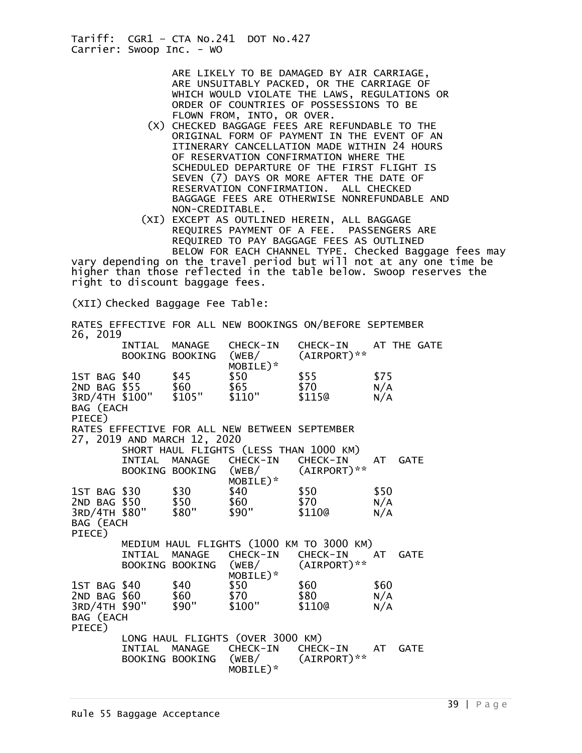> ARE LIKELY TO BE DAMAGED BY AIR CARRIAGE, ARE UNSUITABLY PACKED, OR THE CARRIAGE OF WHICH WOULD VIOLATE THE LAWS, REGULATIONS OR ORDER OF COUNTRIES OF POSSESSIONS TO BE FLOWN FROM, INTO, OR OVER.

 (X) CHECKED BAGGAGE FEES ARE REFUNDABLE TO THE ORIGINAL FORM OF PAYMENT IN THE EVENT OF AN ITINERARY CANCELLATION MADE WITHIN 24 HOURS OF RESERVATION CONFIRMATION WHERE THE SCHEDULED DEPARTURE OF THE FIRST FLIGHT IS SEVEN (7) DAYS OR MORE AFTER THE DATE OF RESERVATION CONFIRMATION. ALL CHECKED BAGGAGE FEES ARE OTHERWISE NONREFUNDABLE AND NON-CREDITABLE.

 (XI) EXCEPT AS OUTLINED HEREIN, ALL BAGGAGE REQUIRES PAYMENT OF A FEE. PASSENGERS ARE REQUIRED TO PAY BAGGAGE FEES AS OUTLINED BELOW FOR EACH CHANNEL TYPE. Checked Baggage fees may

vary depending on the travel period but will not at any one time be higher than those reflected in the table below. Swoop reserves the right to discount baggage fees.

(XII) Checked Baggage Fee Table:

| 26, 2019            |        |                             |                                                                                                   | RATES EFFECTIVE FOR ALL NEW BOOKINGS ON/BEFORE SEPTEMBER                         |                    |
|---------------------|--------|-----------------------------|---------------------------------------------------------------------------------------------------|----------------------------------------------------------------------------------|--------------------|
|                     |        |                             | MOBILE)*                                                                                          | INTIAL MANAGE CHECK-IN CHECK-IN AT THE GATE<br>BOOKING BOOKING (WEB/ (AIRPORT)** |                    |
| BAG (EACH<br>PIECE) |        |                             | 1ST BAG \$40 \$45 \$50 \$55<br>2ND BAG \$55 \$60 \$65 \$70<br>3RD/4TH \$100" \$105" \$110" \$115@ | $$55$<br>$$70$                                                                   | \$75<br>N/A<br>N/A |
|                     |        | 27, 2019 AND MARCH 12, 2020 | RATES EFFECTIVE FOR ALL NEW BETWEEN SEPTEMBER<br>SHORT HAUL FLIGHTS (LESS THAN 1000 KM)           |                                                                                  |                    |
|                     | INTIAL |                             | MANAGE CHECK-IN CHECK-IN<br>BOOKING BOOKING (WEB/                                                 | $\frac{1}{\sqrt{10}}$<br>MOBILE)* (AIRPORT)**<br>\$40                            | AT GATE            |
| BAG (EACH<br>PIECE) |        | 3RD/4TH \$80" \$80"         | 1st BAG \$30 \$30 \$40 \$50<br>2ND BAG \$50 \$50 \$60 \$70<br>\$90"                               | \$70<br>\$110@                                                                   | \$50<br>N/A<br>N/A |
|                     | INTIAL |                             | MANAGE CHECK-IN CHECK-IN<br>MOBILE)*                                                              | MEDIUM HAUL FLIGHTS (1000 KM TO 3000 KM)<br>BOOKING BOOKING (WEB/ (AIRPORT)**    | AT GATE            |
| BAG (EACH<br>PIECE) |        |                             | 1ST BAG \$40 \$40 \$50<br>2ND BAG \$60 \$60 \$70<br>3RD/4TH \$90" \$90" \$100"                    | \$60<br>\$80<br>\$1100                                                           | \$60<br>N/A<br>N/A |
|                     |        |                             | LONG HAUL FLIGHTS (OVER 3000 KM)<br>INTIAL MANAGE CHECK-IN CHECK-IN<br>MOBILE)*                   | BOOKING BOOKING (WEB/ (AIRPORT)**                                                | AT GATE            |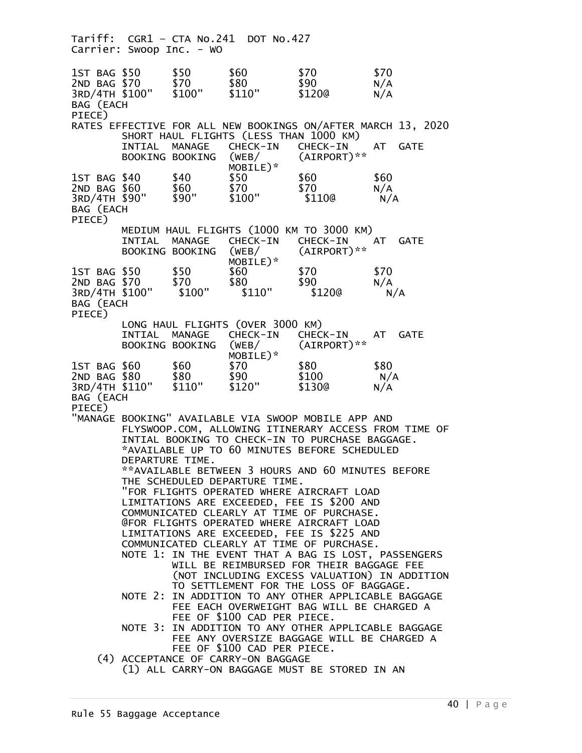Tariff: CGR1 – CTA No.241 DOT No.427 Carrier: Swoop Inc. - WO 1ST BAG \$50 \$50 \$60 \$70 \$70 2ND BAG \$70 \$70 \$80 \$90 N/A<br>3RD/4TH \$100" \$100" \$110" \$120@ N/A 3RD/4TH \$100" BAG (EACH PIECE) RATES EFFECTIVE FOR ALL NEW BOOKINGS ON/AFTER MARCH 13, 2020 SHORT HAUL FLIGHTS (LESS THAN 1000 KM)<br>INTIAL MANAGE CHECK-IN CHECK-IN INTIAL MANAGE CHECK-IN CHECK-IN AT GATE<br>BOOKING-BOOKING (WEB/ (AIRPORT)\*\* BOOKING BOOKING (WEB/  $MOBILE)^*$ <br> $$40$   $$50$ 1ST BAG \$40 \$40 \$50 \$60 \$60<br>2ND BAG \$60 \$60 \$70 \$70 N/A 2ND BAG \$60 \$60 \$70 \$70 N/A 3RD/4TH \$90" BAG (EACH PIECE) MEDIUM HAUL FLIGHTS (1000 KM TO 3000 KM) INTIAL MANAGE CHECK-IN CHECK-IN AT GATE<br>BOOKING-BOOKING (WEB/ (AIRPORT)\*\* BOOKING BOOKING (WEB/  $MOBILE)^*$ <br> $$50$   $$60$ 1ST BAG \$50 \$50 \$60 \$70 \$70<br>2ND BAG \$70 \$70 \$80 \$90 N/A 2ND BAG \$70 \$70 \$80 \$90 N/A<br>3RD/4TH \$100" \$100" \$110" \$120@ N/A 3RD/4TH \$100" BAG (EACH PIECE) LONG HAUL FLIGHTS (OVER 3000 KM) INTIAL MANAGE CHECK-IN CHECK-IN AT GATE<br>BOOKING BOOKING (WEB/ (AIRPORT)\*\* BOOKING BOOKING (WEB/  $MOBILE)^*$ <br> $$70$ 1ST BAG \$60 \$60 \$70 \$80 \$80 2ND BAG \$80 \$80 \$90 \$100 N/A 3RD/4TH \$110" BAG (EACH PIECE) "MANAGE BOOKING" AVAILABLE VIA SWOOP MOBILE APP AND FLYSWOOP.COM, ALLOWING ITINERARY ACCESS FROM TIME OF INTIAL BOOKING TO CHECK-IN TO PURCHASE BAGGAGE. \*AVAILABLE UP TO 60 MINUTES BEFORE SCHEDULED DEPARTURE TIME. \*\*AVAILABLE BETWEEN 3 HOURS AND 60 MINUTES BEFORE THE SCHEDULED DEPARTURE TIME. "FOR FLIGHTS OPERATED WHERE AIRCRAFT LOAD LIMITATIONS ARE EXCEEDED, FEE IS \$200 AND COMMUNICATED CLEARLY AT TIME OF PURCHASE. @FOR FLIGHTS OPERATED WHERE AIRCRAFT LOAD LIMITATIONS ARE EXCEEDED, FEE IS \$225 AND COMMUNICATED CLEARLY AT TIME OF PURCHASE. NOTE 1: IN THE EVENT THAT A BAG IS LOST, PASSENGERS WILL BE REIMBURSED FOR THEIR BAGGAGE FEE (NOT INCLUDING EXCESS VALUATION) IN ADDITION TO SETTLEMENT FOR THE LOSS OF BAGGAGE. NOTE 2: IN ADDITION TO ANY OTHER APPLICABLE BAGGAGE FEE EACH OVERWEIGHT BAG WILL BE CHARGED A FEE OF \$100 CAD PER PIECE. NOTE 3: IN ADDITION TO ANY OTHER APPLICABLE BAGGAGE FEE ANY OVERSIZE BAGGAGE WILL BE CHARGED A FEE OF \$100 CAD PER PIECE. (4) ACCEPTANCE OF CARRY-ON BAGGAGE (1) ALL CARRY-ON BAGGAGE MUST BE STORED IN AN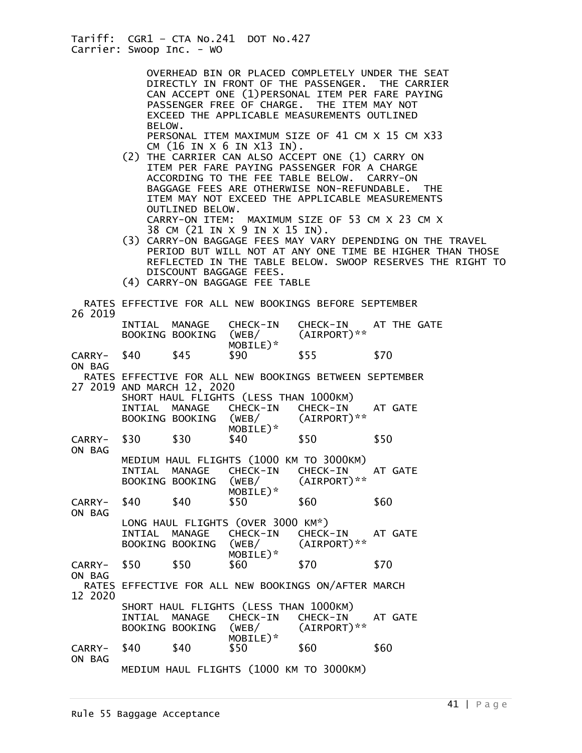OVERHEAD BIN OR PLACED COMPLETELY UNDER THE SEAT DIRECTLY IN FRONT OF THE PASSENGER. THE CARRIER CAN ACCEPT ONE (1)PERSONAL ITEM PER FARE PAYING PASSENGER FREE OF CHARGE. THE ITEM MAY NOT EXCEED THE APPLICABLE MEASUREMENTS OUTLINED BELOW. PERSONAL ITEM MAXIMUM SIZE OF 41 CM X 15 CM X33

CM (16 IN X 6 IN X13 IN).

 (2) THE CARRIER CAN ALSO ACCEPT ONE (1) CARRY ON ITEM PER FARE PAYING PASSENGER FOR A CHARGE ACCORDING TO THE FEE TABLE BELOW. CARRY-ON BAGGAGE FEES ARE OTHERWISE NON-REFUNDABLE. THE ITEM MAY NOT EXCEED THE APPLICABLE MEASUREMENTS OUTLINED BELOW. CARRY-ON ITEM: MAXIMUM SIZE OF 53 CM X 23 CM X

38 CM (21 IN X 9 IN X 15 IN).

- (3) CARRY-ON BAGGAGE FEES MAY VARY DEPENDING ON THE TRAVEL PERIOD BUT WILL NOT AT ANY ONE TIME BE HIGHER THAN THOSE REFLECTED IN THE TABLE BELOW. SWOOP RESERVES THE RIGHT TO DISCOUNT BAGGAGE FEES.
- (4) CARRY-ON BAGGAGE FEE TABLE

| 26 2019               | RATES EFFECTIVE FOR ALL NEW BOOKINGS BEFORE SEPTEMBER                                                                                        |                                  |                                                                        |                                                                              |             |  |  |
|-----------------------|----------------------------------------------------------------------------------------------------------------------------------------------|----------------------------------|------------------------------------------------------------------------|------------------------------------------------------------------------------|-------------|--|--|
|                       |                                                                                                                                              | INTIAL MANAGE<br>BOOKING BOOKING | CHECK-IN<br>(WEB/<br>MOBILE)*                                          | CHECK-IN<br>(AIRPORT)**                                                      | AT THE GATE |  |  |
| CARRY- \$40<br>ON BAG |                                                                                                                                              | \$45                             | \$90                                                                   | \$55                                                                         | \$70        |  |  |
|                       | RATES EFFECTIVE FOR ALL NEW BOOKINGS BETWEEN SEPTEMBER<br>27 2019 AND MARCH 12, 2020                                                         |                                  |                                                                        |                                                                              |             |  |  |
|                       |                                                                                                                                              | INTIAL MANAGE<br>BOOKING BOOKING | SHORT HAUL FLIGHTS (LESS THAN 1000KM)<br>CHECK-IN<br>(WEB/<br>MOBILE)* | CHECK-IN<br>$(AIRPORT)**$                                                    | AT GATE     |  |  |
| CARRY- \$30           |                                                                                                                                              | \$30                             | \$40                                                                   | \$50                                                                         | \$50        |  |  |
| ON BAG                | INTIAL                                                                                                                                       | MANAGE<br>BOOKING BOOKING        | CHECK-IN<br>MOBILE)*                                                   | MEDIUM HAUL FLIGHTS (1000 KM TO 3000KM)<br>CHECK-IN<br>$(WEB/$ $(AIRPORT)**$ | AT GATE     |  |  |
| CARRY- \$40           |                                                                                                                                              | \$40                             | \$50                                                                   | \$60                                                                         | \$60        |  |  |
| ON BAG                | LONG HAUL FLIGHTS (OVER 3000 KM*)<br>CHECK-IN<br>CHECK-IN<br>INTIAL MANAGE<br>AT GATE<br>(AIRPORT)**<br>(WEB/<br>BOOKING BOOKING<br>MOBILE)* |                                  |                                                                        |                                                                              |             |  |  |
| CARRY- \$50           |                                                                                                                                              | \$50                             | \$60                                                                   | \$70                                                                         | \$70        |  |  |
| ON BAG<br>12 2020     | RATES EFFECTIVE FOR ALL NEW BOOKINGS ON/AFTER MARCH                                                                                          |                                  |                                                                        |                                                                              |             |  |  |
|                       | INTIAL                                                                                                                                       | <b>MANAGE</b><br>BOOKING BOOKING | SHORT HAUL FLIGHTS (LESS THAN 1000KM)<br>CHECK-IN<br>(WEB/<br>MOBILE)* | CHECK-IN<br>(AIRPORT)**                                                      | AT GATE     |  |  |
| CARRY-<br>ON BAG      | \$40                                                                                                                                         | \$40                             | \$50                                                                   | \$60                                                                         | \$60        |  |  |
|                       | MEDIUM HAUL FLIGHTS (1000 KM TO 3000KM)                                                                                                      |                                  |                                                                        |                                                                              |             |  |  |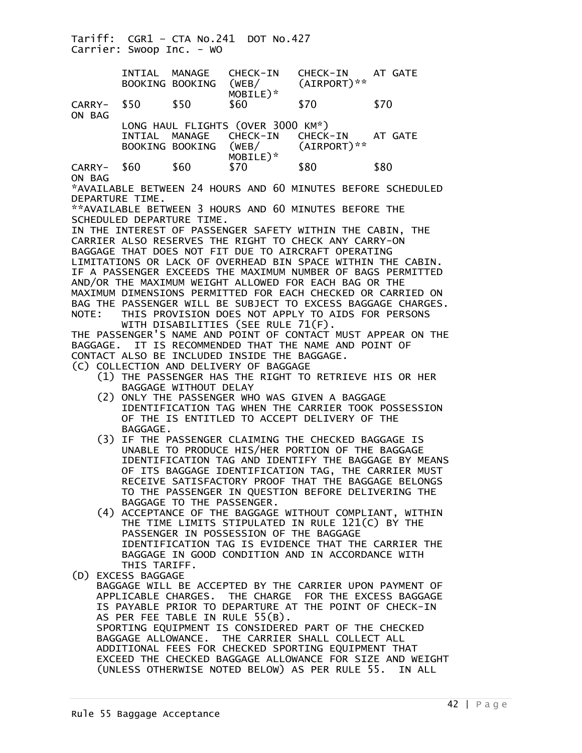Tariff: CGR1 – CTA No.241 DOT No.427 Carrier: Swoop Inc. - WO INTIAL MANAGE CHECK-IN CHECK-IN AT GATE<br>BOOKING BOOKING (WEB/ (AIRPORT)\*\* BOOKING BOOKING MOBILE)\*<br>CARRY- \$50 \$50 \$60 CARRY- \$50 \$50 \$60 \$70 \$70 ON BAG LONG HAUL FLIGHTS (OVER 3000 KM\*) INTIAL MANAGE CHECK-IN CHECK-IN AT GATE<br>BOOKING BOOKING (WEB/ (AIRPORT)\*\* BOOKING BOOKING (WEB/ MOBILE)\* CARRY- \$60 \$60 \$70 \$80 \$80 ON BAG \*AVAILABLE BETWEEN 24 HOURS AND 60 MINUTES BEFORE SCHEDULED DEPARTURE TIME. \*\*AVAILABLE BETWEEN 3 HOURS AND 60 MINUTES BEFORE THE SCHEDULED DEPARTURE TIME. IN THE INTEREST OF PASSENGER SAFETY WITHIN THE CABIN, THE CARRIER ALSO RESERVES THE RIGHT TO CHECK ANY CARRY-ON BAGGAGE THAT DOES NOT FIT DUE TO AIRCRAFT OPERATING LIMITATIONS OR LACK OF OVERHEAD BIN SPACE WITHIN THE CABIN. IF A PASSENGER EXCEEDS THE MAXIMUM NUMBER OF BAGS PERMITTED AND/OR THE MAXIMUM WEIGHT ALLOWED FOR EACH BAG OR THE MAXIMUM DIMENSIONS PERMITTED FOR EACH CHECKED OR CARRIED ON BAG THE PASSENGER WILL BE SUBJECT TO EXCESS BAGGAGE CHARGES. NOTE: THIS PROVISION DOES NOT APPLY TO AIDS FOR PERSONS WITH DISABILITIES (SEE RULE 71(F). THE PASSENGER'S NAME AND POINT OF CONTACT MUST APPEAR ON THE BAGGAGE. IT IS RECOMMENDED THAT THE NAME AND POINT OF CONTACT ALSO BE INCLUDED INSIDE THE BAGGAGE. (C) COLLECTION AND DELIVERY OF BAGGAGE (1) THE PASSENGER HAS THE RIGHT TO RETRIEVE HIS OR HER BAGGAGE WITHOUT DELAY (2) ONLY THE PASSENGER WHO WAS GIVEN A BAGGAGE IDENTIFICATION TAG WHEN THE CARRIER TOOK POSSESSION OF THE IS ENTITLED TO ACCEPT DELIVERY OF THE BAGGAGE. (3) IF THE PASSENGER CLAIMING THE CHECKED BAGGAGE IS UNABLE TO PRODUCE HIS/HER PORTION OF THE BAGGAGE IDENTIFICATION TAG AND IDENTIFY THE BAGGAGE BY MEANS OF ITS BAGGAGE IDENTIFICATION TAG, THE CARRIER MUST RECEIVE SATISFACTORY PROOF THAT THE BAGGAGE BELONGS TO THE PASSENGER IN QUESTION BEFORE DELIVERING THE BAGGAGE TO THE PASSENGER. (4) ACCEPTANCE OF THE BAGGAGE WITHOUT COMPLIANT, WITHIN THE TIME LIMITS STIPULATED IN RULE 121(C) BY THE PASSENGER IN POSSESSION OF THE BAGGAGE IDENTIFICATION TAG IS EVIDENCE THAT THE CARRIER THE BAGGAGE IN GOOD CONDITION AND IN ACCORDANCE WITH THIS TARIFF. (D) EXCESS BAGGAGE BAGGAGE WILL BE ACCEPTED BY THE CARRIER UPON PAYMENT OF APPLICABLE CHARGES. THE CHARGE FOR THE EXCESS BAGGAGE IS PAYABLE PRIOR TO DEPARTURE AT THE POINT OF CHECK-IN AS PER FEE TABLE IN RULE 55(B). SPORTING EQUIPMENT IS CONSIDERED PART OF THE CHECKED BAGGAGE ALLOWANCE. THE CARRIER SHALL COLLECT ALL ADDITIONAL FEES FOR CHECKED SPORTING EQUIPMENT THAT EXCEED THE CHECKED BAGGAGE ALLOWANCE FOR SIZE AND WEIGHT (UNLESS OTHERWISE NOTED BELOW) AS PER RULE 55. IN ALL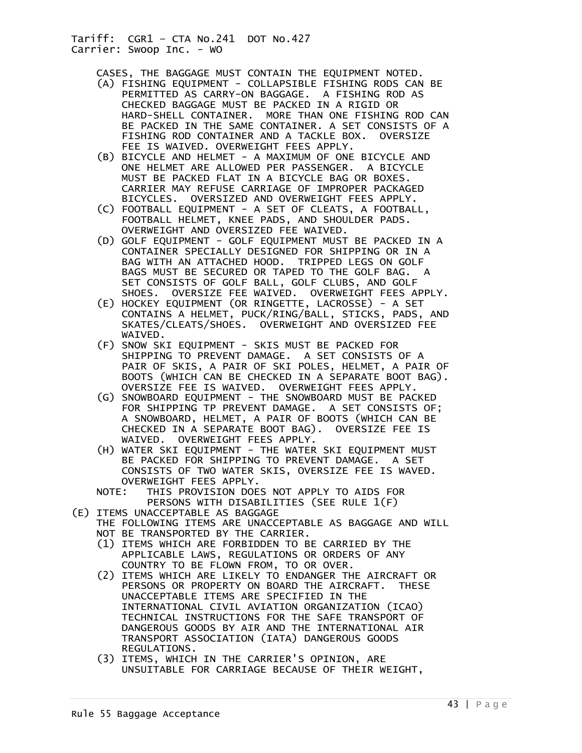CASES, THE BAGGAGE MUST CONTAIN THE EQUIPMENT NOTED.

- (A) FISHING EQUIPMENT COLLAPSIBLE FISHING RODS CAN BE PERMITTED AS CARRY-ON BAGGAGE. A FISHING ROD AS CHECKED BAGGAGE MUST BE PACKED IN A RIGID OR HARD-SHELL CONTAINER. MORE THAN ONE FISHING ROD CAN BE PACKED IN THE SAME CONTAINER. A SET CONSISTS OF A FISHING ROD CONTAINER AND A TACKLE BOX. OVERSIZE FEE IS WAIVED. OVERWEIGHT FEES APPLY.
- (B) BICYCLE AND HELMET A MAXIMUM OF ONE BICYCLE AND ONE HELMET ARE ALLOWED PER PASSENGER. A BICYCLE MUST BE PACKED FLAT IN A BICYCLE BAG OR BOXES. CARRIER MAY REFUSE CARRIAGE OF IMPROPER PACKAGED BICYCLES. OVERSIZED AND OVERWEIGHT FEES APPLY.
- (C) FOOTBALL EQUIPMENT A SET OF CLEATS, A FOOTBALL, FOOTBALL HELMET, KNEE PADS, AND SHOULDER PADS. OVERWEIGHT AND OVERSIZED FEE WAIVED.
- (D) GOLF EQUIPMENT GOLF EQUIPMENT MUST BE PACKED IN A CONTAINER SPECIALLY DESIGNED FOR SHIPPING OR IN A BAG WITH AN ATTACHED HOOD. TRIPPED LEGS ON GOLF BAGS MUST BE SECURED OR TAPED TO THE GOLF BAG. A SET CONSISTS OF GOLF BALL, GOLF CLUBS, AND GOLF SHOES. OVERSIZE FEE WAIVED. OVERWEIGHT FEES APPLY.
- (E) HOCKEY EQUIPMENT (OR RINGETTE, LACROSSE) A SET CONTAINS A HELMET, PUCK/RING/BALL, STICKS, PADS, AND SKATES/CLEATS/SHOES. OVERWEIGHT AND OVERSIZED FEE WAIVED.
- (F) SNOW SKI EQUIPMENT SKIS MUST BE PACKED FOR SHIPPING TO PREVENT DAMAGE. A SET CONSISTS OF A PAIR OF SKIS, A PAIR OF SKI POLES, HELMET, A PAIR OF BOOTS (WHICH CAN BE CHECKED IN A SEPARATE BOOT BAG). OVERSIZE FEE IS WAIVED. OVERWEIGHT FEES APPLY.
	- (G) SNOWBOARD EQUIPMENT THE SNOWBOARD MUST BE PACKED FOR SHIPPING TP PREVENT DAMAGE. A SET CONSISTS OF; A SNOWBOARD, HELMET, A PAIR OF BOOTS (WHICH CAN BE CHECKED IN A SEPARATE BOOT BAG). OVERSIZE FEE IS WAIVED. OVERWEIGHT FEES APPLY.
	- (H) WATER SKI EQUIPMENT THE WATER SKI EQUIPMENT MUST BE PACKED FOR SHIPPING TO PREVENT DAMAGE. A SET CONSISTS OF TWO WATER SKIS, OVERSIZE FEE IS WAVED. OVERWEIGHT FEES APPLY.
	- NOTE: THIS PROVISION DOES NOT APPLY TO AIDS FOR PERSONS WITH DISABILITIES (SEE RULE 1(F)
- (E) ITEMS UNACCEPTABLE AS BAGGAGE
	- THE FOLLOWING ITEMS ARE UNACCEPTABLE AS BAGGAGE AND WILL NOT BE TRANSPORTED BY THE CARRIER.
		- (1) ITEMS WHICH ARE FORBIDDEN TO BE CARRIED BY THE APPLICABLE LAWS, REGULATIONS OR ORDERS OF ANY COUNTRY TO BE FLOWN FROM, TO OR OVER.
		- (2) ITEMS WHICH ARE LIKELY TO ENDANGER THE AIRCRAFT OR PERSONS OR PROPERTY ON BOARD THE AIRCRAFT. THESE UNACCEPTABLE ITEMS ARE SPECIFIED IN THE INTERNATIONAL CIVIL AVIATION ORGANIZATION (ICAO) TECHNICAL INSTRUCTIONS FOR THE SAFE TRANSPORT OF DANGEROUS GOODS BY AIR AND THE INTERNATIONAL AIR TRANSPORT ASSOCIATION (IATA) DANGEROUS GOODS REGULATIONS.
		- (3) ITEMS, WHICH IN THE CARRIER'S OPINION, ARE UNSUITABLE FOR CARRIAGE BECAUSE OF THEIR WEIGHT,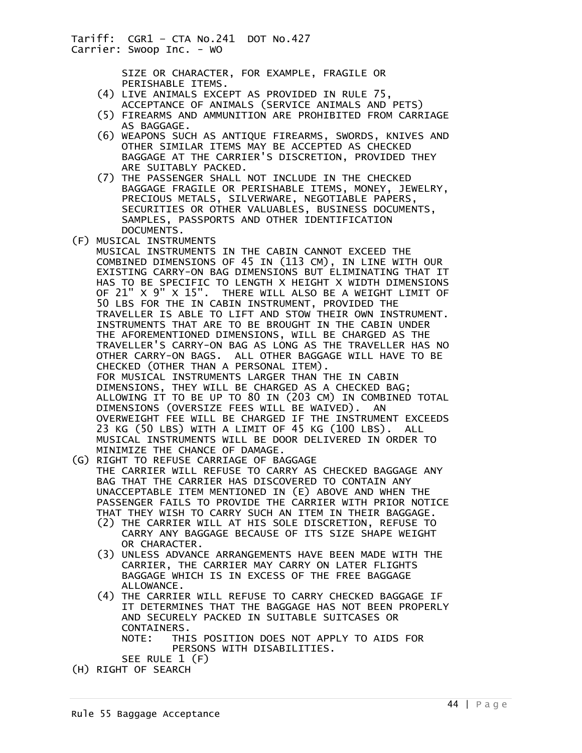> SIZE OR CHARACTER, FOR EXAMPLE, FRAGILE OR PERISHABLE ITEMS.

- (4) LIVE ANIMALS EXCEPT AS PROVIDED IN RULE 75, ACCEPTANCE OF ANIMALS (SERVICE ANIMALS AND PETS)
- (5) FIREARMS AND AMMUNITION ARE PROHIBITED FROM CARRIAGE AS BAGGAGE.
- (6) WEAPONS SUCH AS ANTIQUE FIREARMS, SWORDS, KNIVES AND OTHER SIMILAR ITEMS MAY BE ACCEPTED AS CHECKED BAGGAGE AT THE CARRIER'S DISCRETION, PROVIDED THEY ARE SUITABLY PACKED.
- (7) THE PASSENGER SHALL NOT INCLUDE IN THE CHECKED BAGGAGE FRAGILE OR PERISHABLE ITEMS, MONEY, JEWELRY, PRECIOUS METALS, SILVERWARE, NEGOTIABLE PAPERS, SECURITIES OR OTHER VALUABLES, BUSINESS DOCUMENTS, SAMPLES, PASSPORTS AND OTHER IDENTIFICATION DOCUMENTS.
- (F) MUSICAL INSTRUMENTS
- MUSICAL INSTRUMENTS IN THE CABIN CANNOT EXCEED THE COMBINED DIMENSIONS OF 45 IN (113 CM), IN LINE WITH OUR EXISTING CARRY-ON BAG DIMENSIONS BUT ELIMINATING THAT IT HAS TO BE SPECIFIC TO LENGTH X HEIGHT X WIDTH DIMENSIONS OF 21" X 9" X 15". THERE WILL ALSO BE A WEIGHT LIMIT OF 50 LBS FOR THE IN CABIN INSTRUMENT, PROVIDED THE TRAVELLER IS ABLE TO LIFT AND STOW THEIR OWN INSTRUMENT. INSTRUMENTS THAT ARE TO BE BROUGHT IN THE CABIN UNDER THE AFOREMENTIONED DIMENSIONS, WILL BE CHARGED AS THE TRAVELLER'S CARRY-ON BAG AS LONG AS THE TRAVELLER HAS NO OTHER CARRY-ON BAGS. ALL OTHER BAGGAGE WILL HAVE TO BE CHECKED (OTHER THAN A PERSONAL ITEM). FOR MUSICAL INSTRUMENTS LARGER THAN THE IN CABIN DIMENSIONS, THEY WILL BE CHARGED AS A CHECKED BAG; ALLOWING IT TO BE UP TO 80 IN (203 CM) IN COMBINED TOTAL DIMENSIONS (OVERSIZE FEES WILL BE WAIVED). AN OVERWEIGHT FEE WILL BE CHARGED IF THE INSTRUMENT EXCEEDS 23 KG (50 LBS) WITH A LIMIT OF 45 KG (100 LBS). ALL MUSICAL INSTRUMENTS WILL BE DOOR DELIVERED IN ORDER TO MINIMIZE THE CHANCE OF DAMAGE.
- (G) RIGHT TO REFUSE CARRIAGE OF BAGGAGE THE CARRIER WILL REFUSE TO CARRY AS CHECKED BAGGAGE ANY BAG THAT THE CARRIER HAS DISCOVERED TO CONTAIN ANY UNACCEPTABLE ITEM MENTIONED IN (E) ABOVE AND WHEN THE PASSENGER FAILS TO PROVIDE THE CARRIER WITH PRIOR NOTICE THAT THEY WISH TO CARRY SUCH AN ITEM IN THEIR BAGGAGE.
	- (2) THE CARRIER WILL AT HIS SOLE DISCRETION, REFUSE TO CARRY ANY BAGGAGE BECAUSE OF ITS SIZE SHAPE WEIGHT OR CHARACTER.
	- (3) UNLESS ADVANCE ARRANGEMENTS HAVE BEEN MADE WITH THE CARRIER, THE CARRIER MAY CARRY ON LATER FLIGHTS BAGGAGE WHICH IS IN EXCESS OF THE FREE BAGGAGE ALLOWANCE.
	- (4) THE CARRIER WILL REFUSE TO CARRY CHECKED BAGGAGE IF IT DETERMINES THAT THE BAGGAGE HAS NOT BEEN PROPERLY AND SECURELY PACKED IN SUITABLE SUITCASES OR CONTAINERS. NOTE: THIS POSITION DOES NOT APPLY TO AIDS FOR PERSONS WITH DISABILITIES.
- SEE RULE 1 (F) (H) RIGHT OF SEARCH
- Rule 55 Baggage Acceptance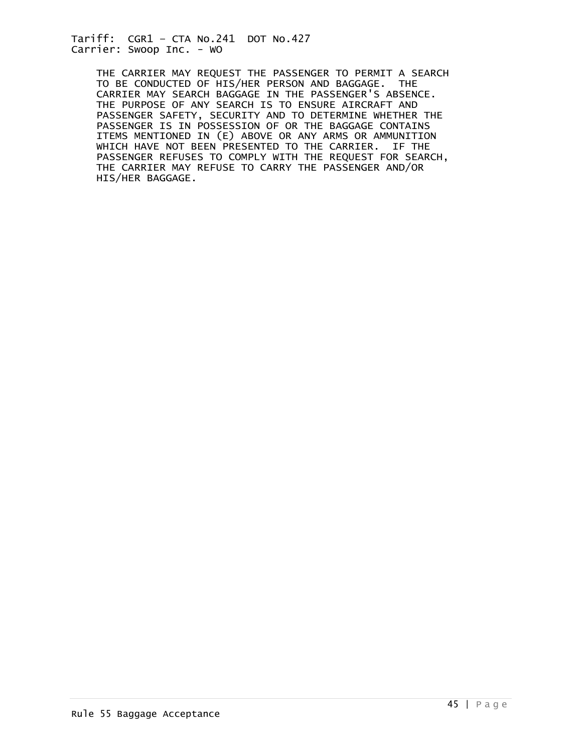> THE CARRIER MAY REQUEST THE PASSENGER TO PERMIT A SEARCH TO BE CONDUCTED OF HIS/HER PERSON AND BAGGAGE. THE CARRIER MAY SEARCH BAGGAGE IN THE PASSENGER'S ABSENCE. THE PURPOSE OF ANY SEARCH IS TO ENSURE AIRCRAFT AND PASSENGER SAFETY, SECURITY AND TO DETERMINE WHETHER THE PASSENGER IS IN POSSESSION OF OR THE BAGGAGE CONTAINS ITEMS MENTIONED IN (E) ABOVE OR ANY ARMS OR AMMUNITION WHICH HAVE NOT BEEN PRESENTED TO THE CARRIER. IF THE PASSENGER REFUSES TO COMPLY WITH THE REQUEST FOR SEARCH, THE CARRIER MAY REFUSE TO CARRY THE PASSENGER AND/OR HIS/HER BAGGAGE.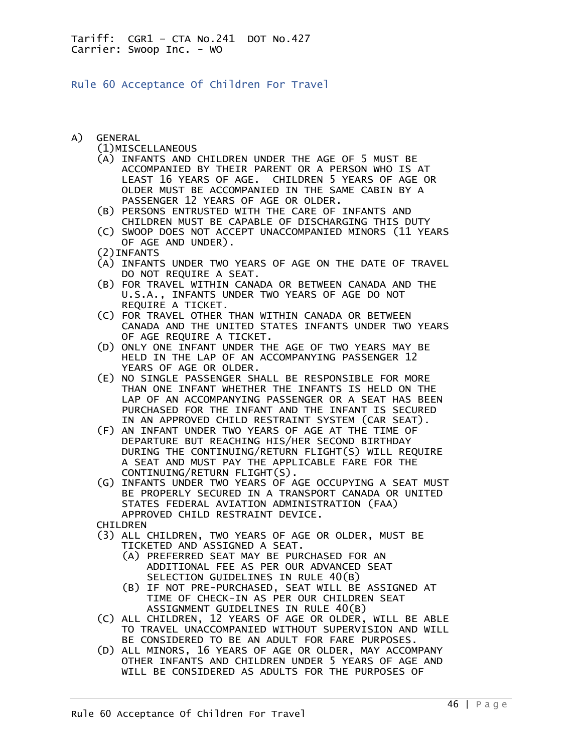Rule 60 Acceptance Of Children For Travel

A) GENERAL

(1)MISCELLANEOUS

- (A) INFANTS AND CHILDREN UNDER THE AGE OF 5 MUST BE ACCOMPANIED BY THEIR PARENT OR A PERSON WHO IS AT LEAST 16 YEARS OF AGE. CHILDREN 5 YEARS OF AGE OR OLDER MUST BE ACCOMPANIED IN THE SAME CABIN BY A PASSENGER 12 YEARS OF AGE OR OLDER.
- (B) PERSONS ENTRUSTED WITH THE CARE OF INFANTS AND CHILDREN MUST BE CAPABLE OF DISCHARGING THIS DUTY
- (C) SWOOP DOES NOT ACCEPT UNACCOMPANIED MINORS (11 YEARS OF AGE AND UNDER).
- (2)INFANTS
- (A) INFANTS UNDER TWO YEARS OF AGE ON THE DATE OF TRAVEL DO NOT REQUIRE A SEAT.
- (B) FOR TRAVEL WITHIN CANADA OR BETWEEN CANADA AND THE U.S.A., INFANTS UNDER TWO YEARS OF AGE DO NOT REQUIRE A TICKET.
- (C) FOR TRAVEL OTHER THAN WITHIN CANADA OR BETWEEN CANADA AND THE UNITED STATES INFANTS UNDER TWO YEARS OF AGE REQUIRE A TICKET.
- (D) ONLY ONE INFANT UNDER THE AGE OF TWO YEARS MAY BE HELD IN THE LAP OF AN ACCOMPANYING PASSENGER 12 YEARS OF AGE OR OLDER.
- (E) NO SINGLE PASSENGER SHALL BE RESPONSIBLE FOR MORE THAN ONE INFANT WHETHER THE INFANTS IS HELD ON THE LAP OF AN ACCOMPANYING PASSENGER OR A SEAT HAS BEEN PURCHASED FOR THE INFANT AND THE INFANT IS SECURED IN AN APPROVED CHILD RESTRAINT SYSTEM (CAR SEAT).
- (F) AN INFANT UNDER TWO YEARS OF AGE AT THE TIME OF DEPARTURE BUT REACHING HIS/HER SECOND BIRTHDAY DURING THE CONTINUING/RETURN FLIGHT(S) WILL REQUIRE A SEAT AND MUST PAY THE APPLICABLE FARE FOR THE CONTINUING/RETURN FLIGHT(S).
- (G) INFANTS UNDER TWO YEARS OF AGE OCCUPYING A SEAT MUST BE PROPERLY SECURED IN A TRANSPORT CANADA OR UNITED STATES FEDERAL AVIATION ADMINISTRATION (FAA) APPROVED CHILD RESTRAINT DEVICE.

CHILDREN

- (3) ALL CHILDREN, TWO YEARS OF AGE OR OLDER, MUST BE TICKETED AND ASSIGNED A SEAT.
	- (A) PREFERRED SEAT MAY BE PURCHASED FOR AN ADDITIONAL FEE AS PER OUR ADVANCED SEAT SELECTION GUIDELINES IN RULE 40(B)
	- (B) IF NOT PRE-PURCHASED, SEAT WILL BE ASSIGNED AT TIME OF CHECK-IN AS PER OUR CHILDREN SEAT ASSIGNMENT GUIDELINES IN RULE 40(B)
- (C) ALL CHILDREN, 12 YEARS OF AGE OR OLDER, WILL BE ABLE TO TRAVEL UNACCOMPANIED WITHOUT SUPERVISION AND WILL BE CONSIDERED TO BE AN ADULT FOR FARE PURPOSES.
- (D) ALL MINORS, 16 YEARS OF AGE OR OLDER, MAY ACCOMPANY OTHER INFANTS AND CHILDREN UNDER 5 YEARS OF AGE AND WILL BE CONSIDERED AS ADULTS FOR THE PURPOSES OF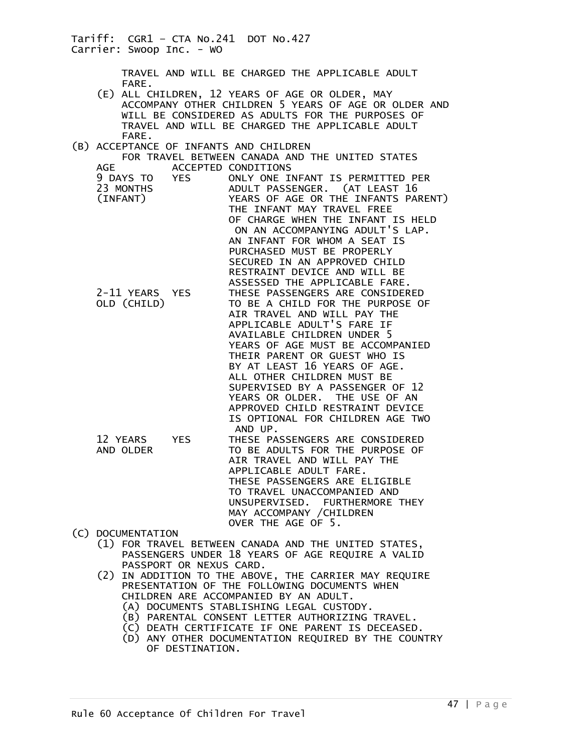TRAVEL AND WILL BE CHARGED THE APPLICABLE ADULT FARE.

- (E) ALL CHILDREN, 12 YEARS OF AGE OR OLDER, MAY ACCOMPANY OTHER CHILDREN 5 YEARS OF AGE OR OLDER AND WILL BE CONSIDERED AS ADULTS FOR THE PURPOSES OF TRAVEL AND WILL BE CHARGED THE APPLICABLE ADULT FARE.
- (B) ACCEPTANCE OF INFANTS AND CHILDREN FOR TRAVEL BETWEEN CANADA AND THE UNITED STATES AGE ACCEPTED CONDITIONS 9 DAYS TO YES ONLY ONE INFANT IS PERMITTED PER 23 MONTHS ADULT PASSENGER. (AT LEAST 16 YEARS OF AGE OR THE INFANTS PARENT) THE INFANT MAY TRAVEL FREE OF CHARGE WHEN THE INFANT IS HELD ON AN ACCOMPANYING ADULT'S LAP. AN INFANT FOR WHOM A SEAT IS PURCHASED MUST BE PROPERLY SECURED IN AN APPROVED CHILD RESTRAINT DEVICE AND WILL BE ASSESSED THE APPLICABLE FARE. 2-11 YEARS YES THESE PASSENGERS ARE CONSIDERED<br>OLD (CHILD) TO BE A CHILD FOR THE PURPOSE O TO BE A CHILD FOR THE PURPOSE OF AIR TRAVEL AND WILL PAY THE APPLICABLE ADULT'S FARE IF AVAILABLE CHILDREN UNDER 5 YEARS OF AGE MUST BE ACCOMPANIED THEIR PARENT OR GUEST WHO IS BY AT LEAST 16 YEARS OF AGE. ALL OTHER CHILDREN MUST BE SUPERVISED BY A PASSENGER OF 12 YEARS OR OLDER. THE USE OF AN APPROVED CHILD RESTRAINT DEVICE IS OPTIONAL FOR CHILDREN AGE TWO AND UP. 12 YEARS YES THESE PASSENGERS ARE CONSIDERED<br>AND OLDER TO BE ADULTS FOR THE PURPOSE OF TO BE ADULTS FOR THE PURPOSE OF AIR TRAVEL AND WILL PAY THE APPLICABLE ADULT FARE. THESE PASSENGERS ARE ELIGIBLE TO TRAVEL UNACCOMPANIED AND
- (C) DOCUMENTATION
	- (1) FOR TRAVEL BETWEEN CANADA AND THE UNITED STATES, PASSENGERS UNDER 18 YEARS OF AGE REQUIRE A VALID PASSPORT OR NEXUS CARD.
	- (2) IN ADDITION TO THE ABOVE, THE CARRIER MAY REQUIRE PRESENTATION OF THE FOLLOWING DOCUMENTS WHEN CHILDREN ARE ACCOMPANIED BY AN ADULT.
		- (A) DOCUMENTS STABLISHING LEGAL CUSTODY.
		- (B) PARENTAL CONSENT LETTER AUTHORIZING TRAVEL.
		- (C) DEATH CERTIFICATE IF ONE PARENT IS DECEASED.
		- (D) ANY OTHER DOCUMENTATION REQUIRED BY THE COUNTRY OF DESTINATION.

UNSUPERVISED. FURTHERMORE THEY

MAY ACCOMPANY / CHILDREN

OVER THE AGE OF 5.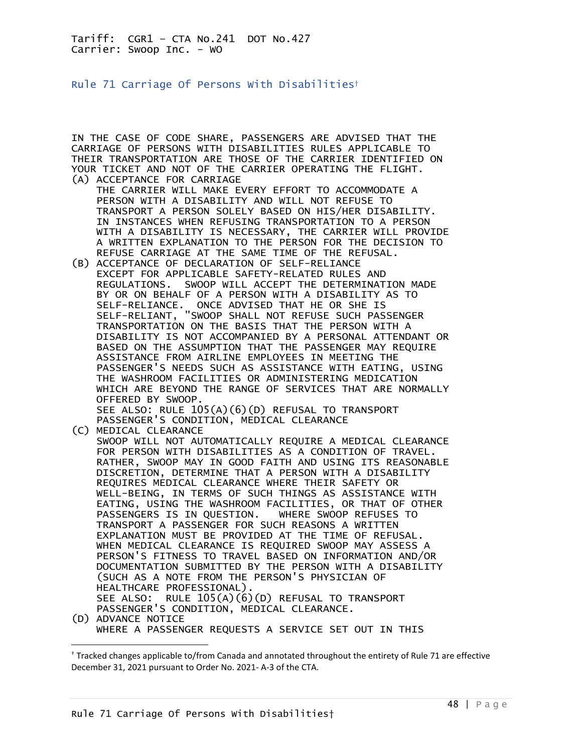Rule 71 Carriage Of Persons With Disabilities†

IN THE CASE OF CODE SHARE, PASSENGERS ARE ADVISED THAT THE CARRIAGE OF PERSONS WITH DISABILITIES RULES APPLICABLE TO THEIR TRANSPORTATION ARE THOSE OF THE CARRIER IDENTIFIED ON YOUR TICKET AND NOT OF THE CARRIER OPERATING THE FLIGHT. (A) ACCEPTANCE FOR CARRIAGE

- THE CARRIER WILL MAKE EVERY EFFORT TO ACCOMMODATE A PERSON WITH A DISABILITY AND WILL NOT REFUSE TO TRANSPORT A PERSON SOLELY BASED ON HIS/HER DISABILITY. IN INSTANCES WHEN REFUSING TRANSPORTATION TO A PERSON WITH A DISABILITY IS NECESSARY, THE CARRIER WILL PROVIDE A WRITTEN EXPLANATION TO THE PERSON FOR THE DECISION TO REFUSE CARRIAGE AT THE SAME TIME OF THE REFUSAL.
- (B) ACCEPTANCE OF DECLARATION OF SELF-RELIANCE EXCEPT FOR APPLICABLE SAFETY-RELATED RULES AND REGULATIONS. SWOOP WILL ACCEPT THE DETERMINATION MADE BY OR ON BEHALF OF A PERSON WITH A DISABILITY AS TO SELF-RELIANCE. ONCE ADVISED THAT HE OR SHE IS SELF-RELIANT, "SWOOP SHALL NOT REFUSE SUCH PASSENGER TRANSPORTATION ON THE BASIS THAT THE PERSON WITH A DISABILITY IS NOT ACCOMPANIED BY A PERSONAL ATTENDANT OR BASED ON THE ASSUMPTION THAT THE PASSENGER MAY REQUIRE ASSISTANCE FROM AIRLINE EMPLOYEES IN MEETING THE PASSENGER'S NEEDS SUCH AS ASSISTANCE WITH EATING, USING THE WASHROOM FACILITIES OR ADMINISTERING MEDICATION WHICH ARE BEYOND THE RANGE OF SERVICES THAT ARE NORMALLY OFFERED BY SWOOP. SEE ALSO: RULE  $105(A)(6)(D)$  REFUSAL TO TRANSPORT

 PASSENGER'S CONDITION, MEDICAL CLEARANCE (C) MEDICAL CLEARANCE

 SWOOP WILL NOT AUTOMATICALLY REQUIRE A MEDICAL CLEARANCE FOR PERSON WITH DISABILITIES AS A CONDITION OF TRAVEL. RATHER, SWOOP MAY IN GOOD FAITH AND USING ITS REASONABLE DISCRETION, DETERMINE THAT A PERSON WITH A DISABILITY REQUIRES MEDICAL CLEARANCE WHERE THEIR SAFETY OR WELL-BEING, IN TERMS OF SUCH THINGS AS ASSISTANCE WITH EATING, USING THE WASHROOM FACILITIES, OR THAT OF OTHER PASSENGERS IS IN QUESTION. WHERE SWOOP REFUSES TO TRANSPORT A PASSENGER FOR SUCH REASONS A WRITTEN EXPLANATION MUST BE PROVIDED AT THE TIME OF REFUSAL. WHEN MEDICAL CLEARANCE IS REQUIRED SWOOP MAY ASSESS A PERSON'S FITNESS TO TRAVEL BASED ON INFORMATION AND/OR DOCUMENTATION SUBMITTED BY THE PERSON WITH A DISABILITY (SUCH AS A NOTE FROM THE PERSON'S PHYSICIAN OF HEALTHCARE PROFESSIONAL). SEE ALSO: RULE 105(A)(6)(D) REFUSAL TO TRANSPORT PASSENGER'S CONDITION, MEDICAL CLEARANCE. (D) ADVANCE NOTICE WHERE A PASSENGER REQUESTS A SERVICE SET OUT IN THIS

<sup>†</sup> Tracked changes applicable to/from Canada and annotated throughout the entirety of Rule 71 are effective December 31, 2021 pursuant to Order No. 2021- A-3 of the CTA.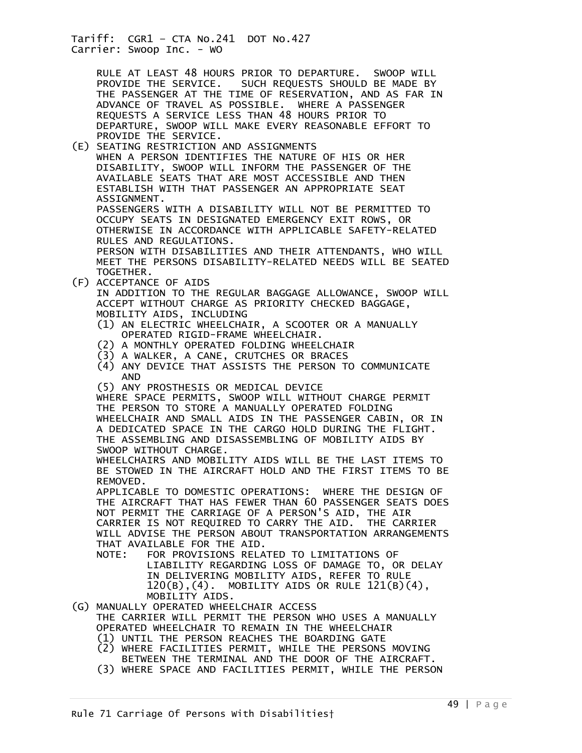> RULE AT LEAST 48 HOURS PRIOR TO DEPARTURE. SWOOP WILL PROVIDE THE SERVICE. SUCH REQUESTS SHOULD BE MADE BY SUCH REQUESTS SHOULD BE MADE BY THE PASSENGER AT THE TIME OF RESERVATION, AND AS FAR IN ADVANCE OF TRAVEL AS POSSIBLE. WHERE A PASSENGER REQUESTS A SERVICE LESS THAN 48 HOURS PRIOR TO DEPARTURE, SWOOP WILL MAKE EVERY REASONABLE EFFORT TO PROVIDE THE SERVICE.

- (E) SEATING RESTRICTION AND ASSIGNMENTS WHEN A PERSON IDENTIFIES THE NATURE OF HIS OR HER DISABILITY, SWOOP WILL INFORM THE PASSENGER OF THE AVAILABLE SEATS THAT ARE MOST ACCESSIBLE AND THEN ESTABLISH WITH THAT PASSENGER AN APPROPRIATE SEAT ASSIGNMENT. PASSENGERS WITH A DISABILITY WILL NOT BE PERMITTED TO OCCUPY SEATS IN DESIGNATED EMERGENCY EXIT ROWS, OR OTHERWISE IN ACCORDANCE WITH APPLICABLE SAFETY-RELATED RULES AND REGULATIONS. PERSON WITH DISABILITIES AND THEIR ATTENDANTS, WHO WILL MEET THE PERSONS DISABILITY-RELATED NEEDS WILL BE SEATED
- TOGETHER. (F) ACCEPTANCE OF AIDS

 IN ADDITION TO THE REGULAR BAGGAGE ALLOWANCE, SWOOP WILL ACCEPT WITHOUT CHARGE AS PRIORITY CHECKED BAGGAGE, MOBILITY AIDS, INCLUDING

- (1) AN ELECTRIC WHEELCHAIR, A SCOOTER OR A MANUALLY OPERATED RIGID-FRAME WHEELCHAIR.
- (2) A MONTHLY OPERATED FOLDING WHEELCHAIR
- (3) A WALKER, A CANE, CRUTCHES OR BRACES
- (4) ANY DEVICE THAT ASSISTS THE PERSON TO COMMUNICATE AND

 (5) ANY PROSTHESIS OR MEDICAL DEVICE WHERE SPACE PERMITS, SWOOP WILL WITHOUT CHARGE PERMIT THE PERSON TO STORE A MANUALLY OPERATED FOLDING WHEELCHAIR AND SMALL AIDS IN THE PASSENGER CABIN, OR IN A DEDICATED SPACE IN THE CARGO HOLD DURING THE FLIGHT. THE ASSEMBLING AND DISASSEMBLING OF MOBILITY AIDS BY SWOOP WITHOUT CHARGE.

 WHEELCHAIRS AND MOBILITY AIDS WILL BE THE LAST ITEMS TO BE STOWED IN THE AIRCRAFT HOLD AND THE FIRST ITEMS TO BE REMOVED.

 APPLICABLE TO DOMESTIC OPERATIONS: WHERE THE DESIGN OF THE AIRCRAFT THAT HAS FEWER THAN 60 PASSENGER SEATS DOES NOT PERMIT THE CARRIAGE OF A PERSON'S AID, THE AIR CARRIER IS NOT REQUIRED TO CARRY THE AID. THE CARRIER WILL ADVISE THE PERSON ABOUT TRANSPORTATION ARRANGEMENTS THAT AVAILABLE FOR THE AID.

 NOTE: FOR PROVISIONS RELATED TO LIMITATIONS OF LIABILITY REGARDING LOSS OF DAMAGE TO, OR DELAY IN DELIVERING MOBILITY AIDS, REFER TO RULE 120(B),(4). MOBILITY AIDS OR RULE 121(B)(4), MOBILITY AIDS.

(G) MANUALLY OPERATED WHEELCHAIR ACCESS THE CARRIER WILL PERMIT THE PERSON WHO USES A MANUALLY OPERATED WHEELCHAIR TO REMAIN IN THE WHEELCHAIR (1) UNTIL THE PERSON REACHES THE BOARDING GATE

- (2) WHERE FACILITIES PERMIT, WHILE THE PERSONS MOVING BETWEEN THE TERMINAL AND THE DOOR OF THE AIRCRAFT.
- (3) WHERE SPACE AND FACILITIES PERMIT, WHILE THE PERSON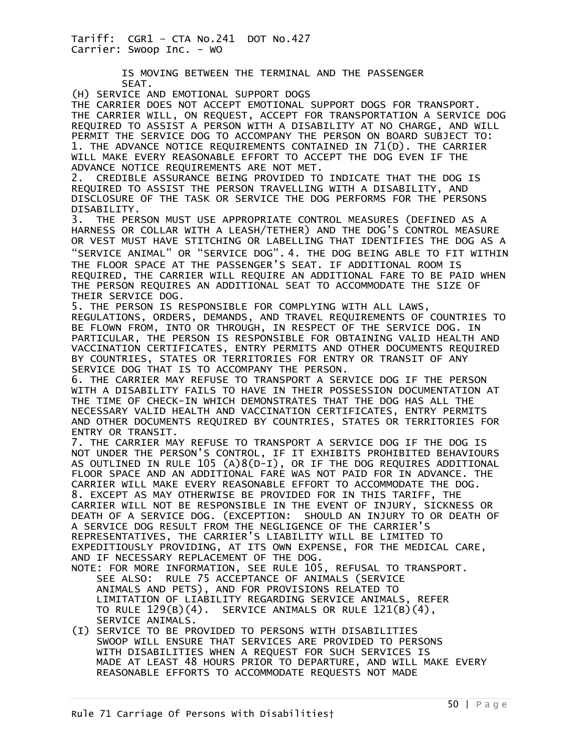> IS MOVING BETWEEN THE TERMINAL AND THE PASSENGER SEAT.

(H) SERVICE AND EMOTIONAL SUPPORT DOGS

THE CARRIER DOES NOT ACCEPT EMOTIONAL SUPPORT DOGS FOR TRANSPORT. THE CARRIER WILL, ON REQUEST, ACCEPT FOR TRANSPORTATION A SERVICE DOG REQUIRED TO ASSIST A PERSON WITH A DISABILITY AT NO CHARGE, AND WILL PERMIT THE SERVICE DOG TO ACCOMPANY THE PERSON ON BOARD SUBJECT TO: 1. THE ADVANCE NOTICE REQUIREMENTS CONTAINED IN 71(D). THE CARRIER WILL MAKE EVERY REASONABLE EFFORT TO ACCEPT THE DOG EVEN IF THE ADVANCE NOTICE REQUIREMENTS ARE NOT MET.

2. CREDIBLE ASSURANCE BEING PROVIDED TO INDICATE THAT THE DOG IS REQUIRED TO ASSIST THE PERSON TRAVELLING WITH A DISABILITY, AND DISCLOSURE OF THE TASK OR SERVICE THE DOG PERFORMS FOR THE PERSONS DISABILITY.

3. THE PERSON MUST USE APPROPRIATE CONTROL MEASURES (DEFINED AS A HARNESS OR COLLAR WITH A LEASH/TETHER) AND THE DOG'S CONTROL MEASURE OR VEST MUST HAVE STITCHING OR LABELLING THAT IDENTIFIES THE DOG AS A "SERVICE ANIMAL" OR "SERVICE DOG". 4. THE DOG BEING ABLE TO FIT WITHIN THE FLOOR SPACE AT THE PASSENGER'S SEAT. IF ADDITIONAL ROOM IS REQUIRED, THE CARRIER WILL REQUIRE AN ADDITIONAL FARE TO BE PAID WHEN THE PERSON REQUIRES AN ADDITIONAL SEAT TO ACCOMMODATE THE SIZE OF THEIR SERVICE DOG.

5. THE PERSON IS RESPONSIBLE FOR COMPLYING WITH ALL LAWS, REGULATIONS, ORDERS, DEMANDS, AND TRAVEL REQUIREMENTS OF COUNTRIES TO BE FLOWN FROM, INTO OR THROUGH, IN RESPECT OF THE SERVICE DOG. IN PARTICULAR, THE PERSON IS RESPONSIBLE FOR OBTAINING VALID HEALTH AND VACCINATION CERTIFICATES, ENTRY PERMITS AND OTHER DOCUMENTS REQUIRED BY COUNTRIES, STATES OR TERRITORIES FOR ENTRY OR TRANSIT OF ANY SERVICE DOG THAT IS TO ACCOMPANY THE PERSON.

6. THE CARRIER MAY REFUSE TO TRANSPORT A SERVICE DOG IF THE PERSON WITH A DISABILITY FAILS TO HAVE IN THEIR POSSESSION DOCUMENTATION AT THE TIME OF CHECK-IN WHICH DEMONSTRATES THAT THE DOG HAS ALL THE NECESSARY VALID HEALTH AND VACCINATION CERTIFICATES, ENTRY PERMITS AND OTHER DOCUMENTS REQUIRED BY COUNTRIES, STATES OR TERRITORIES FOR ENTRY OR TRANSIT.

7. THE CARRIER MAY REFUSE TO TRANSPORT A SERVICE DOG IF THE DOG IS NOT UNDER THE PERSON'S CONTROL, IF IT EXHIBITS PROHIBITED BEHAVIOURS AS OUTLINED IN RULE 105 (A)8(D-I), OR IF THE DOG REQUIRES ADDITIONAL FLOOR SPACE AND AN ADDITIONAL FARE WAS NOT PAID FOR IN ADVANCE. THE CARRIER WILL MAKE EVERY REASONABLE EFFORT TO ACCOMMODATE THE DOG. 8. EXCEPT AS MAY OTHERWISE BE PROVIDED FOR IN THIS TARIFF, THE CARRIER WILL NOT BE RESPONSIBLE IN THE EVENT OF INJURY, SICKNESS OR DEATH OF A SERVICE DOG. (EXCEPTION: SHOULD AN INJURY TO OR DEATH OF A SERVICE DOG RESULT FROM THE NEGLIGENCE OF THE CARRIER'S REPRESENTATIVES, THE CARRIER'S LIABILITY WILL BE LIMITED TO EXPEDITIOUSLY PROVIDING, AT ITS OWN EXPENSE, FOR THE MEDICAL CARE, AND IF NECESSARY REPLACEMENT OF THE DOG.

- NOTE: FOR MORE INFORMATION, SEE RULE 105, REFUSAL TO TRANSPORT. SEE ALSO: RULE 75 ACCEPTANCE OF ANIMALS (SERVICE ANIMALS AND PETS), AND FOR PROVISIONS RELATED TO LIMITATION OF LIABILITY REGARDING SERVICE ANIMALS, REFER TO RULE  $129(B)(4)$ . SERVICE ANIMALS OR RULE  $121(B)(4)$ , SERVICE ANIMALS.
- (I) SERVICE TO BE PROVIDED TO PERSONS WITH DISABILITIES SWOOP WILL ENSURE THAT SERVICES ARE PROVIDED TO PERSONS WITH DISABILITIES WHEN A REQUEST FOR SUCH SERVICES IS MADE AT LEAST 48 HOURS PRIOR TO DEPARTURE, AND WILL MAKE EVERY REASONABLE EFFORTS TO ACCOMMODATE REQUESTS NOT MADE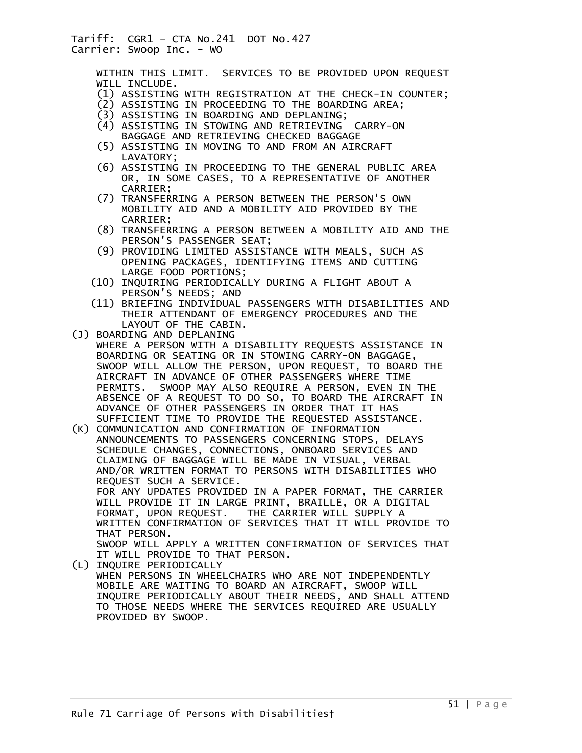WITHIN THIS LIMIT. SERVICES TO BE PROVIDED UPON REQUEST WILL INCLUDE.

- (1) ASSISTING WITH REGISTRATION AT THE CHECK-IN COUNTER;
- (2) ASSISTING IN PROCEEDING TO THE BOARDING AREA;
- (3) ASSISTING IN BOARDING AND DEPLANING;
	- (4) ASSISTING IN STOWING AND RETRIEVING CARRY-ON BAGGAGE AND RETRIEVING CHECKED BAGGAGE
	- (5) ASSISTING IN MOVING TO AND FROM AN AIRCRAFT LAVATORY;
	- (6) ASSISTING IN PROCEEDING TO THE GENERAL PUBLIC AREA OR, IN SOME CASES, TO A REPRESENTATIVE OF ANOTHER CARRIER;
	- (7) TRANSFERRING A PERSON BETWEEN THE PERSON'S OWN MOBILITY AID AND A MOBILITY AID PROVIDED BY THE CARRIER;
	- (8) TRANSFERRING A PERSON BETWEEN A MOBILITY AID AND THE PERSON'S PASSENGER SEAT;
	- (9) PROVIDING LIMITED ASSISTANCE WITH MEALS, SUCH AS OPENING PACKAGES, IDENTIFYING ITEMS AND CUTTING LARGE FOOD PORTIONS;
	- (10) INQUIRING PERIODICALLY DURING A FLIGHT ABOUT A PERSON'S NEEDS; AND
	- (11) BRIEFING INDIVIDUAL PASSENGERS WITH DISABILITIES AND THEIR ATTENDANT OF EMERGENCY PROCEDURES AND THE LAYOUT OF THE CABIN.
- (J) BOARDING AND DEPLANING WHERE A PERSON WITH A DISABILITY REQUESTS ASSISTANCE IN BOARDING OR SEATING OR IN STOWING CARRY-ON BAGGAGE, SWOOP WILL ALLOW THE PERSON, UPON REQUEST, TO BOARD THE AIRCRAFT IN ADVANCE OF OTHER PASSENGERS WHERE TIME<br>PERMITS. SWOOP MAY ALSO REQUIRE A PERSON, EVEN IN SWOOP MAY ALSO REQUIRE A PERSON, EVEN IN THE ABSENCE OF A REQUEST TO DO SO, TO BOARD THE AIRCRAFT IN ADVANCE OF OTHER PASSENGERS IN ORDER THAT IT HAS SUFFICIENT TIME TO PROVIDE THE REQUESTED ASSISTANCE.
- (K) COMMUNICATION AND CONFIRMATION OF INFORMATION ANNOUNCEMENTS TO PASSENGERS CONCERNING STOPS, DELAYS SCHEDULE CHANGES, CONNECTIONS, ONBOARD SERVICES AND CLAIMING OF BAGGAGE WILL BE MADE IN VISUAL, VERBAL AND/OR WRITTEN FORMAT TO PERSONS WITH DISABILITIES WHO REQUEST SUCH A SERVICE. FOR ANY UPDATES PROVIDED IN A PAPER FORMAT, THE CARRIER WILL PROVIDE IT IN LARGE PRINT, BRAILLE, OR A DIGITAL FORMAT, UPON REQUEST. THE CARRIER WILL SUPPLY A WRITTEN CONFIRMATION OF SERVICES THAT IT WILL PROVIDE TO THAT PERSON. SWOOP WILL APPLY A WRITTEN CONFIRMATION OF SERVICES THAT
- IT WILL PROVIDE TO THAT PERSON. (L) INQUIRE PERIODICALLY WHEN PERSONS IN WHEELCHAIRS WHO ARE NOT INDEPENDENTLY MOBILE ARE WAITING TO BOARD AN AIRCRAFT, SWOOP WILL INQUIRE PERIODICALLY ABOUT THEIR NEEDS, AND SHALL ATTEND TO THOSE NEEDS WHERE THE SERVICES REQUIRED ARE USUALLY PROVIDED BY SWOOP.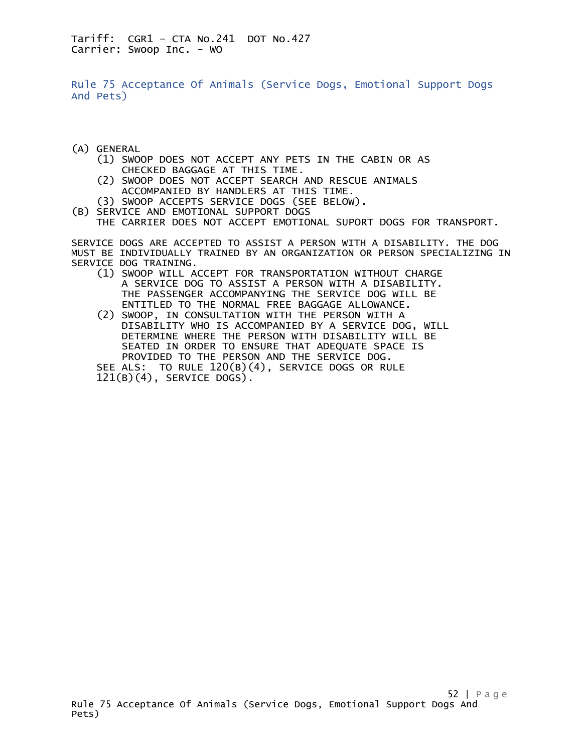Rule 75 Acceptance Of Animals (Service Dogs, Emotional Support Dogs And Pets)

- (A) GENERAL
	- (1) SWOOP DOES NOT ACCEPT ANY PETS IN THE CABIN OR AS CHECKED BAGGAGE AT THIS TIME.
	- (2) SWOOP DOES NOT ACCEPT SEARCH AND RESCUE ANIMALS ACCOMPANIED BY HANDLERS AT THIS TIME.
	- (3) SWOOP ACCEPTS SERVICE DOGS (SEE BELOW).
- (B) SERVICE AND EMOTIONAL SUPPORT DOGS

THE CARRIER DOES NOT ACCEPT EMOTIONAL SUPORT DOGS FOR TRANSPORT.

SERVICE DOGS ARE ACCEPTED TO ASSIST A PERSON WITH A DISABILITY. THE DOG MUST BE INDIVIDUALLY TRAINED BY AN ORGANIZATION OR PERSON SPECIALIZING IN SERVICE DOG TRAINING.

- (1) SWOOP WILL ACCEPT FOR TRANSPORTATION WITHOUT CHARGE A SERVICE DOG TO ASSIST A PERSON WITH A DISABILITY. THE PASSENGER ACCOMPANYING THE SERVICE DOG WILL BE ENTITLED TO THE NORMAL FREE BAGGAGE ALLOWANCE.
- (2) SWOOP, IN CONSULTATION WITH THE PERSON WITH A DISABILITY WHO IS ACCOMPANIED BY A SERVICE DOG, WILL DETERMINE WHERE THE PERSON WITH DISABILITY WILL BE SEATED IN ORDER TO ENSURE THAT ADEQUATE SPACE IS PROVIDED TO THE PERSON AND THE SERVICE DOG.
	- SEE ALS: TO RULE 120(B)(4), SERVICE DOGS OR RULE 121(B)(4), SERVICE DOGS).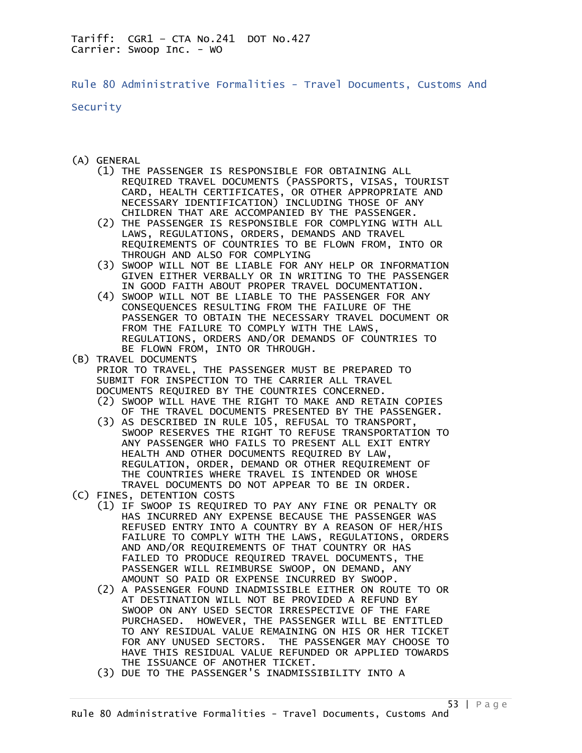Rule 80 Administrative Formalities - Travel Documents, Customs And

Security

- (A) GENERAL
	- (1) THE PASSENGER IS RESPONSIBLE FOR OBTAINING ALL REQUIRED TRAVEL DOCUMENTS (PASSPORTS, VISAS, TOURIST CARD, HEALTH CERTIFICATES, OR OTHER APPROPRIATE AND NECESSARY IDENTIFICATION) INCLUDING THOSE OF ANY CHILDREN THAT ARE ACCOMPANIED BY THE PASSENGER.
	- (2) THE PASSENGER IS RESPONSIBLE FOR COMPLYING WITH ALL LAWS, REGULATIONS, ORDERS, DEMANDS AND TRAVEL REQUIREMENTS OF COUNTRIES TO BE FLOWN FROM, INTO OR THROUGH AND ALSO FOR COMPLYING
	- (3) SWOOP WILL NOT BE LIABLE FOR ANY HELP OR INFORMATION GIVEN EITHER VERBALLY OR IN WRITING TO THE PASSENGER IN GOOD FAITH ABOUT PROPER TRAVEL DOCUMENTATION.
	- (4) SWOOP WILL NOT BE LIABLE TO THE PASSENGER FOR ANY CONSEQUENCES RESULTING FROM THE FAILURE OF THE PASSENGER TO OBTAIN THE NECESSARY TRAVEL DOCUMENT OR FROM THE FAILURE TO COMPLY WITH THE LAWS, REGULATIONS, ORDERS AND/OR DEMANDS OF COUNTRIES TO BE FLOWN FROM, INTO OR THROUGH.
- (B) TRAVEL DOCUMENTS PRIOR TO TRAVEL, THE PASSENGER MUST BE PREPARED TO SUBMIT FOR INSPECTION TO THE CARRIER ALL TRAVEL DOCUMENTS REQUIRED BY THE COUNTRIES CONCERNED.
	- (2) SWOOP WILL HAVE THE RIGHT TO MAKE AND RETAIN COPIES OF THE TRAVEL DOCUMENTS PRESENTED BY THE PASSENGER.
- (3) AS DESCRIBED IN RULE 105, REFUSAL TO TRANSPORT, SWOOP RESERVES THE RIGHT TO REFUSE TRANSPORTATION TO ANY PASSENGER WHO FAILS TO PRESENT ALL EXIT ENTRY HEALTH AND OTHER DOCUMENTS REQUIRED BY LAW, REGULATION, ORDER, DEMAND OR OTHER REQUIREMENT OF THE COUNTRIES WHERE TRAVEL IS INTENDED OR WHOSE TRAVEL DOCUMENTS DO NOT APPEAR TO BE IN ORDER.
- (C) FINES, DETENTION COSTS
	- (1) IF SWOOP IS REQUIRED TO PAY ANY FINE OR PENALTY OR HAS INCURRED ANY EXPENSE BECAUSE THE PASSENGER WAS REFUSED ENTRY INTO A COUNTRY BY A REASON OF HER/HIS FAILURE TO COMPLY WITH THE LAWS, REGULATIONS, ORDERS AND AND/OR REQUIREMENTS OF THAT COUNTRY OR HAS FAILED TO PRODUCE REQUIRED TRAVEL DOCUMENTS, THE PASSENGER WILL REIMBURSE SWOOP, ON DEMAND, ANY AMOUNT SO PAID OR EXPENSE INCURRED BY SWOOP.
	- (2) A PASSENGER FOUND INADMISSIBLE EITHER ON ROUTE TO OR AT DESTINATION WILL NOT BE PROVIDED A REFUND BY SWOOP ON ANY USED SECTOR IRRESPECTIVE OF THE FARE PURCHASED. HOWEVER, THE PASSENGER WILL BE ENTITLED TO ANY RESIDUAL VALUE REMAINING ON HIS OR HER TICKET FOR ANY UNUSED SECTORS. THE PASSENGER MAY CHOOSE TO HAVE THIS RESIDUAL VALUE REFUNDED OR APPLIED TOWARDS THE ISSUANCE OF ANOTHER TICKET.
	- (3) DUE TO THE PASSENGER'S INADMISSIBILITY INTO A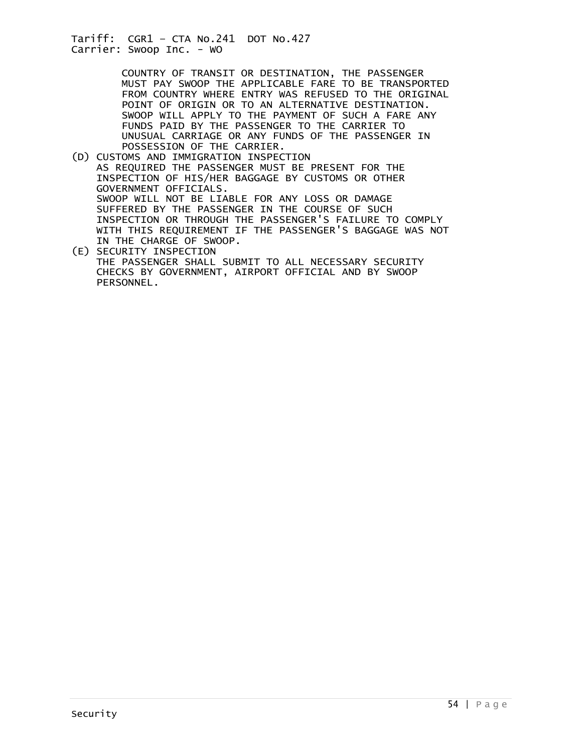COUNTRY OF TRANSIT OR DESTINATION, THE PASSENGER MUST PAY SWOOP THE APPLICABLE FARE TO BE TRANSPORTED FROM COUNTRY WHERE ENTRY WAS REFUSED TO THE ORIGINAL POINT OF ORIGIN OR TO AN ALTERNATIVE DESTINATION. SWOOP WILL APPLY TO THE PAYMENT OF SUCH A FARE ANY FUNDS PAID BY THE PASSENGER TO THE CARRIER TO UNUSUAL CARRIAGE OR ANY FUNDS OF THE PASSENGER IN POSSESSION OF THE CARRIER.

- (D) CUSTOMS AND IMMIGRATION INSPECTION AS REQUIRED THE PASSENGER MUST BE PRESENT FOR THE INSPECTION OF HIS/HER BAGGAGE BY CUSTOMS OR OTHER GOVERNMENT OFFICIALS. SWOOP WILL NOT BE LIABLE FOR ANY LOSS OR DAMAGE SUFFERED BY THE PASSENGER IN THE COURSE OF SUCH INSPECTION OR THROUGH THE PASSENGER'S FAILURE TO COMPLY WITH THIS REQUIREMENT IF THE PASSENGER'S BAGGAGE WAS NOT IN THE CHARGE OF SWOOP.
- (E) SECURITY INSPECTION THE PASSENGER SHALL SUBMIT TO ALL NECESSARY SECURITY CHECKS BY GOVERNMENT, AIRPORT OFFICIAL AND BY SWOOP PERSONNEL.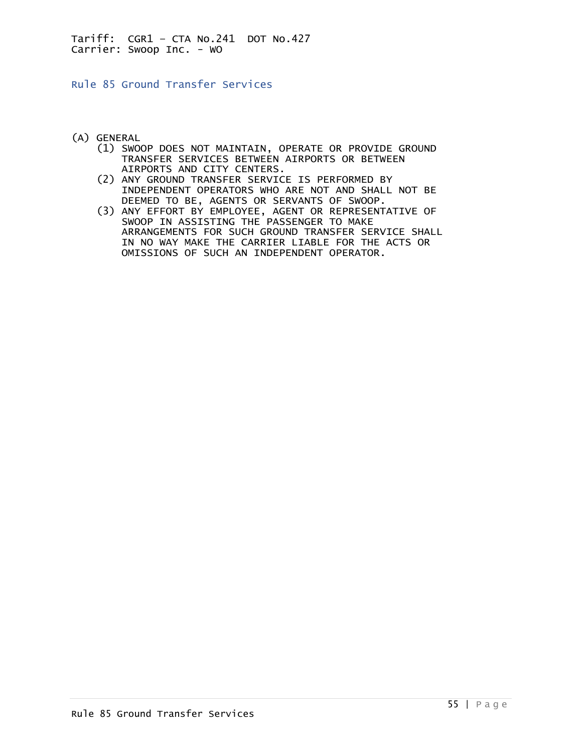Rule 85 Ground Transfer Services

- (A) GENERAL
	- (1) SWOOP DOES NOT MAINTAIN, OPERATE OR PROVIDE GROUND TRANSFER SERVICES BETWEEN AIRPORTS OR BETWEEN AIRPORTS AND CITY CENTERS.
	- (2) ANY GROUND TRANSFER SERVICE IS PERFORMED BY INDEPENDENT OPERATORS WHO ARE NOT AND SHALL NOT BE DEEMED TO BE, AGENTS OR SERVANTS OF SWOOP.
	- (3) ANY EFFORT BY EMPLOYEE, AGENT OR REPRESENTATIVE OF SWOOP IN ASSISTING THE PASSENGER TO MAKE ARRANGEMENTS FOR SUCH GROUND TRANSFER SERVICE SHALL IN NO WAY MAKE THE CARRIER LIABLE FOR THE ACTS OR OMISSIONS OF SUCH AN INDEPENDENT OPERATOR.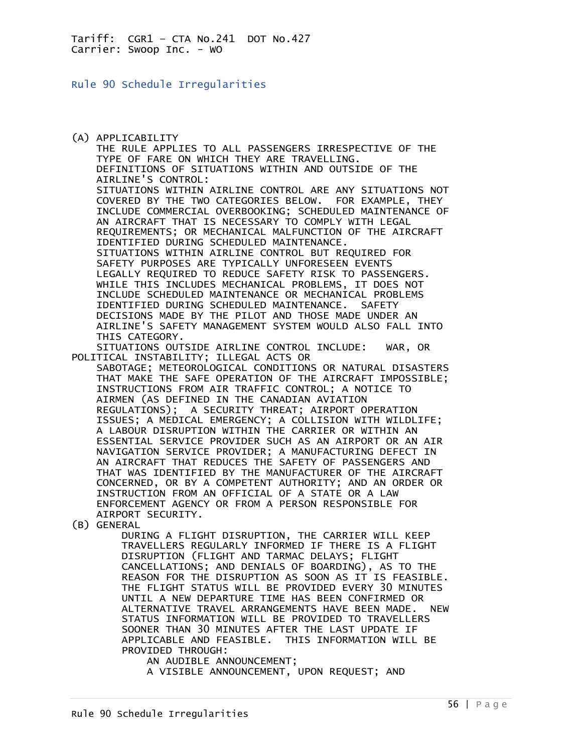Rule 90 Schedule Irregularities

(A) APPLICABILITY THE RULE APPLIES TO ALL PASSENGERS IRRESPECTIVE OF THE TYPE OF FARE ON WHICH THEY ARE TRAVELLING. DEFINITIONS OF SITUATIONS WITHIN AND OUTSIDE OF THE AIRLINE'S CONTROL: SITUATIONS WITHIN AIRLINE CONTROL ARE ANY SITUATIONS NOT COVERED BY THE TWO CATEGORIES BELOW. FOR EXAMPLE, THEY INCLUDE COMMERCIAL OVERBOOKING; SCHEDULED MAINTENANCE OF AN AIRCRAFT THAT IS NECESSARY TO COMPLY WITH LEGAL REQUIREMENTS; OR MECHANICAL MALFUNCTION OF THE AIRCRAFT IDENTIFIED DURING SCHEDULED MAINTENANCE. SITUATIONS WITHIN AIRLINE CONTROL BUT REQUIRED FOR SAFETY PURPOSES ARE TYPICALLY UNFORESEEN EVENTS LEGALLY REQUIRED TO REDUCE SAFETY RISK TO PASSENGERS. WHILE THIS INCLUDES MECHANICAL PROBLEMS, IT DOES NOT INCLUDE SCHEDULED MAINTENANCE OR MECHANICAL PROBLEMS IDENTIFIED DURING SCHEDULED MAINTENANCE. SAFETY DECISIONS MADE BY THE PILOT AND THOSE MADE UNDER AN AIRLINE'S SAFETY MANAGEMENT SYSTEM WOULD ALSO FALL INTO THIS CATEGORY. SITUATIONS OUTSIDE AIRLINE CONTROL INCLUDE: WAR, OR POLITICAL INSTABILITY; ILLEGAL ACTS OR SABOTAGE; METEOROLOGICAL CONDITIONS OR NATURAL DISASTERS THAT MAKE THE SAFE OPERATION OF THE AIRCRAFT IMPOSSIBLE; INSTRUCTIONS FROM AIR TRAFFIC CONTROL; A NOTICE TO AIRMEN (AS DEFINED IN THE CANADIAN AVIATION REGULATIONS); A SECURITY THREAT; AIRPORT OPERATION ISSUES; A MEDICAL EMERGENCY; A COLLISION WITH WILDLIFE; A LABOUR DISRUPTION WITHIN THE CARRIER OR WITHIN AN ESSENTIAL SERVICE PROVIDER SUCH AS AN AIRPORT OR AN AIR NAVIGATION SERVICE PROVIDER; A MANUFACTURING DEFECT IN AN AIRCRAFT THAT REDUCES THE SAFETY OF PASSENGERS AND THAT WAS IDENTIFIED BY THE MANUFACTURER OF THE AIRCRAFT CONCERNED, OR BY A COMPETENT AUTHORITY; AND AN ORDER OR INSTRUCTION FROM AN OFFICIAL OF A STATE OR A LAW ENFORCEMENT AGENCY OR FROM A PERSON RESPONSIBLE FOR AIRPORT SECURITY. (B) GENERAL DURING A FLIGHT DISRUPTION, THE CARRIER WILL KEEP TRAVELLERS REGULARLY INFORMED IF THERE IS A FLIGHT DISRUPTION (FLIGHT AND TARMAC DELAYS; FLIGHT CANCELLATIONS; AND DENIALS OF BOARDING), AS TO THE REASON FOR THE DISRUPTION AS SOON AS IT IS FEASIBLE. THE FLIGHT STATUS WILL BE PROVIDED EVERY 30 MINUTES UNTIL A NEW DEPARTURE TIME HAS BEEN CONFIRMED OR ALTERNATIVE TRAVEL ARRANGEMENTS HAVE BEEN MADE. NEW STATUS INFORMATION WILL BE PROVIDED TO TRAVELLERS SOONER THAN 30 MINUTES AFTER THE LAST UPDATE IF APPLICABLE AND FEASIBLE. THIS INFORMATION WILL BE PROVIDED THROUGH:

AN AUDIBLE ANNOUNCEMENT;

A VISIBLE ANNOUNCEMENT, UPON REQUEST; AND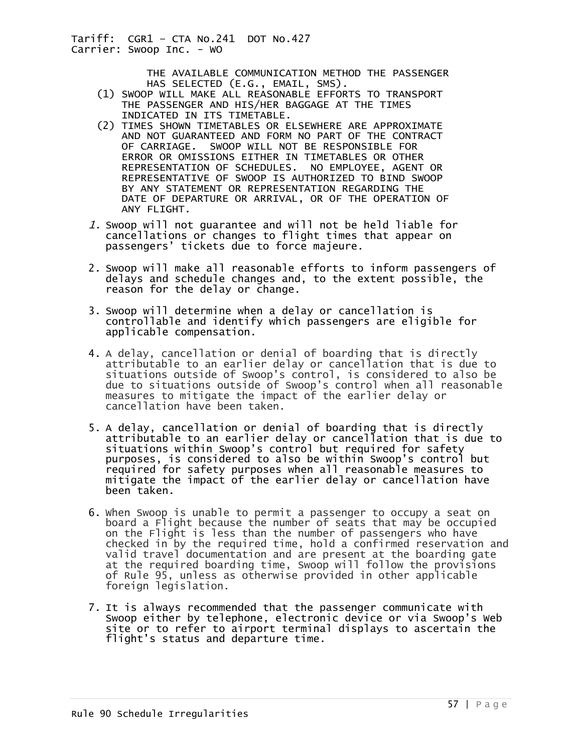> THE AVAILABLE COMMUNICATION METHOD THE PASSENGER HAS SELECTED (E.G., EMAIL, SMS).

- (1) SWOOP WILL MAKE ALL REASONABLE EFFORTS TO TRANSPORT THE PASSENGER AND HIS/HER BAGGAGE AT THE TIMES INDICATED IN ITS TIMETABLE.
- (2) TIMES SHOWN TIMETABLES OR ELSEWHERE ARE APPROXIMATE AND NOT GUARANTEED AND FORM NO PART OF THE CONTRACT OF CARRIAGE. SWOOP WILL NOT BE RESPONSIBLE FOR ERROR OR OMISSIONS EITHER IN TIMETABLES OR OTHER REPRESENTATION OF SCHEDULES. NO EMPLOYEE, AGENT OR REPRESENTATIVE OF SWOOP IS AUTHORIZED TO BIND SWOOP BY ANY STATEMENT OR REPRESENTATION REGARDING THE DATE OF DEPARTURE OR ARRIVAL, OR OF THE OPERATION OF ANY FLIGHT.
- 1. Swoop will not guarantee and will not be held liable for cancellations or changes to flight times that appear on passengers' tickets due to force majeure.
- 2. Swoop will make all reasonable efforts to inform passengers of delays and schedule changes and, to the extent possible, the reason for the delay or change.
- 3. Swoop will determine when a delay or cancellation is controllable and identify which passengers are eligible for applicable compensation.
- 4. A delay, cancellation or denial of boarding that is directly attributable to an earlier delay or cancellation that is due to situations outside of Swoop's control, is considered to also be due to situations outside of Swoop's control when all reasonable measures to mitigate the impact of the earlier delay or cancellation have been taken.
- 5. A delay, cancellation or denial of boarding that is directly attributable to an earlier delay or cancellation that is due to situations within Swoop's control but required for safety purposes, is considered to also be within Swoop's control but required for safety purposes when all reasonable measures to mitigate the impact of the earlier delay or cancellation have been taken.
- 6. When Swoop is unable to permit a passenger to occupy a seat on board a Flight because the number of seats that may be occupied on the Flight is less than the number of passengers who have checked in by the required time, hold a confirmed reservation and valid travel documentation and are present at the boarding gate at the required boarding time, Swoop will follow the provisions of Rule 95, unless as otherwise provided in other applicable foreign legislation.
- 7. It is always recommended that the passenger communicate with Swoop either by telephone, electronic device or via Swoop's Web site or to refer to airport terminal displays to ascertain the flight's status and departure time.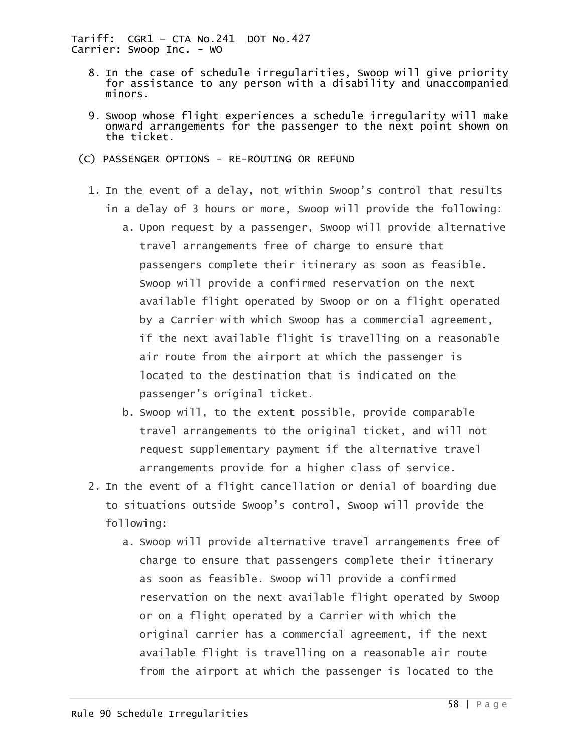- 8. In the case of schedule irregularities, Swoop will give priority for assistance to any person with a disability and unaccompanied minors.
- 9. Swoop whose flight experiences a schedule irregularity will make onward arrangements for the passenger to the next point shown on the ticket.
- (C) PASSENGER OPTIONS RE-ROUTING OR REFUND
	- 1. In the event of a delay, not within Swoop's control that results in a delay of 3 hours or more, Swoop will provide the following:
		- a. Upon request by a passenger, Swoop will provide alternative travel arrangements free of charge to ensure that passengers complete their itinerary as soon as feasible. Swoop will provide a confirmed reservation on the next available flight operated by Swoop or on a flight operated by a Carrier with which Swoop has a commercial agreement, if the next available flight is travelling on a reasonable air route from the airport at which the passenger is located to the destination that is indicated on the passenger's original ticket.
		- b. Swoop will, to the extent possible, provide comparable travel arrangements to the original ticket, and will not request supplementary payment if the alternative travel arrangements provide for a higher class of service.
	- 2. In the event of a flight cancellation or denial of boarding due to situations outside Swoop's control, Swoop will provide the following:
		- a. Swoop will provide alternative travel arrangements free of charge to ensure that passengers complete their itinerary as soon as feasible. Swoop will provide a confirmed reservation on the next available flight operated by Swoop or on a flight operated by a Carrier with which the original carrier has a commercial agreement, if the next available flight is travelling on a reasonable air route from the airport at which the passenger is located to the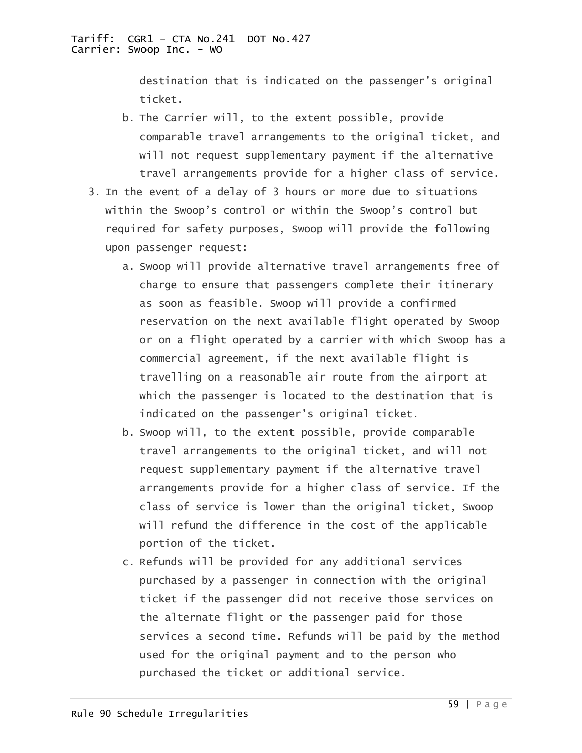destination that is indicated on the passenger's original ticket.

- b. The Carrier will, to the extent possible, provide comparable travel arrangements to the original ticket, and will not request supplementary payment if the alternative travel arrangements provide for a higher class of service.
- 3. In the event of a delay of 3 hours or more due to situations within the Swoop's control or within the Swoop's control but required for safety purposes, Swoop will provide the following upon passenger request:
	- a. Swoop will provide alternative travel arrangements free of charge to ensure that passengers complete their itinerary as soon as feasible. Swoop will provide a confirmed reservation on the next available flight operated by Swoop or on a flight operated by a carrier with which Swoop has a commercial agreement, if the next available flight is travelling on a reasonable air route from the airport at which the passenger is located to the destination that is indicated on the passenger's original ticket.
	- b. Swoop will, to the extent possible, provide comparable travel arrangements to the original ticket, and will not request supplementary payment if the alternative travel arrangements provide for a higher class of service. If the class of service is lower than the original ticket, Swoop will refund the difference in the cost of the applicable portion of the ticket.
	- c. Refunds will be provided for any additional services purchased by a passenger in connection with the original ticket if the passenger did not receive those services on the alternate flight or the passenger paid for those services a second time. Refunds will be paid by the method used for the original payment and to the person who purchased the ticket or additional service.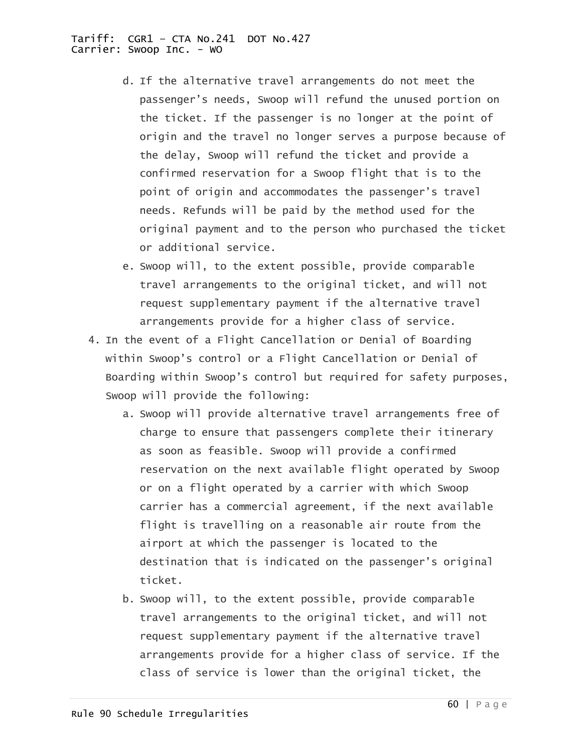- d. If the alternative travel arrangements do not meet the passenger's needs, Swoop will refund the unused portion on the ticket. If the passenger is no longer at the point of origin and the travel no longer serves a purpose because of the delay, Swoop will refund the ticket and provide a confirmed reservation for a Swoop flight that is to the point of origin and accommodates the passenger's travel needs. Refunds will be paid by the method used for the original payment and to the person who purchased the ticket or additional service.
- e. Swoop will, to the extent possible, provide comparable travel arrangements to the original ticket, and will not request supplementary payment if the alternative travel arrangements provide for a higher class of service.
- 4. In the event of a Flight Cancellation or Denial of Boarding within Swoop's control or a Flight Cancellation or Denial of Boarding within Swoop's control but required for safety purposes, Swoop will provide the following:
	- a. Swoop will provide alternative travel arrangements free of charge to ensure that passengers complete their itinerary as soon as feasible. Swoop will provide a confirmed reservation on the next available flight operated by Swoop or on a flight operated by a carrier with which Swoop carrier has a commercial agreement, if the next available flight is travelling on a reasonable air route from the airport at which the passenger is located to the destination that is indicated on the passenger's original ticket.
	- b. Swoop will, to the extent possible, provide comparable travel arrangements to the original ticket, and will not request supplementary payment if the alternative travel arrangements provide for a higher class of service. If the class of service is lower than the original ticket, the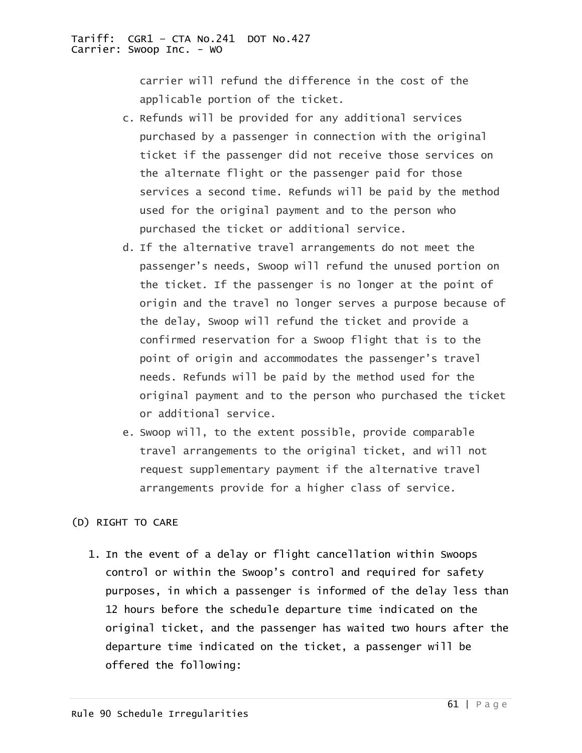carrier will refund the difference in the cost of the applicable portion of the ticket.

- c. Refunds will be provided for any additional services purchased by a passenger in connection with the original ticket if the passenger did not receive those services on the alternate flight or the passenger paid for those services a second time. Refunds will be paid by the method used for the original payment and to the person who purchased the ticket or additional service.
- d. If the alternative travel arrangements do not meet the passenger's needs, Swoop will refund the unused portion on the ticket. If the passenger is no longer at the point of origin and the travel no longer serves a purpose because of the delay, Swoop will refund the ticket and provide a confirmed reservation for a Swoop flight that is to the point of origin and accommodates the passenger's travel needs. Refunds will be paid by the method used for the original payment and to the person who purchased the ticket or additional service.
- e. Swoop will, to the extent possible, provide comparable travel arrangements to the original ticket, and will not request supplementary payment if the alternative travel arrangements provide for a higher class of service.

## (D) RIGHT TO CARE

1. In the event of a delay or flight cancellation within Swoops control or within the Swoop's control and required for safety purposes, in which a passenger is informed of the delay less than 12 hours before the schedule departure time indicated on the original ticket, and the passenger has waited two hours after the departure time indicated on the ticket, a passenger will be offered the following: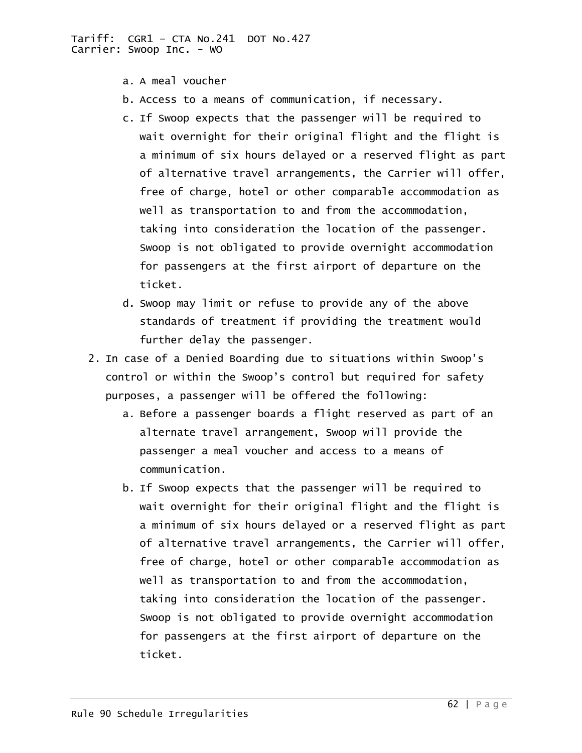- a. A meal voucher
- b. Access to a means of communication, if necessary.
- c. If Swoop expects that the passenger will be required to wait overnight for their original flight and the flight is a minimum of six hours delayed or a reserved flight as part of alternative travel arrangements, the Carrier will offer, free of charge, hotel or other comparable accommodation as well as transportation to and from the accommodation, taking into consideration the location of the passenger. Swoop is not obligated to provide overnight accommodation for passengers at the first airport of departure on the ticket.
- d. Swoop may limit or refuse to provide any of the above standards of treatment if providing the treatment would further delay the passenger.
- 2. In case of a Denied Boarding due to situations within Swoop's control or within the Swoop's control but required for safety purposes, a passenger will be offered the following:
	- a. Before a passenger boards a flight reserved as part of an alternate travel arrangement, Swoop will provide the passenger a meal voucher and access to a means of communication.
	- b. If Swoop expects that the passenger will be required to wait overnight for their original flight and the flight is a minimum of six hours delayed or a reserved flight as part of alternative travel arrangements, the Carrier will offer, free of charge, hotel or other comparable accommodation as well as transportation to and from the accommodation, taking into consideration the location of the passenger. Swoop is not obligated to provide overnight accommodation for passengers at the first airport of departure on the ticket.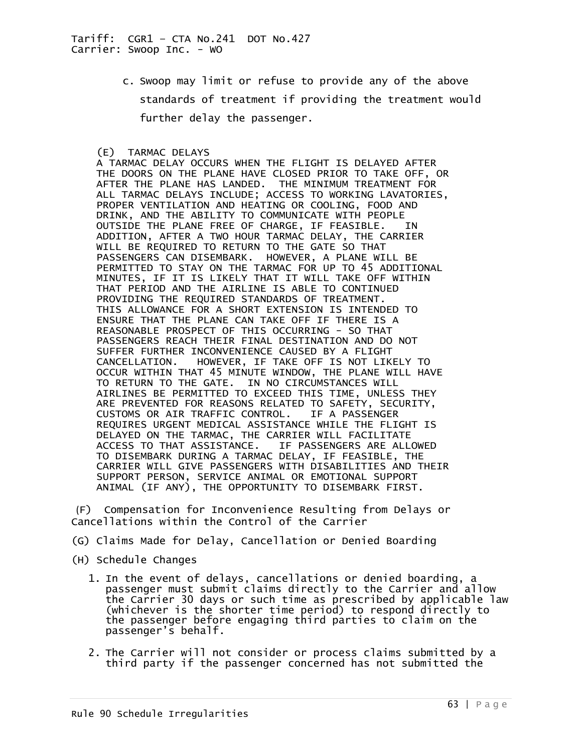c. Swoop may limit or refuse to provide any of the above standards of treatment if providing the treatment would further delay the passenger.

## (E) TARMAC DELAYS

 A TARMAC DELAY OCCURS WHEN THE FLIGHT IS DELAYED AFTER THE DOORS ON THE PLANE HAVE CLOSED PRIOR TO TAKE OFF, OR<br>AFTER THE PLANE HAS LANDED. THE MINIMUM TREATMENT FOR AFTER THE PLANE HAS LANDED. ALL TARMAC DELAYS INCLUDE; ACCESS TO WORKING LAVATORIES, PROPER VENTILATION AND HEATING OR COOLING, FOOD AND DRINK, AND THE ABILITY TO COMMUNICATE WITH PEOPLE OUTSIDE THE PLANE FREE OF CHARGE, IF FEASIBLE. IN ADDITION, AFTER A TWO HOUR TARMAC DELAY, THE CARRIER WILL BE REQUIRED TO RETURN TO THE GATE SO THAT PASSENGERS CAN DISEMBARK. HOWEVER, A PLANE WILL BE PERMITTED TO STAY ON THE TARMAC FOR UP TO 45 ADDITIONAL MINUTES, IF IT IS LIKELY THAT IT WILL TAKE OFF WITHIN THAT PERIOD AND THE AIRLINE IS ABLE TO CONTINUED PROVIDING THE REQUIRED STANDARDS OF TREATMENT. THIS ALLOWANCE FOR A SHORT EXTENSION IS INTENDED TO ENSURE THAT THE PLANE CAN TAKE OFF IF THERE IS A REASONABLE PROSPECT OF THIS OCCURRING - SO THAT PASSENGERS REACH THEIR FINAL DESTINATION AND DO NOT SUFFER FURTHER INCONVENIENCE CAUSED BY A FLIGHT CANCELLATION. HOWEVER, IF TAKE OFF IS NOT LIKELY TO OCCUR WITHIN THAT 45 MINUTE WINDOW, THE PLANE WILL HAVE TO RETURN TO THE GATE. IN NO CIRCUMSTANCES WILL AIRLINES BE PERMITTED TO EXCEED THIS TIME, UNLESS THEY ARE PREVENTED FOR REASONS RELATED TO SAFETY, SECURITY, CUSTOMS OR AIR TRAFFIC CONTROL. IF A PASSENGER REQUIRES URGENT MEDICAL ASSISTANCE WHILE THE FLIGHT IS DELAYED ON THE TARMAC, THE CARRIER WILL FACILITATE<br>ACCESS TO THAT ASSISTANCE. IF PASSENGERS ARE ALLO ACCESS TO THAT ASSISTANCE. IF PASSENGERS ARE ALLOWED TO DISEMBARK DURING A TARMAC DELAY, IF FEASIBLE, THE CARRIER WILL GIVE PASSENGERS WITH DISABILITIES AND THEIR SUPPORT PERSON, SERVICE ANIMAL OR EMOTIONAL SUPPORT ANIMAL (IF ANY), THE OPPORTUNITY TO DISEMBARK FIRST.

 (F) Compensation for Inconvenience Resulting from Delays or Cancellations within the Control of the Carrier

- (G) Claims Made for Delay, Cancellation or Denied Boarding
- (H) Schedule Changes
	- 1. In the event of delays, cancellations or denied boarding, a passenger must submit claims directly to the Carrier and allow the Carrier 30 days or such time as prescribed by applicable law (whichever is the shorter time period) to respond directly to the passenger before engaging third parties to claim on the passenger's behalf.
	- 2. The Carrier will not consider or process claims submitted by a third party if the passenger concerned has not submitted the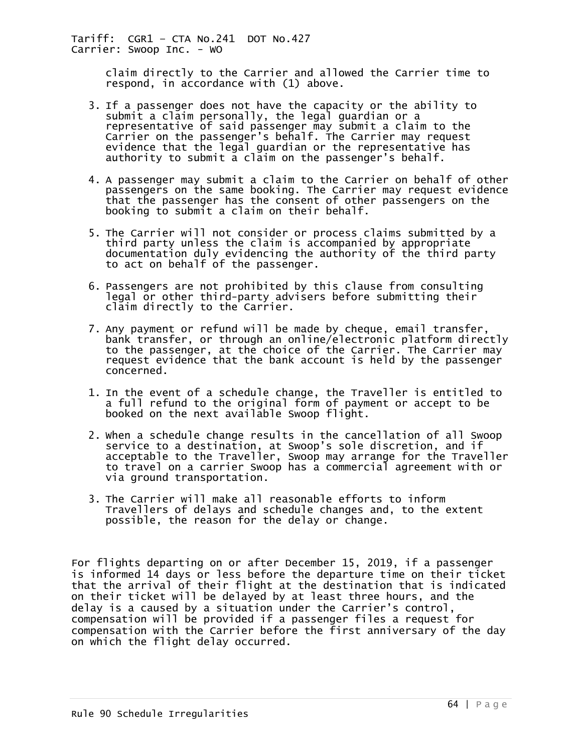> claim directly to the Carrier and allowed the Carrier time to respond, in accordance with (1) above.

- 3. If a passenger does not have the capacity or the ability to submit a claim personally, the legal guardian or a representative of said passenger may submit a claim to the Carrier on the passenger's behalf. The Carrier may request evidence that the legal guardian or the representative has authority to submit a claim on the passenger's behalf.
- 4. A passenger may submit a claim to the Carrier on behalf of other passengers on the same booking. The Carrier may request evidence that the passenger has the consent of other passengers on the booking to submit a claim on their behalf.
- 5. The Carrier will not consider or process claims submitted by a third party unless the claim is accompanied by appropriate documentation duly evidencing the authority of the third party to act on behalf of the passenger.
- 6. Passengers are not prohibited by this clause from consulting legal or other third-party advisers before submitting their claim directly to the Carrier.
- 7. Any payment or refund will be made by cheque, email transfer, bank transfer, or through an online/electronic platform directly to the passenger, at the choice of the Carrier. The Carrier may request evidence that the bank account is held by the passenger concerned.
- 1. In the event of a schedule change, the Traveller is entitled to a full refund to the original form of payment or accept to be booked on the next available Swoop flight.
- 2. When a schedule change results in the cancellation of all Swoop service to a destination, at Swoop's sole discretion, and if acceptable to the Traveller, Swoop may arrange for the Traveller to travel on a carrier Swoop has a commercial agreement with or via ground transportation.
- 3. The Carrier will make all reasonable efforts to inform Travellers of delays and schedule changes and, to the extent possible, the reason for the delay or change.

For flights departing on or after December 15, 2019, if a passenger is informed 14 days or less before the departure time on their ticket that the arrival of their flight at the destination that is indicated on their ticket will be delayed by at least three hours, and the delay is a caused by a situation under the Carrier's control, compensation will be provided if a passenger files a request for compensation with the Carrier before the first anniversary of the day on which the flight delay occurred.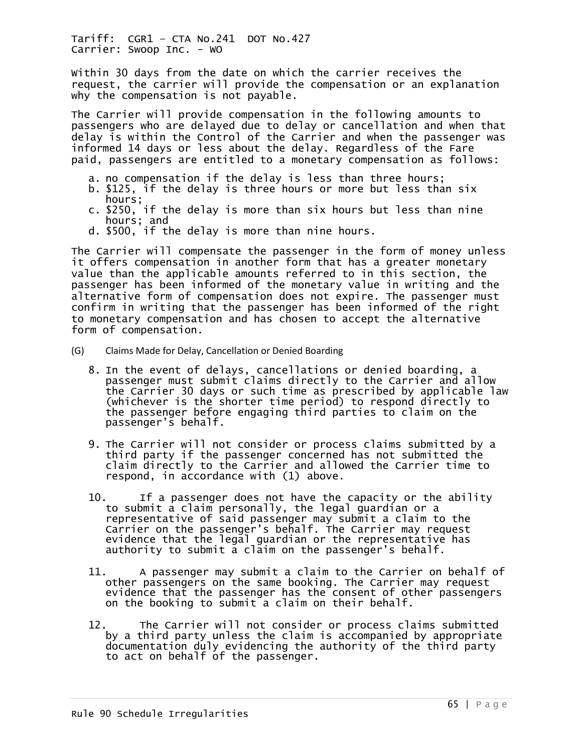Within 30 days from the date on which the carrier receives the request, the carrier will provide the compensation or an explanation why the compensation is not payable.

The Carrier will provide compensation in the following amounts to passengers who are delayed due to delay or cancellation and when that delay is within the Control of the Carrier and when the passenger was informed 14 days or less about the delay. Regardless of the Fare paid, passengers are entitled to a monetary compensation as follows:

- a. no compensation if the delay is less than three hours;
- b. \$125, if the delay is three hours or more but less than six hours;
- c. \$250, if the delay is more than six hours but less than nine hours; and
- d. \$500, if the delay is more than nine hours.

The Carrier will compensate the passenger in the form of money unless it offers compensation in another form that has a greater monetary value than the applicable amounts referred to in this section, the passenger has been informed of the monetary value in writing and the alternative form of compensation does not expire. The passenger must confirm in writing that the passenger has been informed of the right to monetary compensation and has chosen to accept the alternative form of compensation.

- (G) Claims Made for Delay, Cancellation or Denied Boarding
	- 8. In the event of delays, cancellations or denied boarding, a passenger must submit claims directly to the Carrier and allow the Carrier 30 days or such time as prescribed by applicable law (whichever is the shorter time period) to respond directly to the passenger before engaging third parties to claim on the passenger's behalf.
	- 9. The Carrier will not consider or process claims submitted by a third party if the passenger concerned has not submitted the claim directly to the Carrier and allowed the Carrier time to respond, in accordance with (1) above.
	- 10. If a passenger does not have the capacity or the ability to submit a claim personally, the legal guardian or a representative of said passenger may submit a claim to the Carrier on the passenger's behalf. The Carrier may request evidence that the legal guardian or the representative has authority to submit a claim on the passenger's behalf.
	- 11. A passenger may submit a claim to the Carrier on behalf of other passengers on the same booking. The Carrier may request evidence that the passenger has the consent of other passengers on the booking to submit a claim on their behalf.
	- 12. The Carrier will not consider or process claims submitted by a third party unless the claim is accompanied by appropriate documentation duly evidencing the authority of the third party to act on behalf of the passenger.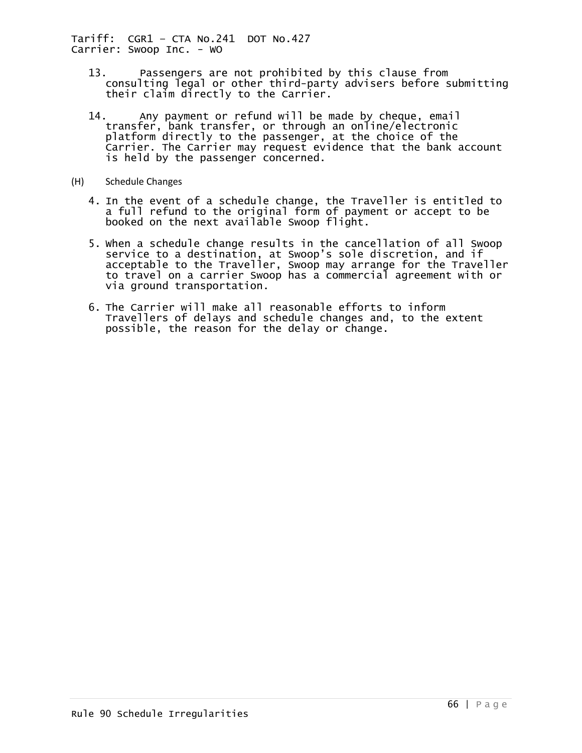- 13. Passengers are not prohibited by this clause from consulting legal or other third-party advisers before submitting their claim directly to the Carrier.
- 14. Any payment or refund will be made by cheque, email transfer, bank transfer, or through an online/electronic platform directly to the passenger, at the choice of the Carrier. The Carrier may request evidence that the bank account is held by the passenger concerned.
- (H) Schedule Changes
	- 4. In the event of a schedule change, the Traveller is entitled to a full refund to the original form of payment or accept to be booked on the next available Swoop flight.
	- 5. When a schedule change results in the cancellation of all Swoop service to a destination, at Swoop's sole discretion, and if acceptable to the Traveller, Swoop may arrange for the Traveller to travel on a carrier Swoop has a commercial agreement with or via ground transportation.
	- 6. The Carrier will make all reasonable efforts to inform Travellers of delays and schedule changes and, to the extent possible, the reason for the delay or change.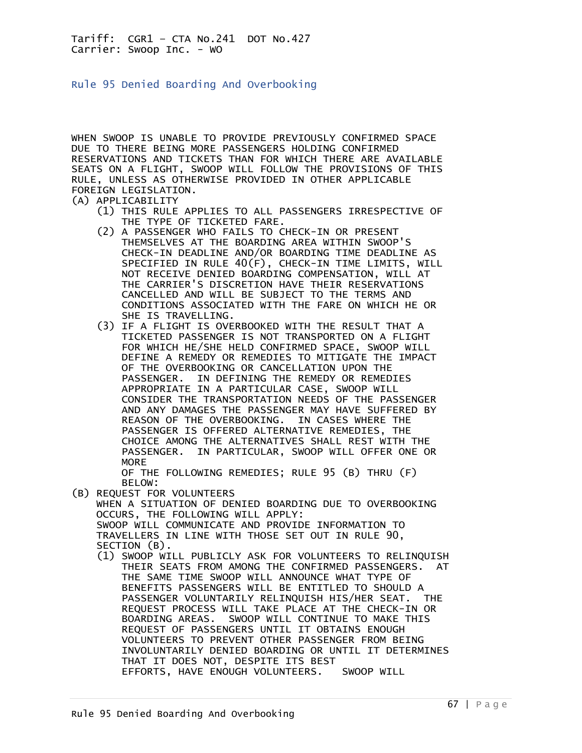Rule 95 Denied Boarding And Overbooking

WHEN SWOOP IS UNABLE TO PROVIDE PREVIOUSLY CONFIRMED SPACE DUE TO THERE BEING MORE PASSENGERS HOLDING CONFIRMED RESERVATIONS AND TICKETS THAN FOR WHICH THERE ARE AVAILABLE SEATS ON A FLIGHT, SWOOP WILL FOLLOW THE PROVISIONS OF THIS RULE, UNLESS AS OTHERWISE PROVIDED IN OTHER APPLICABLE FOREIGN LEGISLATION. (A) APPLICABILITY

- (1) THIS RULE APPLIES TO ALL PASSENGERS IRRESPECTIVE OF THE TYPE OF TICKETED FARE.
	- (2) A PASSENGER WHO FAILS TO CHECK-IN OR PRESENT THEMSELVES AT THE BOARDING AREA WITHIN SWOOP'S CHECK-IN DEADLINE AND/OR BOARDING TIME DEADLINE AS SPECIFIED IN RULE 40(F), CHECK-IN TIME LIMITS, WILL NOT RECEIVE DENIED BOARDING COMPENSATION, WILL AT THE CARRIER'S DISCRETION HAVE THEIR RESERVATIONS CANCELLED AND WILL BE SUBJECT TO THE TERMS AND CONDITIONS ASSOCIATED WITH THE FARE ON WHICH HE OR SHE IS TRAVELLING.
	- (3) IF A FLIGHT IS OVERBOOKED WITH THE RESULT THAT A TICKETED PASSENGER IS NOT TRANSPORTED ON A FLIGHT FOR WHICH HE/SHE HELD CONFIRMED SPACE, SWOOP WILL DEFINE A REMEDY OR REMEDIES TO MITIGATE THE IMPACT OF THE OVERBOOKING OR CANCELLATION UPON THE PASSENGER. IN DEFINING THE REMEDY OR REMEDIES APPROPRIATE IN A PARTICULAR CASE, SWOOP WILL CONSIDER THE TRANSPORTATION NEEDS OF THE PASSENGER AND ANY DAMAGES THE PASSENGER MAY HAVE SUFFERED BY REASON OF THE OVERBOOKING. IN CASES WHERE THE PASSENGER IS OFFERED ALTERNATIVE REMEDIES, THE CHOICE AMONG THE ALTERNATIVES SHALL REST WITH THE PASSENGER. IN PARTICULAR, SWOOP WILL OFFER ONE OR MORE

 OF THE FOLLOWING REMEDIES; RULE 95 (B) THRU (F) BELOW:

(B) REQUEST FOR VOLUNTEERS

 WHEN A SITUATION OF DENIED BOARDING DUE TO OVERBOOKING OCCURS, THE FOLLOWING WILL APPLY: SWOOP WILL COMMUNICATE AND PROVIDE INFORMATION TO TRAVELLERS IN LINE WITH THOSE SET OUT IN RULE 90, SECTION (B).

 (1) SWOOP WILL PUBLICLY ASK FOR VOLUNTEERS TO RELINQUISH THEIR SEATS FROM AMONG THE CONFIRMED PASSENGERS. AT THE SAME TIME SWOOP WILL ANNOUNCE WHAT TYPE OF BENEFITS PASSENGERS WILL BE ENTITLED TO SHOULD A PASSENGER VOLUNTARILY RELINQUISH HIS/HER SEAT. THE REQUEST PROCESS WILL TAKE PLACE AT THE CHECK-IN OR BOARDING AREAS. SWOOP WILL CONTINUE TO MAKE THIS REQUEST OF PASSENGERS UNTIL IT OBTAINS ENOUGH VOLUNTEERS TO PREVENT OTHER PASSENGER FROM BEING INVOLUNTARILY DENIED BOARDING OR UNTIL IT DETERMINES THAT IT DOES NOT, DESPITE ITS BEST EFFORTS, HAVE ENOUGH VOLUNTEERS. SWOOP WILL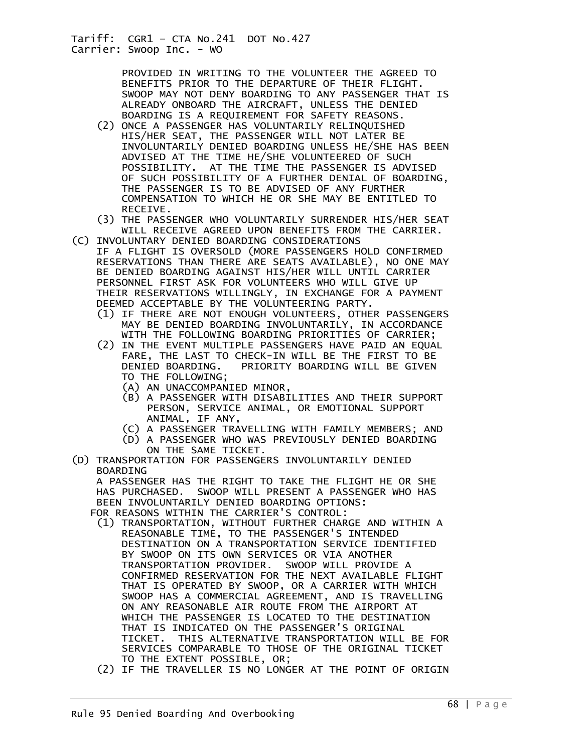PROVIDED IN WRITING TO THE VOLUNTEER THE AGREED TO BENEFITS PRIOR TO THE DEPARTURE OF THEIR FLIGHT. SWOOP MAY NOT DENY BOARDING TO ANY PASSENGER THAT IS ALREADY ONBOARD THE AIRCRAFT, UNLESS THE DENIED BOARDING IS A REQUIREMENT FOR SAFETY REASONS.

- (2) ONCE A PASSENGER HAS VOLUNTARILY RELINQUISHED HIS/HER SEAT, THE PASSENGER WILL NOT LATER BE INVOLUNTARILY DENIED BOARDING UNLESS HE/SHE HAS BEEN ADVISED AT THE TIME HE/SHE VOLUNTEERED OF SUCH POSSIBILITY. AT THE TIME THE PASSENGER IS ADVISED OF SUCH POSSIBILITY OF A FURTHER DENIAL OF BOARDING, THE PASSENGER IS TO BE ADVISED OF ANY FURTHER COMPENSATION TO WHICH HE OR SHE MAY BE ENTITLED TO RECEIVE.
	- (3) THE PASSENGER WHO VOLUNTARILY SURRENDER HIS/HER SEAT WILL RECEIVE AGREED UPON BENEFITS FROM THE CARRIER.
- (C) INVOLUNTARY DENIED BOARDING CONSIDERATIONS IF A FLIGHT IS OVERSOLD (MORE PASSENGERS HOLD CONFIRMED RESERVATIONS THAN THERE ARE SEATS AVAILABLE), NO ONE MAY BE DENIED BOARDING AGAINST HIS/HER WILL UNTIL CARRIER PERSONNEL FIRST ASK FOR VOLUNTEERS WHO WILL GIVE UP THEIR RESERVATIONS WILLINGLY, IN EXCHANGE FOR A PAYMENT DEEMED ACCEPTABLE BY THE VOLUNTEERING PARTY.
	- (1) IF THERE ARE NOT ENOUGH VOLUNTEERS, OTHER PASSENGERS MAY BE DENIED BOARDING INVOLUNTARILY, IN ACCORDANCE WITH THE FOLLOWING BOARDING PRIORITIES OF CARRIER;
	- (2) IN THE EVENT MULTIPLE PASSENGERS HAVE PAID AN EQUAL FARE, THE LAST TO CHECK-IN WILL BE THE FIRST TO BE DENIED BOARDING. PRIORITY BOARDING WILL BE GIVEN TO THE FOLLOWING;
		- (A) AN UNACCOMPANIED MINOR,
		- (B) A PASSENGER WITH DISABILITIES AND THEIR SUPPORT PERSON, SERVICE ANIMAL, OR EMOTIONAL SUPPORT ANIMAL, IF ANY,
		- (C) A PASSENGER TRAVELLING WITH FAMILY MEMBERS; AND
		- (D) A PASSENGER WHO WAS PREVIOUSLY DENIED BOARDING ON THE SAME TICKET.
- (D) TRANSPORTATION FOR PASSENGERS INVOLUNTARILY DENIED BOARDING

 A PASSENGER HAS THE RIGHT TO TAKE THE FLIGHT HE OR SHE HAS PURCHASED. SWOOP WILL PRESENT A PASSENGER WHO HAS BEEN INVOLUNTARILY DENIED BOARDING OPTIONS:

- FOR REASONS WITHIN THE CARRIER'S CONTROL: (1) TRANSPORTATION, WITHOUT FURTHER CHARGE AND WITHIN A
- REASONABLE TIME, TO THE PASSENGER'S INTENDED DESTINATION ON A TRANSPORTATION SERVICE IDENTIFIED BY SWOOP ON ITS OWN SERVICES OR VIA ANOTHER TRANSPORTATION PROVIDER. SWOOP WILL PROVIDE A CONFIRMED RESERVATION FOR THE NEXT AVAILABLE FLIGHT THAT IS OPERATED BY SWOOP, OR A CARRIER WITH WHICH SWOOP HAS A COMMERCIAL AGREEMENT, AND IS TRAVELLING ON ANY REASONABLE AIR ROUTE FROM THE AIRPORT AT WHICH THE PASSENGER IS LOCATED TO THE DESTINATION THAT IS INDICATED ON THE PASSENGER'S ORIGINAL TICKET. THIS ALTERNATIVE TRANSPORTATION WILL BE FOR SERVICES COMPARABLE TO THOSE OF THE ORIGINAL TICKET TO THE EXTENT POSSIBLE, OR;
	- (2) IF THE TRAVELLER IS NO LONGER AT THE POINT OF ORIGIN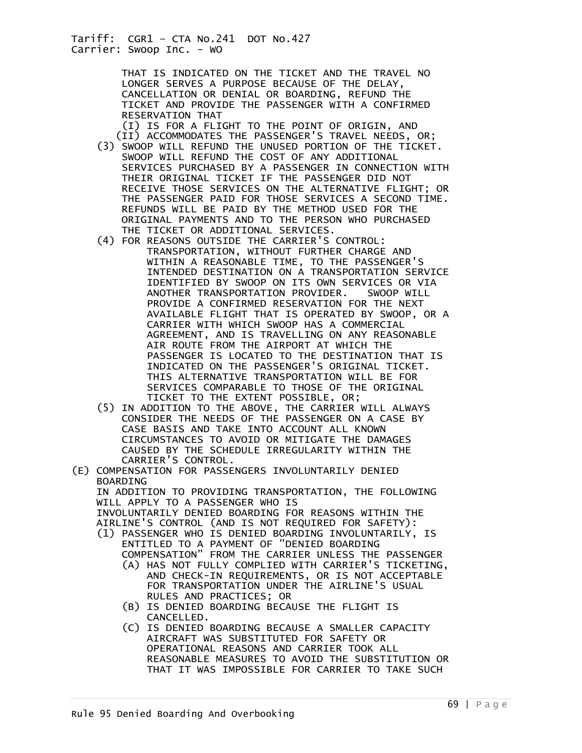> THAT IS INDICATED ON THE TICKET AND THE TRAVEL NO LONGER SERVES A PURPOSE BECAUSE OF THE DELAY, CANCELLATION OR DENIAL OR BOARDING, REFUND THE TICKET AND PROVIDE THE PASSENGER WITH A CONFIRMED RESERVATION THAT

 (I) IS FOR A FLIGHT TO THE POINT OF ORIGIN, AND (II) ACCOMMODATES THE PASSENGER'S TRAVEL NEEDS, OR;

- (3) SWOOP WILL REFUND THE UNUSED PORTION OF THE TICKET. SWOOP WILL REFUND THE COST OF ANY ADDITIONAL SERVICES PURCHASED BY A PASSENGER IN CONNECTION WITH THEIR ORIGINAL TICKET IF THE PASSENGER DID NOT RECEIVE THOSE SERVICES ON THE ALTERNATIVE FLIGHT; OR THE PASSENGER PAID FOR THOSE SERVICES A SECOND TIME. REFUNDS WILL BE PAID BY THE METHOD USED FOR THE ORIGINAL PAYMENTS AND TO THE PERSON WHO PURCHASED THE TICKET OR ADDITIONAL SERVICES.
- (4) FOR REASONS OUTSIDE THE CARRIER'S CONTROL: TRANSPORTATION, WITHOUT FURTHER CHARGE AND WITHIN A REASONABLE TIME, TO THE PASSENGER'S
- INTENDED DESTINATION ON A TRANSPORTATION SERVICE IDENTIFIED BY SWOOP ON ITS OWN SERVICES OR VIA ANOTHER TRANSPORTATION PROVIDER. SWOOP WILL PROVIDE A CONFIRMED RESERVATION FOR THE NEXT AVAILABLE FLIGHT THAT IS OPERATED BY SWOOP, OR A CARRIER WITH WHICH SWOOP HAS A COMMERCIAL AGREEMENT, AND IS TRAVELLING ON ANY REASONABLE AIR ROUTE FROM THE AIRPORT AT WHICH THE PASSENGER IS LOCATED TO THE DESTINATION THAT IS INDICATED ON THE PASSENGER'S ORIGINAL TICKET. THIS ALTERNATIVE TRANSPORTATION WILL BE FOR SERVICES COMPARABLE TO THOSE OF THE ORIGINAL TICKET TO THE EXTENT POSSIBLE, OR;
	- (5) IN ADDITION TO THE ABOVE, THE CARRIER WILL ALWAYS CONSIDER THE NEEDS OF THE PASSENGER ON A CASE BY CASE BASIS AND TAKE INTO ACCOUNT ALL KNOWN CIRCUMSTANCES TO AVOID OR MITIGATE THE DAMAGES CAUSED BY THE SCHEDULE IRREGULARITY WITHIN THE CARRIER'S CONTROL.
- (E) COMPENSATION FOR PASSENGERS INVOLUNTARILY DENIED BOARDING IN ADDITION TO PROVIDING TRANSPORTATION, THE FOLLOWING WILL APPLY TO A PASSENGER WHO IS INVOLUNTARILY DENIED BOARDING FOR REASONS WITHIN THE AIRLINE'S CONTROL (AND IS NOT REQUIRED FOR SAFETY): (1) PASSENGER WHO IS DENIED BOARDING INVOLUNTARILY, IS ENTITLED TO A PAYMENT OF "DENIED BOARDING COMPENSATION" FROM THE CARRIER UNLESS THE PASSENGER
	- (A) HAS NOT FULLY COMPLIED WITH CARRIER'S TICKETING, AND CHECK-IN REQUIREMENTS, OR IS NOT ACCEPTABLE FOR TRANSPORTATION UNDER THE AIRLINE'S USUAL RULES AND PRACTICES; OR
	- (B) IS DENIED BOARDING BECAUSE THE FLIGHT IS CANCELLED.
	- (C) IS DENIED BOARDING BECAUSE A SMALLER CAPACITY AIRCRAFT WAS SUBSTITUTED FOR SAFETY OR OPERATIONAL REASONS AND CARRIER TOOK ALL REASONABLE MEASURES TO AVOID THE SUBSTITUTION OR THAT IT WAS IMPOSSIBLE FOR CARRIER TO TAKE SUCH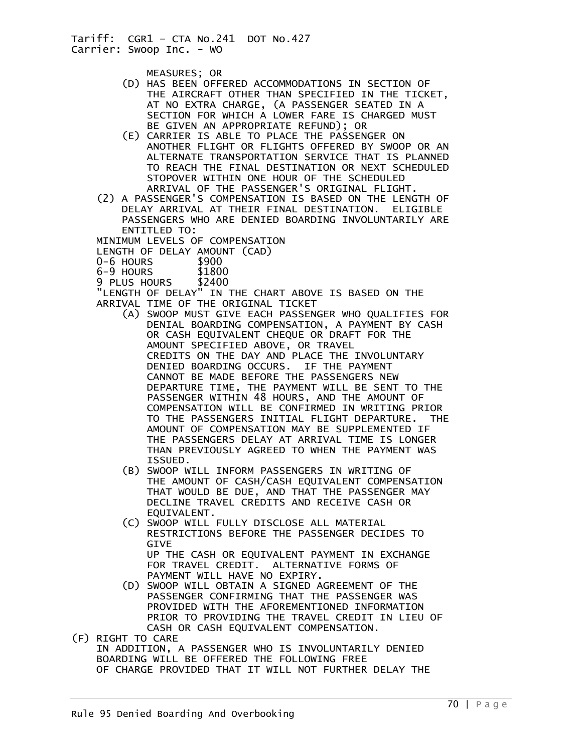MEASURES; OR

- (D) HAS BEEN OFFERED ACCOMMODATIONS IN SECTION OF THE AIRCRAFT OTHER THAN SPECIFIED IN THE TICKET, AT NO EXTRA CHARGE, (A PASSENGER SEATED IN A SECTION FOR WHICH A LOWER FARE IS CHARGED MUST BE GIVEN AN APPROPRIATE REFUND); OR
- (E) CARRIER IS ABLE TO PLACE THE PASSENGER ON ANOTHER FLIGHT OR FLIGHTS OFFERED BY SWOOP OR AN ALTERNATE TRANSPORTATION SERVICE THAT IS PLANNED TO REACH THE FINAL DESTINATION OR NEXT SCHEDULED STOPOVER WITHIN ONE HOUR OF THE SCHEDULED ARRIVAL OF THE PASSENGER'S ORIGINAL FLIGHT.
- (2) A PASSENGER'S COMPENSATION IS BASED ON THE LENGTH OF DELAY ARRIVAL AT THEIR FINAL DESTINATION. ELIGIBLE PASSENGERS WHO ARE DENIED BOARDING INVOLUNTARILY ARE ENTITLED TO:

MINIMUM LEVELS OF COMPENSATION

LENGTH OF DELAY AMOUNT (CAD)<br>0-6 HOURS \$900

- 
- 0-6 HOURS \$900<br>6-9 HOURS \$1800
- 6-9 HOURS \$1800 9 PLUS HOURS

 "LENGTH OF DELAY" IN THE CHART ABOVE IS BASED ON THE ARRIVAL TIME OF THE ORIGINAL TICKET

- (A) SWOOP MUST GIVE EACH PASSENGER WHO QUALIFIES FOR DENIAL BOARDING COMPENSATION, A PAYMENT BY CASH OR CASH EQUIVALENT CHEQUE OR DRAFT FOR THE AMOUNT SPECIFIED ABOVE, OR TRAVEL CREDITS ON THE DAY AND PLACE THE INVOLUNTARY DENIED BOARDING OCCURS. IF THE PAYMENT CANNOT BE MADE BEFORE THE PASSENGERS NEW DEPARTURE TIME, THE PAYMENT WILL BE SENT TO THE PASSENGER WITHIN 48 HOURS, AND THE AMOUNT OF COMPENSATION WILL BE CONFIRMED IN WRITING PRIOR TO THE PASSENGERS INITIAL FLIGHT DEPARTURE. THE AMOUNT OF COMPENSATION MAY BE SUPPLEMENTED IF THE PASSENGERS DELAY AT ARRIVAL TIME IS LONGER THAN PREVIOUSLY AGREED TO WHEN THE PAYMENT WAS ISSUED.
- (B) SWOOP WILL INFORM PASSENGERS IN WRITING OF THE AMOUNT OF CASH/CASH EQUIVALENT COMPENSATION THAT WOULD BE DUE, AND THAT THE PASSENGER MAY DECLINE TRAVEL CREDITS AND RECEIVE CASH OR EQUIVALENT.
- (C) SWOOP WILL FULLY DISCLOSE ALL MATERIAL RESTRICTIONS BEFORE THE PASSENGER DECIDES TO GIVE UP THE CASH OR EQUIVALENT PAYMENT IN EXCHANGE FOR TRAVEL CREDIT. ALTERNATIVE FORMS OF PAYMENT WILL HAVE NO EXPIRY.
- (D) SWOOP WILL OBTAIN A SIGNED AGREEMENT OF THE PASSENGER CONFIRMING THAT THE PASSENGER WAS PROVIDED WITH THE AFOREMENTIONED INFORMATION PRIOR TO PROVIDING THE TRAVEL CREDIT IN LIEU OF CASH OR CASH EQUIVALENT COMPENSATION.
- (F) RIGHT TO CARE IN ADDITION, A PASSENGER WHO IS INVOLUNTARILY DENIED BOARDING WILL BE OFFERED THE FOLLOWING FREE OF CHARGE PROVIDED THAT IT WILL NOT FURTHER DELAY THE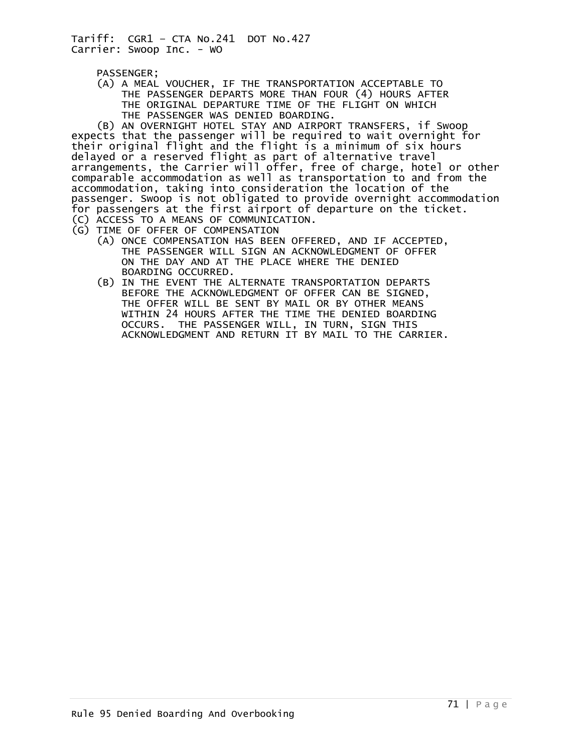PASSENGER;

 (A) A MEAL VOUCHER, IF THE TRANSPORTATION ACCEPTABLE TO THE PASSENGER DEPARTS MORE THAN FOUR (4) HOURS AFTER THE ORIGINAL DEPARTURE TIME OF THE FLIGHT ON WHICH THE PASSENGER WAS DENIED BOARDING.

 (B) AN OVERNIGHT HOTEL STAY AND AIRPORT TRANSFERS, if Swoop expects that the passenger will be required to wait overnight for their original flight and the flight is a minimum of six hours delayed or a reserved flight as part of alternative travel arrangements, the Carrier will offer, free of charge, hotel or other comparable accommodation as well as transportation to and from the accommodation, taking into consideration the location of the passenger. Swoop is not obligated to provide overnight accommodation for passengers at the first airport of departure on the ticket. (C) ACCESS TO A MEANS OF COMMUNICATION.

- (G) TIME OF OFFER OF COMPENSATION
	- (A) ONCE COMPENSATION HAS BEEN OFFERED, AND IF ACCEPTED, THE PASSENGER WILL SIGN AN ACKNOWLEDGMENT OF OFFER ON THE DAY AND AT THE PLACE WHERE THE DENIED BOARDING OCCURRED.
- (B) IN THE EVENT THE ALTERNATE TRANSPORTATION DEPARTS BEFORE THE ACKNOWLEDGMENT OF OFFER CAN BE SIGNED, THE OFFER WILL BE SENT BY MAIL OR BY OTHER MEANS WITHIN 24 HOURS AFTER THE TIME THE DENIED BOARDING OCCURS. THE PASSENGER WILL, IN TURN, SIGN THIS ACKNOWLEDGMENT AND RETURN IT BY MAIL TO THE CARRIER.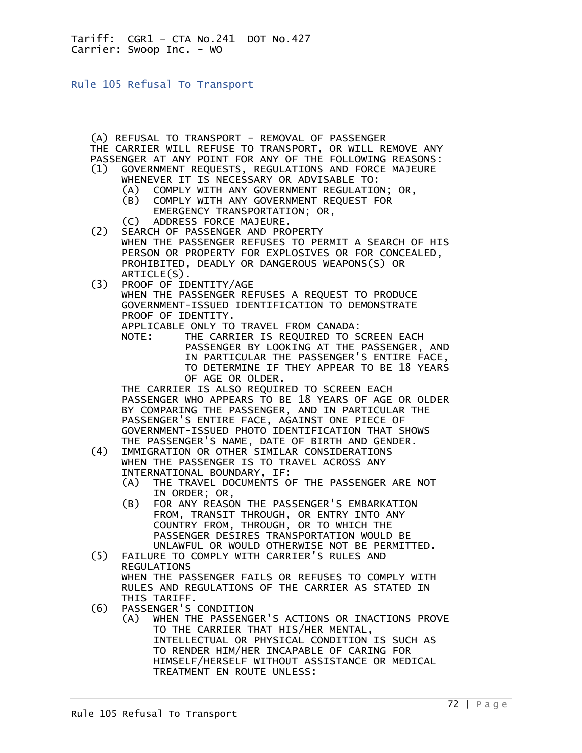Rule 105 Refusal To Transport

(A) REFUSAL TO TRANSPORT - REMOVAL OF PASSENGER

- THE CARRIER WILL REFUSE TO TRANSPORT, OR WILL REMOVE ANY PASSENGER AT ANY POINT FOR ANY OF THE FOLLOWING REASONS: (1) GOVERNMENT REQUESTS, REGULATIONS AND FORCE MAJEURE
	- WHENEVER IT IS NECESSARY OR ADVISABLE TO:
- (A) COMPLY WITH ANY GOVERNMENT REGULATION; OR,
- (B) COMPLY WITH ANY GOVERNMENT REQUEST FOR EMERGENCY TRANSPORTATION; OR,
	- .C) ADDRESS FORCE MAJEURE)<br>C2) SEARCH OF PASSENGER AND PRO
	- SEARCH OF PASSENGER AND PROPERTY WHEN THE PASSENGER REFUSES TO PERMIT A SEARCH OF HIS PERSON OR PROPERTY FOR EXPLOSIVES OR FOR CONCEALED, PROHIBITED, DEADLY OR DANGEROUS WEAPONS(S) OR ARTICLE(S).
	- (3) PROOF OF IDENTITY/AGE WHEN THE PASSENGER REFUSES A REQUEST TO PRODUCE GOVERNMENT-ISSUED IDENTIFICATION TO DEMONSTRATE PROOF OF IDENTITY.

APPLICABLE ONLY TO TRAVEL FROM CANADA:

 NOTE: THE CARRIER IS REQUIRED TO SCREEN EACH PASSENGER BY LOOKING AT THE PASSENGER, AND IN PARTICULAR THE PASSENGER'S ENTIRE FACE, TO DETERMINE IF THEY APPEAR TO BE 18 YEARS OF AGE OR OLDER.

 THE CARRIER IS ALSO REQUIRED TO SCREEN EACH PASSENGER WHO APPEARS TO BE 18 YEARS OF AGE OR OLDER BY COMPARING THE PASSENGER, AND IN PARTICULAR THE PASSENGER'S ENTIRE FACE, AGAINST ONE PIECE OF GOVERNMENT-ISSUED PHOTO IDENTIFICATION THAT SHOWS THE PASSENGER'S NAME, DATE OF BIRTH AND GENDER.

- (4) IMMIGRATION OR OTHER SIMILAR CONSIDERATIONS WHEN THE PASSENGER IS TO TRAVEL ACROSS ANY INTERNATIONAL BOUNDARY, IF:
	- (A) THE TRAVEL DOCUMENTS OF THE PASSENGER ARE NOT IN ORDER; OR,
	- (B) FOR ANY REASON THE PASSENGER'S EMBARKATION FROM, TRANSIT THROUGH, OR ENTRY INTO ANY COUNTRY FROM, THROUGH, OR TO WHICH THE PASSENGER DESIRES TRANSPORTATION WOULD BE UNLAWFUL OR WOULD OTHERWISE NOT BE PERMITTED.<br>(5) FAILURE TO COMPLY WITH CARRIER'S RULES AND
	- (5) FAILURE TO COMPLY WITH CARRIER'S RULES AND REGULATIONS WHEN THE PASSENGER FAILS OR REFUSES TO COMPLY WITH RULES AND REGULATIONS OF THE CARRIER AS STATED IN THIS TARIFF.<br>(6) PASSENGER'S
		- PASSENGER'S CONDITION
			- (A) WHEN THE PASSENGER'S ACTIONS OR INACTIONS PROVE TO THE CARRIER THAT HIS/HER MENTAL, INTELLECTUAL OR PHYSICAL CONDITION IS SUCH AS TO RENDER HIM/HER INCAPABLE OF CARING FOR HIMSELF/HERSELF WITHOUT ASSISTANCE OR MEDICAL TREATMENT EN ROUTE UNLESS: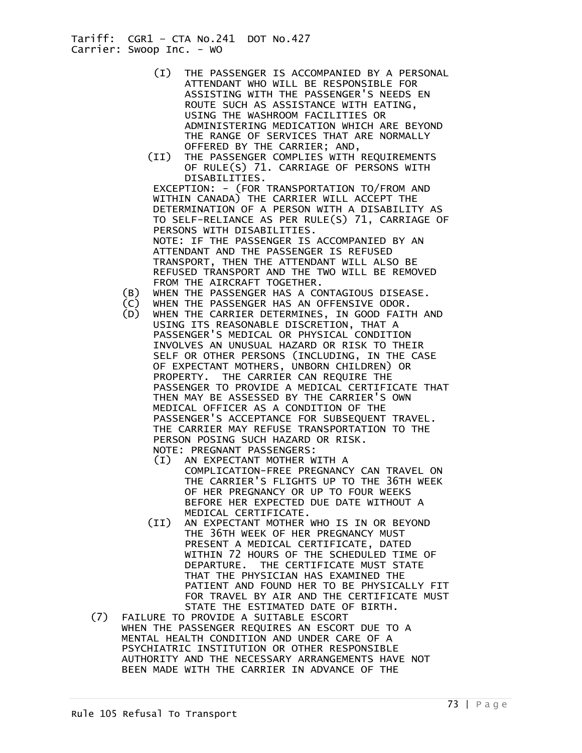- (I) THE PASSENGER IS ACCOMPANIED BY A PERSONAL ATTENDANT WHO WILL BE RESPONSIBLE FOR ASSISTING WITH THE PASSENGER'S NEEDS EN ROUTE SUCH AS ASSISTANCE WITH EATING, USING THE WASHROOM FACILITIES OR ADMINISTERING MEDICATION WHICH ARE BEYOND THE RANGE OF SERVICES THAT ARE NORMALLY OFFERED BY THE CARRIER; AND,
- (II) THE PASSENGER COMPLIES WITH REQUIREMENTS OF RULE(S) 71. CARRIAGE OF PERSONS WITH DISABILITIES.

 EXCEPTION: - (FOR TRANSPORTATION TO/FROM AND WITHIN CANADA) THE CARRIER WILL ACCEPT THE DETERMINATION OF A PERSON WITH A DISABILITY AS TO SELF-RELIANCE AS PER RULE(S) 71, CARRIAGE OF PERSONS WITH DISABILITIES. NOTE: IF THE PASSENGER IS ACCOMPANIED BY AN ATTENDANT AND THE PASSENGER IS REFUSED TRANSPORT, THEN THE ATTENDANT WILL ALSO BE REFUSED TRANSPORT AND THE TWO WILL BE REMOVED FROM THE AIRCRAFT TOGETHER.

- (B) WHEN THE PASSENGER HAS A CONTAGIOUS DISEASE.
- (C) WHEN THE PASSENGER HAS AN OFFENSIVE ODOR.
- WHEN THE CARRIER DETERMINES, IN GOOD FAITH AND USING ITS REASONABLE DISCRETION, THAT A PASSENGER'S MEDICAL OR PHYSICAL CONDITION INVOLVES AN UNUSUAL HAZARD OR RISK TO THEIR SELF OR OTHER PERSONS (INCLUDING, IN THE CASE OF EXPECTANT MOTHERS, UNBORN CHILDREN) OR PROPERTY. THE CARRIER CAN REQUIRE THE PASSENGER TO PROVIDE A MEDICAL CERTIFICATE THAT THEN MAY BE ASSESSED BY THE CARRIER'S OWN MEDICAL OFFICER AS A CONDITION OF THE PASSENGER'S ACCEPTANCE FOR SUBSEQUENT TRAVEL. THE CARRIER MAY REFUSE TRANSPORTATION TO THE PERSON POSING SUCH HAZARD OR RISK. NOTE: PREGNANT PASSENGERS:
	- (I) AN EXPECTANT MOTHER WITH A COMPLICATION-FREE PREGNANCY CAN TRAVEL ON THE CARRIER'S FLIGHTS UP TO THE 36TH WEEK OF HER PREGNANCY OR UP TO FOUR WEEKS BEFORE HER EXPECTED DUE DATE WITHOUT A MEDICAL CERTIFICATE.
	- (II) AN EXPECTANT MOTHER WHO IS IN OR BEYOND THE 36TH WEEK OF HER PREGNANCY MUST PRESENT A MEDICAL CERTIFICATE, DATED WITHIN 72 HOURS OF THE SCHEDULED TIME OF DEPARTURE. THE CERTIFICATE MUST STATE THAT THE PHYSICIAN HAS EXAMINED THE PATIENT AND FOUND HER TO BE PHYSICALLY FIT FOR TRAVEL BY AIR AND THE CERTIFICATE MUST STATE THE ESTIMATED DATE OF BIRTH.
	- (7) FAILURE TO PROVIDE A SUITABLE ESCORT WHEN THE PASSENGER REQUIRES AN ESCORT DUE TO A MENTAL HEALTH CONDITION AND UNDER CARE OF A PSYCHIATRIC INSTITUTION OR OTHER RESPONSIBLE AUTHORITY AND THE NECESSARY ARRANGEMENTS HAVE NOT BEEN MADE WITH THE CARRIER IN ADVANCE OF THE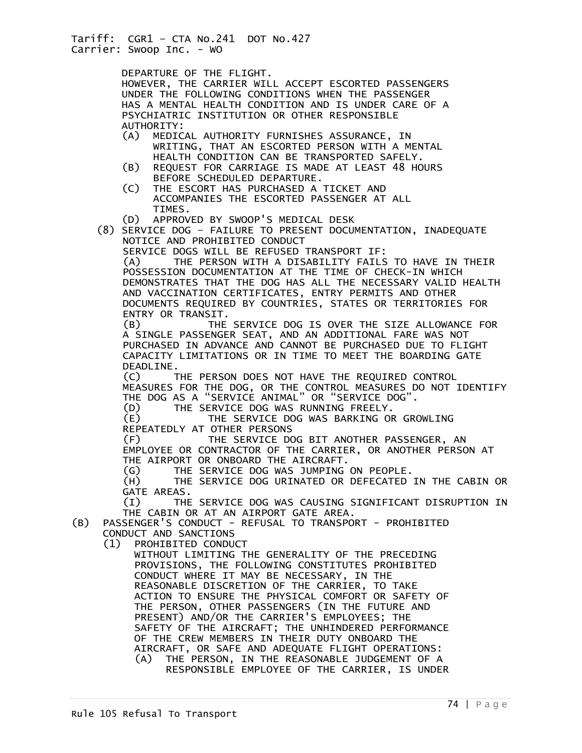DEPARTURE OF THE FLIGHT. HOWEVER, THE CARRIER WILL ACCEPT ESCORTED PASSENGERS UNDER THE FOLLOWING CONDITIONS WHEN THE PASSENGER HAS A MENTAL HEALTH CONDITION AND IS UNDER CARE OF A PSYCHIATRIC INSTITUTION OR OTHER RESPONSIBLE AUTHORITY:<br>(A) MEDIC (A) MEDICAL AUTHORITY FURNISHES ASSURANCE, IN WRITING, THAT AN ESCORTED PERSON WITH A MENTAL HEALTH CONDITION CAN BE TRANSPORTED SAFELY. (B) REQUEST FOR CARRIAGE IS MADE AT LEAST 48 HOURS BEFORE SCHEDULED DEPARTURE.<br>(C) THE ESCORT HAS PURCHASED A THE ESCORT HAS PURCHASED A TICKET AND ACCOMPANIES THE ESCORTED PASSENGER AT ALL TIMES. (D) APPROVED BY SWOOP'S MEDICAL DESK (8) SERVICE DOG – FAILURE TO PRESENT DOCUMENTATION, INADEQUATE NOTICE AND PROHIBITED CONDUCT SERVICE DOGS WILL BE REFUSED TRANSPORT IF:<br>(A) THE PERSON WITH A DISABILITY FAILS THE PERSON WITH A DISABILITY FAILS TO HAVE IN THEIR POSSESSION DOCUMENTATION AT THE TIME OF CHECK-IN WHICH DEMONSTRATES THAT THE DOG HAS ALL THE NECESSARY VALID HEALTH AND VACCINATION CERTIFICATES, ENTRY PERMITS AND OTHER DOCUMENTS REQUIRED BY COUNTRIES, STATES OR TERRITORIES FOR ENTRY OR TRANSIT. (B) THE SERVICE DOG IS OVER THE SIZE ALLOWANCE FOR A SINGLE PASSENGER SEAT, AND AN ADDITIONAL FARE WAS NOT PURCHASED IN ADVANCE AND CANNOT BE PURCHASED DUE TO FLIGHT CAPACITY LIMITATIONS OR IN TIME TO MEET THE BOARDING GATE DEADLINE. (C) THE PERSON DOES NOT HAVE THE REQUIRED CONTROL MEASURES FOR THE DOG, OR THE CONTROL MEASURES DO NOT IDENTIFY THE DOG AS A "SERVICE ANIMAL" OR "SERVICE DOG". (D) THE SERVICE DOG WAS RUNNING FREELY. (E) THE SERVICE DOG WAS BARKING OR GROWLING REPEATEDLY AT OTHER PERSONS (F) THE SERVICE DOG BIT ANOTHER PASSENGER, AN EMPLOYEE OR CONTRACTOR OF THE CARRIER, OR ANOTHER PERSON AT THE AIRPORT OR ONBOARD THE AIRCRAFT. (G) THE SERVICE DOG WAS JUMPING ON PEOPLE. (H) THE SERVICE DOG URINATED OR DEFECATED IN THE CABIN OR GATE AREAS. (I) THE SERVICE DOG WAS CAUSING SIGNIFICANT DISRUPTION IN THE CABIN OR AT AN AIRPORT GATE AREA. (B) PASSENGER'S CONDUCT - REFUSAL TO TRANSPORT - PROHIBITED CONDUCT AND SANCTIONS<br>(1) PROHIBITED CONDU PROHIBITED CONDUCT WITHOUT LIMITING THE GENERALITY OF THE PRECEDING PROVISIONS, THE FOLLOWING CONSTITUTES PROHIBITED CONDUCT WHERE IT MAY BE NECESSARY, IN THE REASONABLE DISCRETION OF THE CARRIER, TO TAKE ACTION TO ENSURE THE PHYSICAL COMFORT OR SAFETY OF THE PERSON, OTHER PASSENGERS (IN THE FUTURE AND PRESENT) AND/OR THE CARRIER'S EMPLOYEES; THE SAFETY OF THE AIRCRAFT; THE UNHINDERED PERFORMANCE OF THE CREW MEMBERS IN THEIR DUTY ONBOARD THE AIRCRAFT, OR SAFE AND ADEQUATE FLIGHT OPERATIONS: (A) THE PERSON, IN THE REASONABLE JUDGEMENT OF A RESPONSIBLE EMPLOYEE OF THE CARRIER, IS UNDER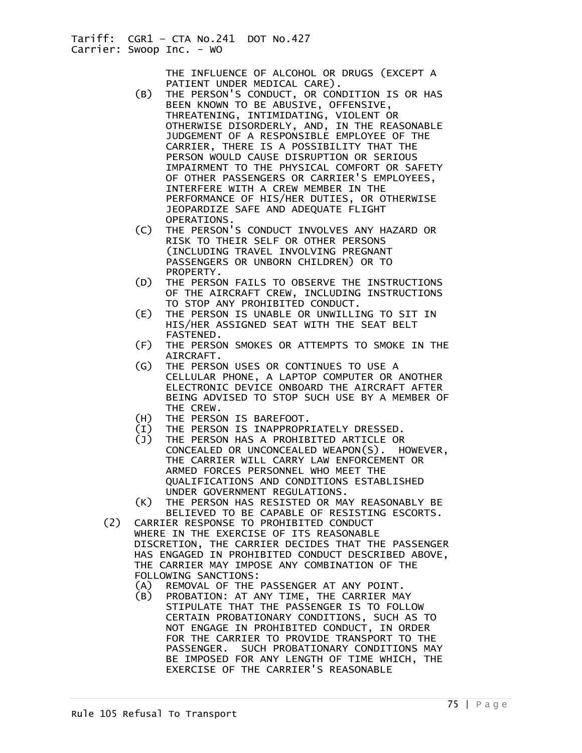> THE INFLUENCE OF ALCOHOL OR DRUGS (EXCEPT A PATIENT UNDER MEDICAL CARE).

- (B) THE PERSON'S CONDUCT, OR CONDITION IS OR HAS BEEN KNOWN TO BE ABUSIVE, OFFENSIVE, THREATENING, INTIMIDATING, VIOLENT OR OTHERWISE DISORDERLY, AND, IN THE REASONABLE JUDGEMENT OF A RESPONSIBLE EMPLOYEE OF THE CARRIER, THERE IS A POSSIBILITY THAT THE PERSON WOULD CAUSE DISRUPTION OR SERIOUS IMPAIRMENT TO THE PHYSICAL COMFORT OR SAFETY OF OTHER PASSENGERS OR CARRIER'S EMPLOYEES, INTERFERE WITH A CREW MEMBER IN THE PERFORMANCE OF HIS/HER DUTIES, OR OTHERWISE JEOPARDIZE SAFE AND ADEQUATE FLIGHT OPERATIONS.
	- (C) THE PERSON'S CONDUCT INVOLVES ANY HAZARD OR RISK TO THEIR SELF OR OTHER PERSONS (INCLUDING TRAVEL INVOLVING PREGNANT PASSENGERS OR UNBORN CHILDREN) OR TO PROPERTY.
	- (D) THE PERSON FAILS TO OBSERVE THE INSTRUCTIONS OF THE AIRCRAFT CREW, INCLUDING INSTRUCTIONS TO STOP ANY PROHIBITED CONDUCT.
	- (E) THE PERSON IS UNABLE OR UNWILLING TO SIT IN HIS/HER ASSIGNED SEAT WITH THE SEAT BELT FASTENED.
	- (F) THE PERSON SMOKES OR ATTEMPTS TO SMOKE IN THE AIRCRAFT.
	- (G) THE PERSON USES OR CONTINUES TO USE A CELLULAR PHONE, A LAPTOP COMPUTER OR ANOTHER ELECTRONIC DEVICE ONBOARD THE AIRCRAFT AFTER BEING ADVISED TO STOP SUCH USE BY A MEMBER OF THE CREW.
	- (H) THE PERSON IS BAREFOOT.
	- (I) THE PERSON IS INAPPROPRIATELY DRESSED.
	- THE PERSON HAS A PROHIBITED ARTICLE OR CONCEALED OR UNCONCEALED WEAPON(S). HOWEVER, THE CARRIER WILL CARRY LAW ENFORCEMENT OR ARMED FORCES PERSONNEL WHO MEET THE QUALIFICATIONS AND CONDITIONS ESTABLISHED UNDER GOVERNMENT REGULATIONS.
	- (K) THE PERSON HAS RESISTED OR MAY REASONABLY BE BELIEVED TO BE CAPABLE OF RESISTING ESCORTS.<br>(2) CARRIER RESPONSE TO PROHIBITED CONDUCT
	- (2) CARRIER RESPONSE TO PROHIBITED CONDUCT WHERE IN THE EXERCISE OF ITS REASONABLE DISCRETION, THE CARRIER DECIDES THAT THE PASSENGER HAS ENGAGED IN PROHIBITED CONDUCT DESCRIBED ABOVE, THE CARRIER MAY IMPOSE ANY COMBINATION OF THE FOLLOWING SANCTIONS:<br>(A) REMOVAL OF THE
		- REMOVAL OF THE PASSENGER AT ANY POINT.
		- (B) PROBATION: AT ANY TIME, THE CARRIER MAY STIPULATE THAT THE PASSENGER IS TO FOLLOW CERTAIN PROBATIONARY CONDITIONS, SUCH AS TO NOT ENGAGE IN PROHIBITED CONDUCT, IN ORDER FOR THE CARRIER TO PROVIDE TRANSPORT TO THE PASSENGER. SUCH PROBATIONARY CONDITIONS MAY BE IMPOSED FOR ANY LENGTH OF TIME WHICH, THE EXERCISE OF THE CARRIER'S REASONABLE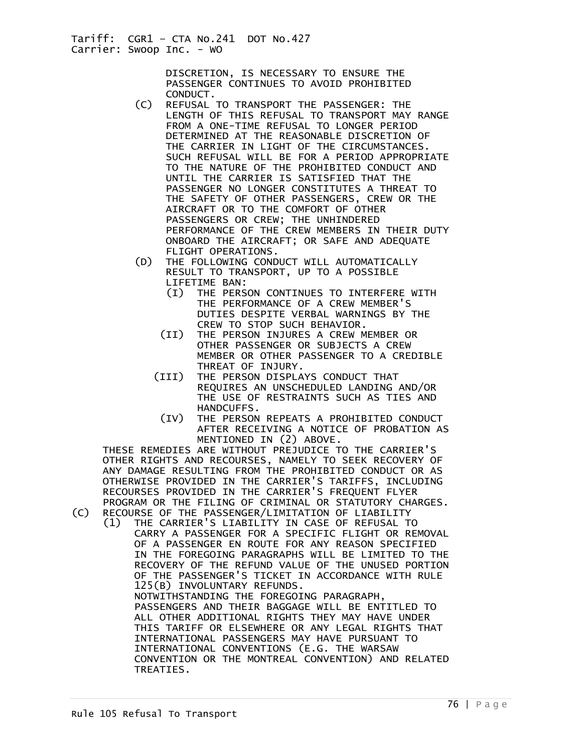> DISCRETION, IS NECESSARY TO ENSURE THE PASSENGER CONTINUES TO AVOID PROHIBITED

- CONDUCT.<br>C) REFUSAL (C) REFUSAL TO TRANSPORT THE PASSENGER: THE LENGTH OF THIS REFUSAL TO TRANSPORT MAY RANGE FROM A ONE-TIME REFUSAL TO LONGER PERIOD DETERMINED AT THE REASONABLE DISCRETION OF THE CARRIER IN LIGHT OF THE CIRCUMSTANCES. SUCH REFUSAL WILL BE FOR A PERIOD APPROPRIATE TO THE NATURE OF THE PROHIBITED CONDUCT AND UNTIL THE CARRIER IS SATISFIED THAT THE PASSENGER NO LONGER CONSTITUTES A THREAT TO THE SAFETY OF OTHER PASSENGERS, CREW OR THE AIRCRAFT OR TO THE COMFORT OF OTHER PASSENGERS OR CREW; THE UNHINDERED PERFORMANCE OF THE CREW MEMBERS IN THEIR DUTY ONBOARD THE AIRCRAFT; OR SAFE AND ADEQUATE FLIGHT OPERATIONS.
	- (D) THE FOLLOWING CONDUCT WILL AUTOMATICALLY RESULT TO TRANSPORT, UP TO A POSSIBLE LIFETIME BAN:
		- (I) THE PERSON CONTINUES TO INTERFERE WITH THE PERFORMANCE OF A CREW MEMBER'S DUTIES DESPITE VERBAL WARNINGS BY THE CREW TO STOP SUCH BEHAVIOR.
		- (II) THE PERSON INJURES A CREW MEMBER OR OTHER PASSENGER OR SUBJECTS A CREW MEMBER OR OTHER PASSENGER TO A CREDIBLE THREAT OF INJURY.
		- (III) THE PERSON DISPLAYS CONDUCT THAT REQUIRES AN UNSCHEDULED LANDING AND/OR THE USE OF RESTRAINTS SUCH AS TIES AND HANDCUFFS.
			- (IV) THE PERSON REPEATS A PROHIBITED CONDUCT AFTER RECEIVING A NOTICE OF PROBATION AS MENTIONED IN (2) ABOVE.

 THESE REMEDIES ARE WITHOUT PREJUDICE TO THE CARRIER'S OTHER RIGHTS AND RECOURSES, NAMELY TO SEEK RECOVERY OF ANY DAMAGE RESULTING FROM THE PROHIBITED CONDUCT OR AS OTHERWISE PROVIDED IN THE CARRIER'S TARIFFS, INCLUDING RECOURSES PROVIDED IN THE CARRIER'S FREQUENT FLYER PROGRAM OR THE FILING OF CRIMINAL OR STATUTORY CHARGES.<br>(C) RECOURSE OF THE PASSENGER/LIMITATION OF LIABILITY RECOURSE OF THE PASSENGER/LIMITATION OF LIABILITY

 (1) THE CARRIER'S LIABILITY IN CASE OF REFUSAL TO CARRY A PASSENGER FOR A SPECIFIC FLIGHT OR REMOVAL OF A PASSENGER EN ROUTE FOR ANY REASON SPECIFIED IN THE FOREGOING PARAGRAPHS WILL BE LIMITED TO THE RECOVERY OF THE REFUND VALUE OF THE UNUSED PORTION OF THE PASSENGER'S TICKET IN ACCORDANCE WITH RULE 125(B) INVOLUNTARY REFUNDS. NOTWITHSTANDING THE FOREGOING PARAGRAPH, PASSENGERS AND THEIR BAGGAGE WILL BE ENTITLED TO ALL OTHER ADDITIONAL RIGHTS THEY MAY HAVE UNDER THIS TARIFF OR ELSEWHERE OR ANY LEGAL RIGHTS THAT INTERNATIONAL PASSENGERS MAY HAVE PURSUANT TO INTERNATIONAL CONVENTIONS (E.G. THE WARSAW CONVENTION OR THE MONTREAL CONVENTION) AND RELATED TREATIES.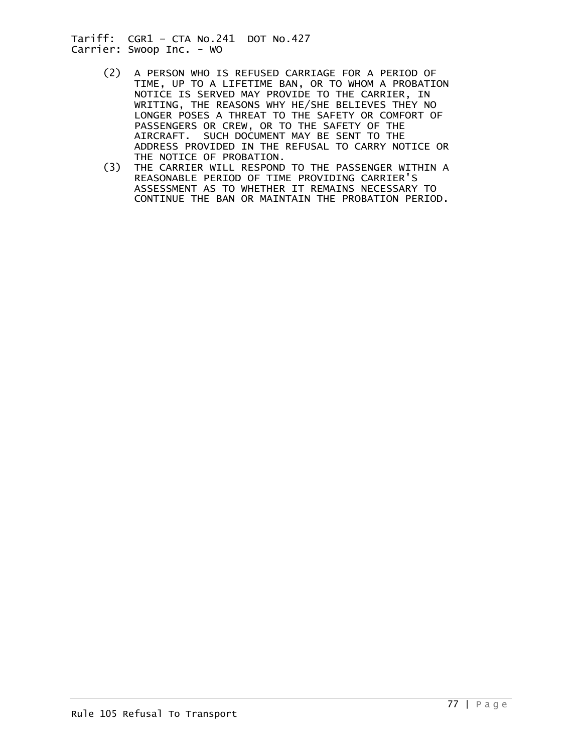- (2) A PERSON WHO IS REFUSED CARRIAGE FOR A PERIOD OF TIME, UP TO A LIFETIME BAN, OR TO WHOM A PROBATION NOTICE IS SERVED MAY PROVIDE TO THE CARRIER, IN WRITING, THE REASONS WHY HE/SHE BELIEVES THEY NO LONGER POSES A THREAT TO THE SAFETY OR COMFORT OF PASSENGERS OR CREW, OR TO THE SAFETY OF THE AIRCRAFT. SUCH DOCUMENT MAY BE SENT TO THE ADDRESS PROVIDED IN THE REFUSAL TO CARRY NOTICE OR THE NOTICE OF PROBATION.
	- (3) THE CARRIER WILL RESPOND TO THE PASSENGER WITHIN A REASONABLE PERIOD OF TIME PROVIDING CARRIER'S ASSESSMENT AS TO WHETHER IT REMAINS NECESSARY TO CONTINUE THE BAN OR MAINTAIN THE PROBATION PERIOD.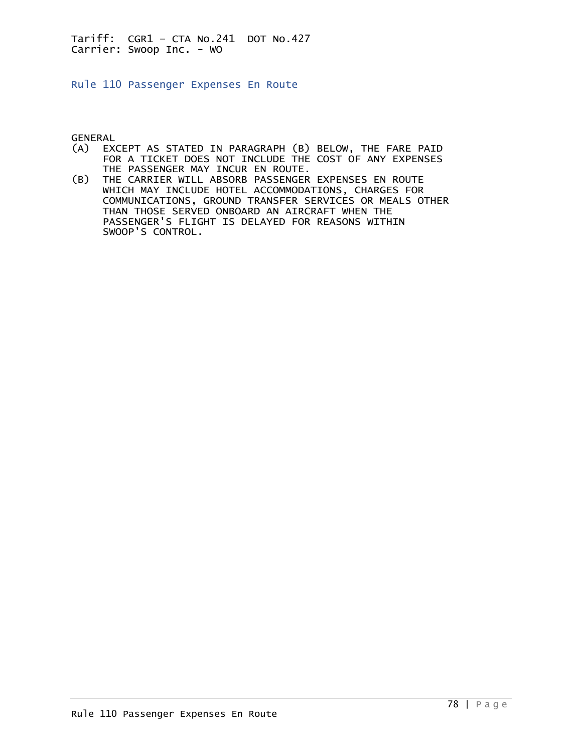Rule 110 Passenger Expenses En Route

GENERAL<br>(A) EX

- EXCEPT AS STATED IN PARAGRAPH (B) BELOW, THE FARE PAID FOR A TICKET DOES NOT INCLUDE THE COST OF ANY EXPENSES THE PASSENGER MAY INCUR EN ROUTE.<br>(B) THE CARRIER WILL ABSORB PASSENGER
- THE CARRIER WILL ABSORB PASSENGER EXPENSES EN ROUTE WHICH MAY INCLUDE HOTEL ACCOMMODATIONS, CHARGES FOR COMMUNICATIONS, GROUND TRANSFER SERVICES OR MEALS OTHER THAN THOSE SERVED ONBOARD AN AIRCRAFT WHEN THE PASSENGER'S FLIGHT IS DELAYED FOR REASONS WITHIN SWOOP'S CONTROL.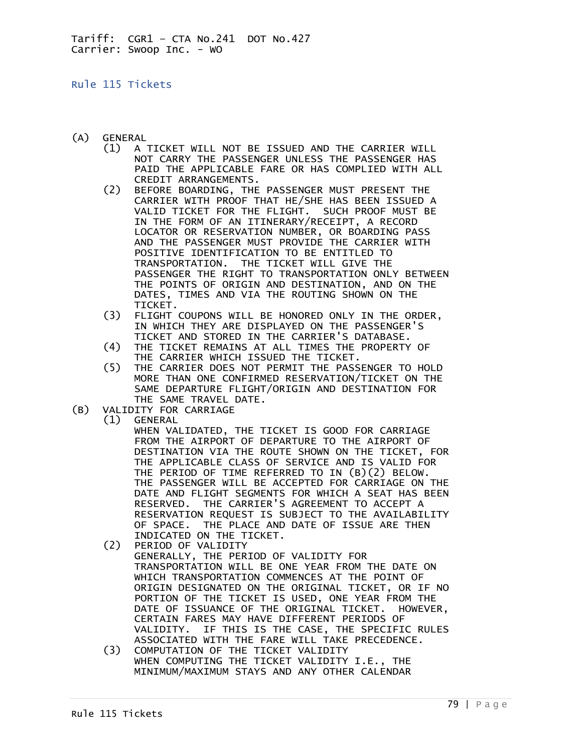### Rule 115 Tickets

- (A) GENERAL
	- (1) A TICKET WILL NOT BE ISSUED AND THE CARRIER WILL NOT CARRY THE PASSENGER UNLESS THE PASSENGER HAS PAID THE APPLICABLE FARE OR HAS COMPLIED WITH ALL CREDIT ARRANGEMENTS.
	- (2) BEFORE BOARDING, THE PASSENGER MUST PRESENT THE CARRIER WITH PROOF THAT HE/SHE HAS BEEN ISSUED A VALID TICKET FOR THE FLIGHT. SUCH PROOF MUST BE IN THE FORM OF AN ITINERARY/RECEIPT, A RECORD LOCATOR OR RESERVATION NUMBER, OR BOARDING PASS AND THE PASSENGER MUST PROVIDE THE CARRIER WITH POSITIVE IDENTIFICATION TO BE ENTITLED TO TRANSPORTATION. THE TICKET WILL GIVE THE PASSENGER THE RIGHT TO TRANSPORTATION ONLY BETWEEN THE POINTS OF ORIGIN AND DESTINATION, AND ON THE DATES, TIMES AND VIA THE ROUTING SHOWN ON THE TICKET.
	- (3) FLIGHT COUPONS WILL BE HONORED ONLY IN THE ORDER, IN WHICH THEY ARE DISPLAYED ON THE PASSENGER'S TICKET AND STORED IN THE CARRIER'S DATABASE.
	- (4) THE TICKET REMAINS AT ALL TIMES THE PROPERTY OF THE CARRIER WHICH ISSUED THE TICKET.<br>THE CARRIER DOES NOT PERMIT THE PASS
	- THE CARRIER DOES NOT PERMIT THE PASSENGER TO HOLD MORE THAN ONE CONFIRMED RESERVATION/TICKET ON THE SAME DEPARTURE FLIGHT/ORIGIN AND DESTINATION FOR THE SAME TRAVEL DATE.
- (B) VALIDITY FOR CARRIAGE
	- (1) GENERAL

 WHEN VALIDATED, THE TICKET IS GOOD FOR CARRIAGE FROM THE AIRPORT OF DEPARTURE TO THE AIRPORT OF DESTINATION VIA THE ROUTE SHOWN ON THE TICKET, FOR THE APPLICABLE CLASS OF SERVICE AND IS VALID FOR THE PERIOD OF TIME REFERRED TO IN (B)(2) BELOW. THE PASSENGER WILL BE ACCEPTED FOR CARRIAGE ON THE DATE AND FLIGHT SEGMENTS FOR WHICH A SEAT HAS BEEN RESERVED. THE CARRIER'S AGREEMENT TO ACCEPT A RESERVATION REQUEST IS SUBJECT TO THE AVAILABILITY OF SPACE. THE PLACE AND DATE OF ISSUE ARE THEN

- INDICATED ON THE TICKET.<br>(2) PERIOD OF VALIDITY PERIOD OF VALIDITY GENERALLY, THE PERIOD OF VALIDITY FOR TRANSPORTATION WILL BE ONE YEAR FROM THE DATE ON WHICH TRANSPORTATION COMMENCES AT THE POINT OF ORIGIN DESIGNATED ON THE ORIGINAL TICKET, OR IF NO PORTION OF THE TICKET IS USED, ONE YEAR FROM THE DATE OF ISSUANCE OF THE ORIGINAL TICKET. HOWEVER, CERTAIN FARES MAY HAVE DIFFERENT PERIODS OF VALIDITY. IF THIS IS THE CASE, THE SPECIFIC RULES ASSOCIATED WITH THE FARE WILL TAKE PRECEDENCE.<br>(3) COMPUTATION OF THE TICKET VALIDITY
- (3) COMPUTATION OF THE TICKET VALIDITY WHEN COMPUTING THE TICKET VALIDITY I.E., THE MINIMUM/MAXIMUM STAYS AND ANY OTHER CALENDAR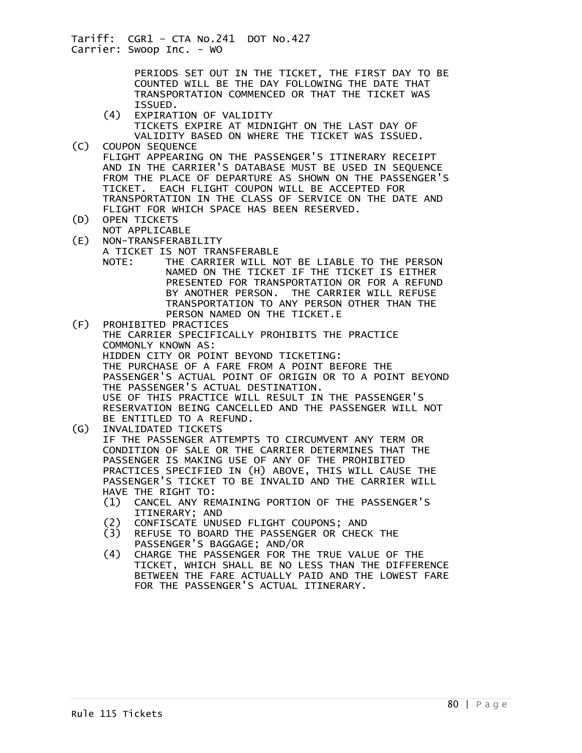> PERIODS SET OUT IN THE TICKET, THE FIRST DAY TO BE COUNTED WILL BE THE DAY FOLLOWING THE DATE THAT TRANSPORTATION COMMENCED OR THAT THE TICKET WAS

ISSUED.<br>4) EXPIRAT EXPIRATION OF VALIDITY

 TICKETS EXPIRE AT MIDNIGHT ON THE LAST DAY OF VALIDITY BASED ON WHERE THE TICKET WAS ISSUED.

- (C) COUPON SEQUENCE FLIGHT APPEARING ON THE PASSENGER'S ITINERARY RECEIPT AND IN THE CARRIER'S DATABASE MUST BE USED IN SEQUENCE FROM THE PLACE OF DEPARTURE AS SHOWN ON THE PASSENGER'S TICKET. EACH FLIGHT COUPON WILL BE ACCEPTED FOR TRANSPORTATION IN THE CLASS OF SERVICE ON THE DATE AND FLIGHT FOR WHICH SPACE HAS BEEN RESERVED.<br>(D) OPEN TICKETS
- OPEN TICKETS
- NOT APPLICABLE<br>E) NON-TRANSFERAB NON-TRANSFERABILITY

A TICKET IS NOT TRANSFERABLE

 NOTE: THE CARRIER WILL NOT BE LIABLE TO THE PERSON NAMED ON THE TICKET IF THE TICKET IS EITHER PRESENTED FOR TRANSPORTATION OR FOR A REFUND BY ANOTHER PERSON. THE CARRIER WILL REFUSE TRANSPORTATION TO ANY PERSON OTHER THAN THE PERSON NAMED ON THE TICKET.E

(F) PROHIBITED PRACTICES THE CARRIER SPECIFICALLY PROHIBITS THE PRACTICE COMMONLY KNOWN AS: HIDDEN CITY OR POINT BEYOND TICKETING: THE PURCHASE OF A FARE FROM A POINT BEFORE THE PASSENGER'S ACTUAL POINT OF ORIGIN OR TO A POINT BEYOND THE PASSENGER'S ACTUAL DESTINATION. USE OF THIS PRACTICE WILL RESULT IN THE PASSENGER'S RESERVATION BEING CANCELLED AND THE PASSENGER WILL NOT BE ENTITLED TO A REFUND.<br>(G) INVALIDATED TICKETS

(G) INVALIDATED TICKETS

 IF THE PASSENGER ATTEMPTS TO CIRCUMVENT ANY TERM OR CONDITION OF SALE OR THE CARRIER DETERMINES THAT THE PASSENGER IS MAKING USE OF ANY OF THE PROHIBITED PRACTICES SPECIFIED IN (H) ABOVE, THIS WILL CAUSE THE PASSENGER'S TICKET TO BE INVALID AND THE CARRIER WILL HAVE THE RIGHT TO:

- (1) CANCEL ANY REMAINING PORTION OF THE PASSENGER'S ITINERARY; AND<br>(2) CONFISCATE UNU
- 
- (2) CONFISCATE UNUSED FLIGHT COUPONS; AND (3) REFUSE TO BOARD THE PASSENGER OR CHECK THE
- PASSENGER'S BAGGAGE; AND/OR<br>CHARGE THE PASSENGER FOR TH (4) CHARGE THE PASSENGER FOR THE TRUE VALUE OF THE TICKET, WHICH SHALL BE NO LESS THAN THE DIFFERENCE BETWEEN THE FARE ACTUALLY PAID AND THE LOWEST FARE FOR THE PASSENGER'S ACTUAL ITINERARY.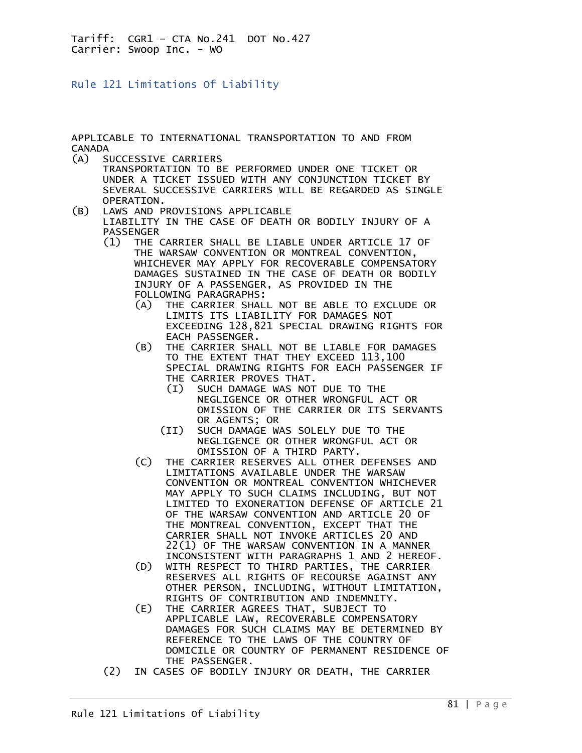Rule 121 Limitations Of Liability

APPLICABLE TO INTERNATIONAL TRANSPORTATION TO AND FROM CANADA

(A) SUCCESSIVE CARRIERS

 TRANSPORTATION TO BE PERFORMED UNDER ONE TICKET OR UNDER A TICKET ISSUED WITH ANY CONJUNCTION TICKET BY SEVERAL SUCCESSIVE CARRIERS WILL BE REGARDED AS SINGLE OPERATION.

- (B) LAWS AND PROVISIONS APPLICABLE LIABILITY IN THE CASE OF DEATH OR BODILY INJURY OF A PASSENGER
	- (1) THE CARRIER SHALL BE LIABLE UNDER ARTICLE 17 OF THE WARSAW CONVENTION OR MONTREAL CONVENTION, WHICHEVER MAY APPLY FOR RECOVERABLE COMPENSATORY DAMAGES SUSTAINED IN THE CASE OF DEATH OR BODILY INJURY OF A PASSENGER, AS PROVIDED IN THE FOLLOWING PARAGRAPHS:
		- (A) THE CARRIER SHALL NOT BE ABLE TO EXCLUDE OR LIMITS ITS LIABILITY FOR DAMAGES NOT EXCEEDING 128,821 SPECIAL DRAWING RIGHTS FOR EACH PASSENGER.
		- (B) THE CARRIER SHALL NOT BE LIABLE FOR DAMAGES TO THE EXTENT THAT THEY EXCEED 113,100 SPECIAL DRAWING RIGHTS FOR EACH PASSENGER IF THE CARRIER PROVES THAT.
			- (I) SUCH DAMAGE WAS NOT DUE TO THE NEGLIGENCE OR OTHER WRONGFUL ACT OR OMISSION OF THE CARRIER OR ITS SERVANTS OR AGENTS; OR
			- (II) SUCH DAMAGE WAS SOLELY DUE TO THE NEGLIGENCE OR OTHER WRONGFUL ACT OR OMISSION OF A THIRD PARTY.
		- (C) THE CARRIER RESERVES ALL OTHER DEFENSES AND LIMITATIONS AVAILABLE UNDER THE WARSAW CONVENTION OR MONTREAL CONVENTION WHICHEVER MAY APPLY TO SUCH CLAIMS INCLUDING, BUT NOT LIMITED TO EXONERATION DEFENSE OF ARTICLE 21 OF THE WARSAW CONVENTION AND ARTICLE 20 OF THE MONTREAL CONVENTION, EXCEPT THAT THE CARRIER SHALL NOT INVOKE ARTICLES 20 AND 22(1) OF THE WARSAW CONVENTION IN A MANNER INCONSISTENT WITH PARAGRAPHS 1 AND 2 HEREOF.
- (D) WITH RESPECT TO THIRD PARTIES, THE CARRIER RESERVES ALL RIGHTS OF RECOURSE AGAINST ANY OTHER PERSON, INCLUDING, WITHOUT LIMITATION, RIGHTS OF CONTRIBUTION AND INDEMNITY.
	- (E) THE CARRIER AGREES THAT, SUBJECT TO APPLICABLE LAW, RECOVERABLE COMPENSATORY DAMAGES FOR SUCH CLAIMS MAY BE DETERMINED BY REFERENCE TO THE LAWS OF THE COUNTRY OF DOMICILE OR COUNTRY OF PERMANENT RESIDENCE OF THE PASSENGER.
	- (2) IN CASES OF BODILY INJURY OR DEATH, THE CARRIER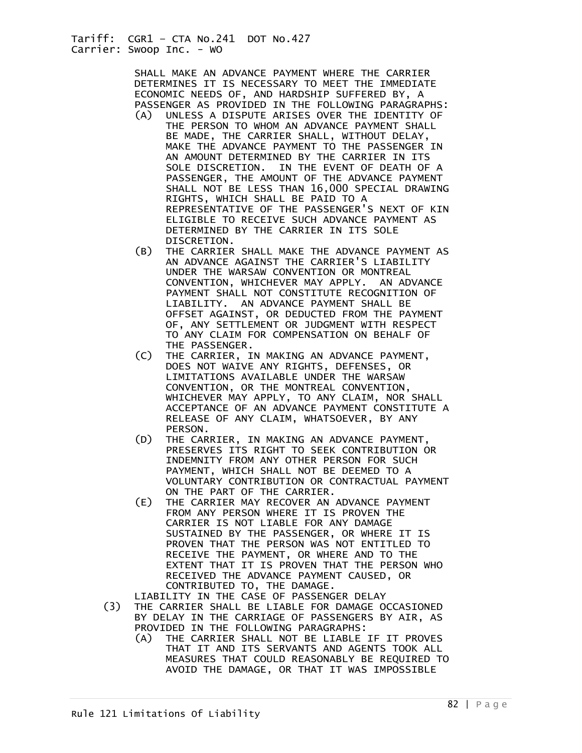SHALL MAKE AN ADVANCE PAYMENT WHERE THE CARRIER DETERMINES IT IS NECESSARY TO MEET THE IMMEDIATE ECONOMIC NEEDS OF, AND HARDSHIP SUFFERED BY, A PASSENGER AS PROVIDED IN THE FOLLOWING PARAGRAPHS:

- (A) UNLESS A DISPUTE ARISES OVER THE IDENTITY OF THE PERSON TO WHOM AN ADVANCE PAYMENT SHALL BE MADE, THE CARRIER SHALL, WITHOUT DELAY, MAKE THE ADVANCE PAYMENT TO THE PASSENGER IN AN AMOUNT DETERMINED BY THE CARRIER IN ITS SOLE DISCRETION. IN THE EVENT OF DEATH OF A PASSENGER, THE AMOUNT OF THE ADVANCE PAYMENT SHALL NOT BE LESS THAN 16,000 SPECIAL DRAWING RIGHTS, WHICH SHALL BE PAID TO A REPRESENTATIVE OF THE PASSENGER'S NEXT OF KIN ELIGIBLE TO RECEIVE SUCH ADVANCE PAYMENT AS DETERMINED BY THE CARRIER IN ITS SOLE DISCRETION.
	- (B) THE CARRIER SHALL MAKE THE ADVANCE PAYMENT AS AN ADVANCE AGAINST THE CARRIER'S LIABILITY UNDER THE WARSAW CONVENTION OR MONTREAL CONVENTION, WHICHEVER MAY APPLY. AN ADVANCE PAYMENT SHALL NOT CONSTITUTE RECOGNITION OF LIABILITY. AN ADVANCE PAYMENT SHALL BE OFFSET AGAINST, OR DEDUCTED FROM THE PAYMENT OF, ANY SETTLEMENT OR JUDGMENT WITH RESPECT TO ANY CLAIM FOR COMPENSATION ON BEHALF OF THE PASSENGER.
	- (C) THE CARRIER, IN MAKING AN ADVANCE PAYMENT, DOES NOT WAIVE ANY RIGHTS, DEFENSES, OR LIMITATIONS AVAILABLE UNDER THE WARSAW CONVENTION, OR THE MONTREAL CONVENTION, WHICHEVER MAY APPLY, TO ANY CLAIM, NOR SHALL ACCEPTANCE OF AN ADVANCE PAYMENT CONSTITUTE A RELEASE OF ANY CLAIM, WHATSOEVER, BY ANY
	- PERSON.<br>D) THE CAR THE CARRIER, IN MAKING AN ADVANCE PAYMENT, PRESERVES ITS RIGHT TO SEEK CONTRIBUTION OR INDEMNITY FROM ANY OTHER PERSON FOR SUCH PAYMENT, WHICH SHALL NOT BE DEEMED TO A VOLUNTARY CONTRIBUTION OR CONTRACTUAL PAYMENT ON THE PART OF THE CARRIER.
	- (E) THE CARRIER MAY RECOVER AN ADVANCE PAYMENT FROM ANY PERSON WHERE IT IS PROVEN THE CARRIER IS NOT LIABLE FOR ANY DAMAGE SUSTAINED BY THE PASSENGER, OR WHERE IT IS PROVEN THAT THE PERSON WAS NOT ENTITLED TO RECEIVE THE PAYMENT, OR WHERE AND TO THE EXTENT THAT IT IS PROVEN THAT THE PERSON WHO RECEIVED THE ADVANCE PAYMENT CAUSED, OR CONTRIBUTED TO, THE DAMAGE.
	- LIABILITY IN THE CASE OF PASSENGER DELAY
	- (3) THE CARRIER SHALL BE LIABLE FOR DAMAGE OCCASIONED BY DELAY IN THE CARRIAGE OF PASSENGERS BY AIR, AS PROVIDED IN THE FOLLOWING PARAGRAPHS:
		- (A) THE CARRIER SHALL NOT BE LIABLE IF IT PROVES THAT IT AND ITS SERVANTS AND AGENTS TOOK ALL MEASURES THAT COULD REASONABLY BE REQUIRED TO AVOID THE DAMAGE, OR THAT IT WAS IMPOSSIBLE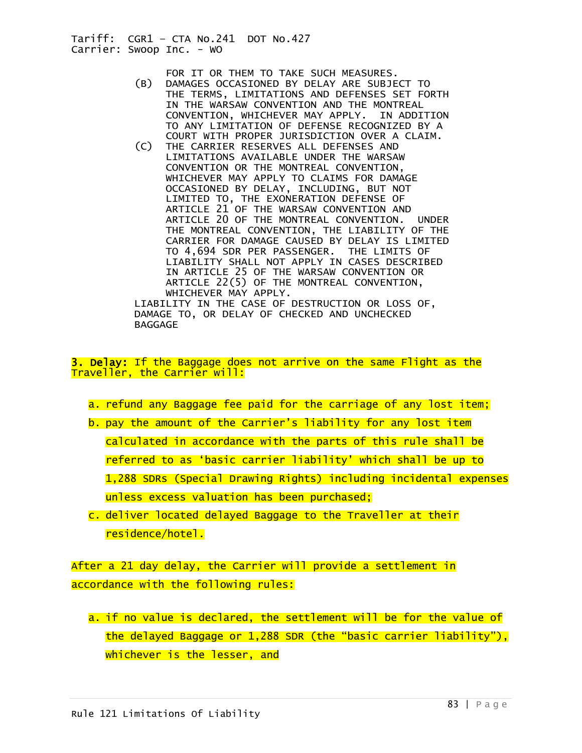FOR IT OR THEM TO TAKE SUCH MEASURES.<br>B) DAMAGES OCCASIONED BY DELAY ARE SUBJE

- DAMAGES OCCASIONED BY DELAY ARE SUBJECT TO THE TERMS, LIMITATIONS AND DEFENSES SET FORTH IN THE WARSAW CONVENTION AND THE MONTREAL CONVENTION, WHICHEVER MAY APPLY. IN ADDITION TO ANY LIMITATION OF DEFENSE RECOGNIZED BY A COURT WITH PROPER JURISDICTION OVER A CLAIM.
- (C) THE CARRIER RESERVES ALL DEFENSES AND LIMITATIONS AVAILABLE UNDER THE WARSAW CONVENTION OR THE MONTREAL CONVENTION, WHICHEVER MAY APPLY TO CLAIMS FOR DAMAGE OCCASIONED BY DELAY, INCLUDING, BUT NOT LIMITED TO, THE EXONERATION DEFENSE OF ARTICLE 21 OF THE WARSAW CONVENTION AND ARTICLE 20 OF THE MONTREAL CONVENTION. UNDER THE MONTREAL CONVENTION, THE LIABILITY OF THE CARRIER FOR DAMAGE CAUSED BY DELAY IS LIMITED TO 4,694 SDR PER PASSENGER. THE LIMITS OF LIABILITY SHALL NOT APPLY IN CASES DESCRIBED IN ARTICLE 25 OF THE WARSAW CONVENTION OR ARTICLE 22(5) OF THE MONTREAL CONVENTION, WHICHEVER MAY APPLY.

 LIABILITY IN THE CASE OF DESTRUCTION OR LOSS OF, DAMAGE TO, OR DELAY OF CHECKED AND UNCHECKED BAGGAGE

3. Delay: If the Baggage does not arrive on the same Flight as the Traveller, the Carrier will:

- a. refund any Baggage fee paid for the carriage of any lost item;
- b. pay the amount of the Carrier's liability for any lost item calculated in accordance with the parts of this rule shall be referred to as 'basic carrier liability' which shall be up to 1,288 SDRs (Special Drawing Rights) including incidental expenses unless excess valuation has been purchased;
- c. deliver located delayed Baggage to the Traveller at their residence/hotel.

After a 21 day delay, the Carrier will provide a settlement in accordance with the following rules:

a. if no value is declared, the settlement will be for the value of the delayed Baggage or 1,288 SDR (the "basic carrier liability"), whichever is the lesser, and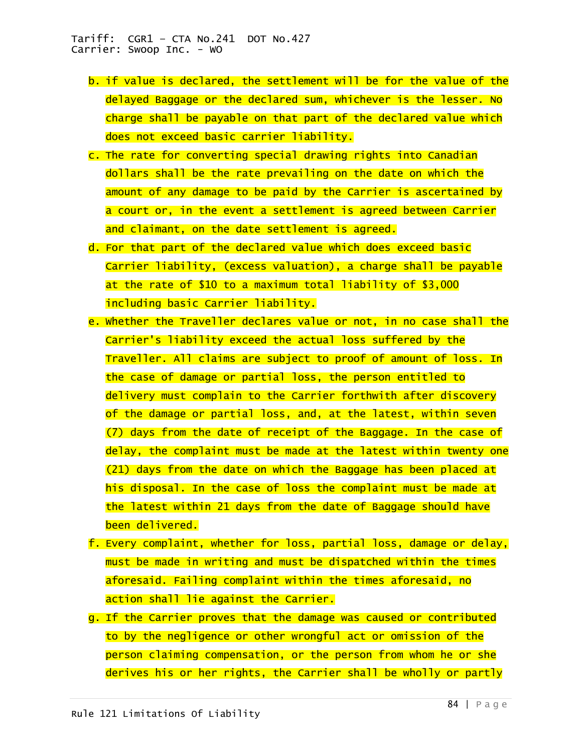- b. if value is declared, the settlement will be for the value of the delayed Baggage or the declared sum, whichever is the lesser. No charge shall be payable on that part of the declared value which does not exceed basic carrier liability.
- c. The rate for converting special drawing rights into Canadian dollars shall be the rate prevailing on the date on which the amount of any damage to be paid by the Carrier is ascertained by a court or, in the event a settlement is agreed between Carrier and claimant, on the date settlement is agreed.
- d. For that part of the declared value which does exceed basic Carrier liability, (excess valuation), a charge shall be payable at the rate of \$10 to a maximum total liability of \$3,000 including basic Carrier liability.
- e. Whether the Traveller declares value or not, in no case shall the Carrier's liability exceed the actual loss suffered by the Traveller. All claims are subject to proof of amount of loss. In the case of damage or partial loss, the person entitled to delivery must complain to the Carrier forthwith after discovery of the damage or partial loss, and, at the latest, within seven (7) days from the date of receipt of the Baggage. In the case of delay, the complaint must be made at the latest within twenty one (21) days from the date on which the Baggage has been placed at his disposal. In the case of loss the complaint must be made at the latest within 21 days from the date of Baggage should have been delivered.
- f. Every complaint, whether for loss, partial loss, damage or delay, must be made in writing and must be dispatched within the times aforesaid. Failing complaint within the times aforesaid, no action shall lie against the Carrier.
- g. If the Carrier proves that the damage was caused or contributed to by the negligence or other wrongful act or omission of the person claiming compensation, or the person from whom he or she derives his or her rights, the Carrier shall be wholly or partly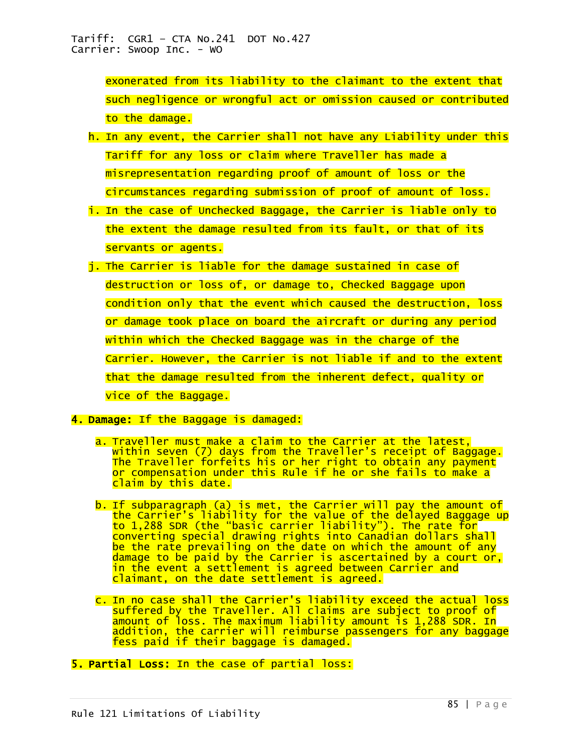exonerated from its liability to the claimant to the extent that such negligence or wrongful act or omission caused or contributed to the damage.

- h. In any event, the Carrier shall not have any Liability under this Tariff for any loss or claim where Traveller has made a misrepresentation regarding proof of amount of loss or the circumstances regarding submission of proof of amount of loss.
- i. In the case of Unchecked Baggage, the Carrier is liable only to the extent the damage resulted from its fault, or that of its servants or agents.
- j. The Carrier is liable for the damage sustained in case of destruction or loss of, or damage to, Checked Baggage upon condition only that the event which caused the destruction, loss or damage took place on board the aircraft or during any period within which the Checked Baggage was in the charge of the Carrier. However, the Carrier is not liable if and to the extent that the damage resulted from the inherent defect, quality or vice of the Baggage.
- 4. Damage: If the Baggage is damaged:
	- a. Traveller must make a claim to the Carrier at the latest, within seven (7) days from the Traveller's receipt of Baggage. The Traveller forfeits his or her right to obtain any payment or compensation under this Rule if he or she fails to make a claim by this date.
	- b. If subparagraph (a) is met, the Carrier will pay the amount of the Carrier's liability for the value of the delayed Baggage up to 1,288 SDR (the "basic carrier liability"). The rate for converting special drawing rights into Canadian dollars shall be the rate prevailing on the date on which the amount of any damage to be paid by the Carrier is ascertained by a court or, in the event a settlement is agreed between Carrier and claimant, on the date settlement is agreed.
	- c. In no case shall the Carrier's liability exceed the actual loss suffered by the Traveller. All claims are subject to proof of amount of loss. The maximum liability amount is 1,288 SDR. In addition, the carrier will reimburse passengers for any baggage fess paid if their baggage is damaged.
- 5. Partial Loss: In the case of partial loss: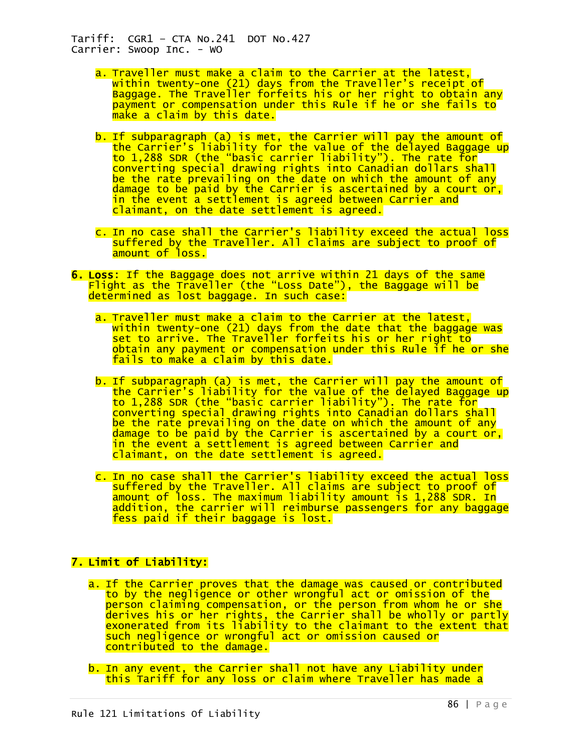- a. Traveller must make a claim to the Carrier at the latest, within twenty-one (21) days from the Traveller's receipt of Baggage. The Traveller forfeits his or her right to obtain any payment or compensation under this Rule if he or she fails to make a claim by this date.
- b. If subparagraph (a) is met, the Carrier will pay the amount of the Carrier's liability for the value of the delayed Baggage up to 1,288 SDR (the "basic carrier liability"). The rate for converting special drawing rights into Canadian dollars shall be the rate prevailing on the date on which the amount of any damage to be paid by the Carrier is ascertained by a court or, in the event a settlement is agreed between Carrier and claimant, on the date settlement is agreed.
- c. In no case shall the Carrier's liability exceed the actual loss suffered by the Traveller. All claims are subject to proof of amount of loss.
- 6. Loss: If the Baggage does not arrive within 21 days of the same Flight as the Traveller (the "Loss Date"), the Baggage will be determined as lost baggage. In such case:
	- a. Traveller must make a claim to the Carrier at the latest, within twenty-one (21) days from the date that the baggage was set to arrive. The Traveller forfeits his or her right to obtain any payment or compensation under this Rule if he or she fails to make a claim by this date.
	- b. If subparagraph (a) is met, the Carrier will pay the amount of the Carrier's liability for the value of the delayed Baggage up to 1,288 SDR (the "basic carrier liability"). The rate for converting special drawing rights into Canadian dollars shall be the rate prevailing on the date on which the amount of any damage to be paid by the Carrier is ascertained by a court or, in the event a settlement is agreed between Carrier and claimant, on the date settlement is agreed.
	- c. In no case shall the Carrier's liability exceed the actual loss suffered by the Traveller. All claims are subject to proof of amount of loss. The maximum liability amount is 1,288 SDR. In addition, the carrier will reimburse passengers for any baggage fess paid if their baggage is lost.

# 7. Limit of Liability:

- a. If the Carrier proves that the damage was caused or contributed to by the negligence or other wrongful act or omission of the person claiming compensation, or the person from whom he or she derives his or her rights, the Carrier shall be wholly or partly exonerated from its liability to the claimant to the extent that such negligence or wrongful act or omission caused or contributed to the damage.
- b. In any event, the Carrier shall not have any Liability under this Tariff for any loss or claim where Traveller has made a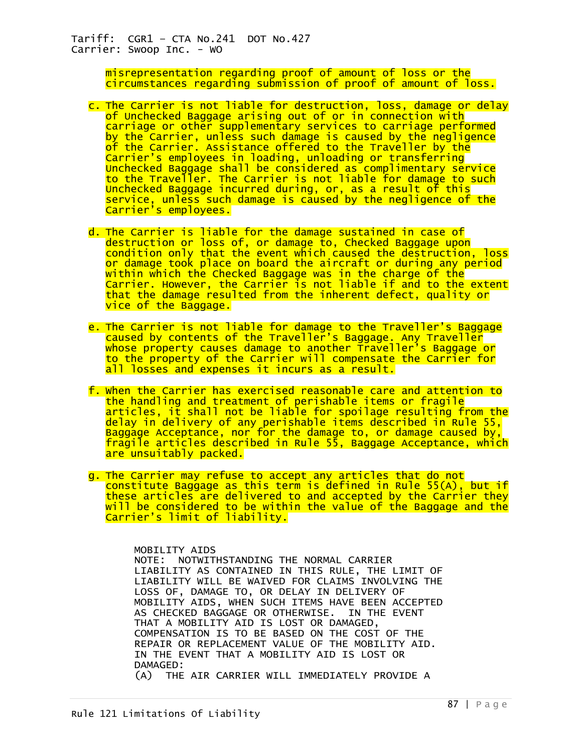> misrepresentation regarding proof of amount of loss or the circumstances regarding submission of proof of amount of loss.

- c. The Carrier is not liable for destruction, loss, damage or delay of Unchecked Baggage arising out of or in connection with carriage or other supplementary services to carriage performed by the Carrier, unless such damage is caused by the negligence of the Carrier. Assistance offered to the Traveller by the Carrier's employees in loading, unloading or transferring Unchecked Baggage shall be considered as complimentary service to the Traveller. The Carrier is not liable for damage to such Unchecked Baggage incurred during, or, as a result of this service, unless such damage is caused by the negligence of the Carrier's employees.
- d. The Carrier is liable for the damage sustained in case of destruction or loss of, or damage to, Checked Baggage upon condition only that the event which caused the destruction, loss or damage took place on board the aircraft or during any period within which the Checked Baggage was in the charge of the Carrier. However, the Carrier is not liable if and to the extent that the damage resulted from the inherent defect, quality or vice of the Baggage.
- e. The Carrier is not liable for damage to the Traveller's Baggage caused by contents of the Traveller's Baggage. Any Traveller whose property causes damage to another Traveller's Baggage or to the property of the Carrier will compensate the Carrier for all losses and expenses it incurs as a result.
- f. When the Carrier has exercised reasonable care and attention to the handling and treatment of perishable items or fragile articles, it shall not be liable for spoilage resulting from the delay in delivery of any perishable items described in Rule 55, Baggage Acceptance, nor for the damage to, or damage caused by, fragile articles described in Rule 55, Baggage Acceptance, which are unsuitably packed.
- g. The Carrier may refuse to accept any articles that do not constitute Baggage as this term is defined in Rule 55(A), but if these articles are delivered to and accepted by the Carrier they will be considered to be within the value of the Baggage and the Carrier's limit of liability.

MOBILITY AIDS

 NOTE: NOTWITHSTANDING THE NORMAL CARRIER LIABILITY AS CONTAINED IN THIS RULE, THE LIMIT OF LIABILITY WILL BE WAIVED FOR CLAIMS INVOLVING THE LOSS OF, DAMAGE TO, OR DELAY IN DELIVERY OF MOBILITY AIDS, WHEN SUCH ITEMS HAVE BEEN ACCEPTED AS CHECKED BAGGAGE OR OTHERWISE. IN THE EVENT THAT A MOBILITY AID IS LOST OR DAMAGED, COMPENSATION IS TO BE BASED ON THE COST OF THE REPAIR OR REPLACEMENT VALUE OF THE MOBILITY AID. IN THE EVENT THAT A MOBILITY AID IS LOST OR DAMAGED: (A) THE AIR CARRIER WILL IMMEDIATELY PROVIDE A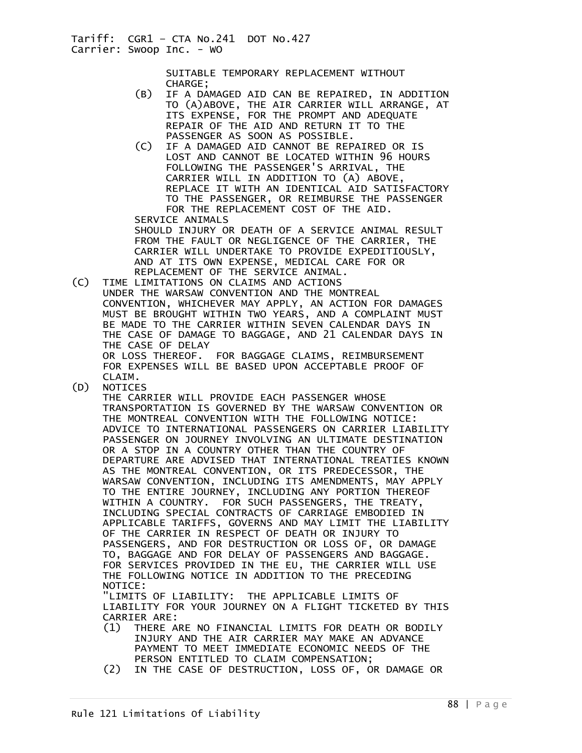> SUITABLE TEMPORARY REPLACEMENT WITHOUT CHARGE;

- (B) IF A DAMAGED AID CAN BE REPAIRED, IN ADDITION TO (A)ABOVE, THE AIR CARRIER WILL ARRANGE, AT ITS EXPENSE, FOR THE PROMPT AND ADEQUATE REPAIR OF THE AID AND RETURN IT TO THE
	- PASSENGER AS SOON AS POSSIBLE.<br>(C) IF A DAMAGED AID CANNOT BE REP. IF A DAMAGED AID CANNOT BE REPAIRED OR IS LOST AND CANNOT BE LOCATED WITHIN 96 HOURS FOLLOWING THE PASSENGER'S ARRIVAL, THE CARRIER WILL IN ADDITION TO (A) ABOVE, REPLACE IT WITH AN IDENTICAL AID SATISFACTORY TO THE PASSENGER, OR REIMBURSE THE PASSENGER FOR THE REPLACEMENT COST OF THE AID.

 SERVICE ANIMALS SHOULD INJURY OR DEATH OF A SERVICE ANIMAL RESULT FROM THE FAULT OR NEGLIGENCE OF THE CARRIER, THE CARRIER WILL UNDERTAKE TO PROVIDE EXPEDITIOUSLY, AND AT ITS OWN EXPENSE, MEDICAL CARE FOR OR REPLACEMENT OF THE SERVICE ANIMAL.<br>C) TIME LIMITATIONS ON CLAIMS AND ACTIONS

TIME LIMITATIONS ON CLAIMS AND ACTIONS UNDER THE WARSAW CONVENTION AND THE MONTREAL CONVENTION, WHICHEVER MAY APPLY, AN ACTION FOR DAMAGES MUST BE BROUGHT WITHIN TWO YEARS, AND A COMPLAINT MUST BE MADE TO THE CARRIER WITHIN SEVEN CALENDAR DAYS IN THE CASE OF DAMAGE TO BAGGAGE, AND 21 CALENDAR DAYS IN THE CASE OF DELAY OR LOSS THEREOF. FOR BAGGAGE CLAIMS, REIMBURSEMENT

FOR EXPENSES WILL BE BASED UPON ACCEPTABLE PROOF OF

CLAIM.<br>D) NOTICE) **NOTICES** 

 THE CARRIER WILL PROVIDE EACH PASSENGER WHOSE TRANSPORTATION IS GOVERNED BY THE WARSAW CONVENTION OR THE MONTREAL CONVENTION WITH THE FOLLOWING NOTICE: ADVICE TO INTERNATIONAL PASSENGERS ON CARRIER LIABILITY PASSENGER ON JOURNEY INVOLVING AN ULTIMATE DESTINATION OR A STOP IN A COUNTRY OTHER THAN THE COUNTRY OF DEPARTURE ARE ADVISED THAT INTERNATIONAL TREATIES KNOWN AS THE MONTREAL CONVENTION, OR ITS PREDECESSOR, THE WARSAW CONVENTION, INCLUDING ITS AMENDMENTS, MAY APPLY TO THE ENTIRE JOURNEY, INCLUDING ANY PORTION THEREOF WITHIN A COUNTRY. FOR SUCH PASSENGERS, THE TREATY, INCLUDING SPECIAL CONTRACTS OF CARRIAGE EMBODIED IN APPLICABLE TARIFFS, GOVERNS AND MAY LIMIT THE LIABILITY OF THE CARRIER IN RESPECT OF DEATH OR INJURY TO PASSENGERS, AND FOR DESTRUCTION OR LOSS OF, OR DAMAGE TO, BAGGAGE AND FOR DELAY OF PASSENGERS AND BAGGAGE. FOR SERVICES PROVIDED IN THE EU, THE CARRIER WILL USE THE FOLLOWING NOTICE IN ADDITION TO THE PRECEDING NOTICE:

 "LIMITS OF LIABILITY: THE APPLICABLE LIMITS OF LIABILITY FOR YOUR JOURNEY ON A FLIGHT TICKETED BY THIS CARRIER ARE:

- (1) THERE ARE NO FINANCIAL LIMITS FOR DEATH OR BODILY INJURY AND THE AIR CARRIER MAY MAKE AN ADVANCE PAYMENT TO MEET IMMEDIATE ECONOMIC NEEDS OF THE PERSON ENTITLED TO CLAIM COMPENSATION;
- (2) IN THE CASE OF DESTRUCTION, LOSS OF, OR DAMAGE OR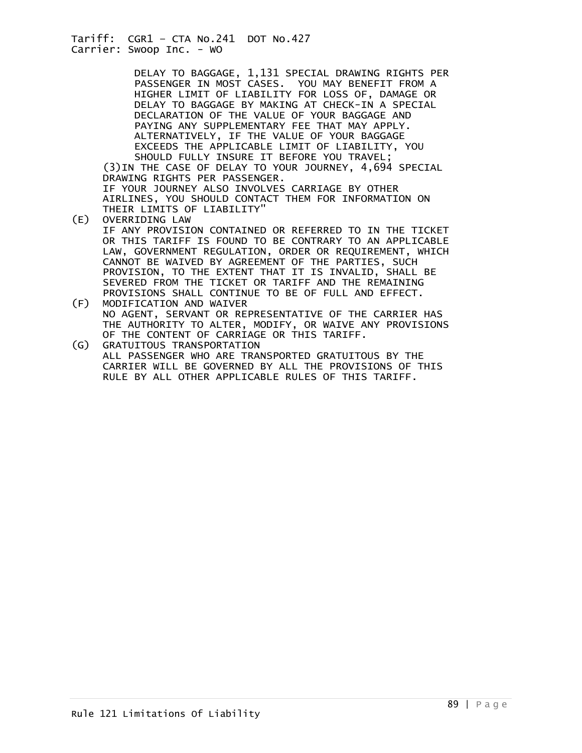DELAY TO BAGGAGE, 1,131 SPECIAL DRAWING RIGHTS PER PASSENGER IN MOST CASES. YOU MAY BENEFIT FROM A HIGHER LIMIT OF LIABILITY FOR LOSS OF, DAMAGE OR DELAY TO BAGGAGE BY MAKING AT CHECK-IN A SPECIAL DECLARATION OF THE VALUE OF YOUR BAGGAGE AND PAYING ANY SUPPLEMENTARY FEE THAT MAY APPLY. ALTERNATIVELY, IF THE VALUE OF YOUR BAGGAGE EXCEEDS THE APPLICABLE LIMIT OF LIABILITY, YOU SHOULD FULLY INSURE IT BEFORE YOU TRAVEL; (3)IN THE CASE OF DELAY TO YOUR JOURNEY, 4,694 SPECIAL DRAWING RIGHTS PER PASSENGER.

 IF YOUR JOURNEY ALSO INVOLVES CARRIAGE BY OTHER AIRLINES, YOU SHOULD CONTACT THEM FOR INFORMATION ON THEIR LIMITS OF LIABILITY"<br>(E) OVERRIDING LAW

- OVERRIDING LAW IF ANY PROVISION CONTAINED OR REFERRED TO IN THE TICKET OR THIS TARIFF IS FOUND TO BE CONTRARY TO AN APPLICABLE LAW, GOVERNMENT REGULATION, ORDER OR REQUIREMENT, WHICH CANNOT BE WAIVED BY AGREEMENT OF THE PARTIES, SUCH PROVISION, TO THE EXTENT THAT IT IS INVALID, SHALL BE SEVERED FROM THE TICKET OR TARIFF AND THE REMAINING PROVISIONS SHALL CONTINUE TO BE OF FULL AND EFFECT.<br>(F) MODIFICATION AND WAIVER
- MODIFICATION AND WAIVER NO AGENT, SERVANT OR REPRESENTATIVE OF THE CARRIER HAS THE AUTHORITY TO ALTER, MODIFY, OR WAIVE ANY PROVISIONS OF THE CONTENT OF CARRIAGE OR THIS TARIFF.
- (G) GRATUITOUS TRANSPORTATION ALL PASSENGER WHO ARE TRANSPORTED GRATUITOUS BY THE CARRIER WILL BE GOVERNED BY ALL THE PROVISIONS OF THIS RULE BY ALL OTHER APPLICABLE RULES OF THIS TARIFF.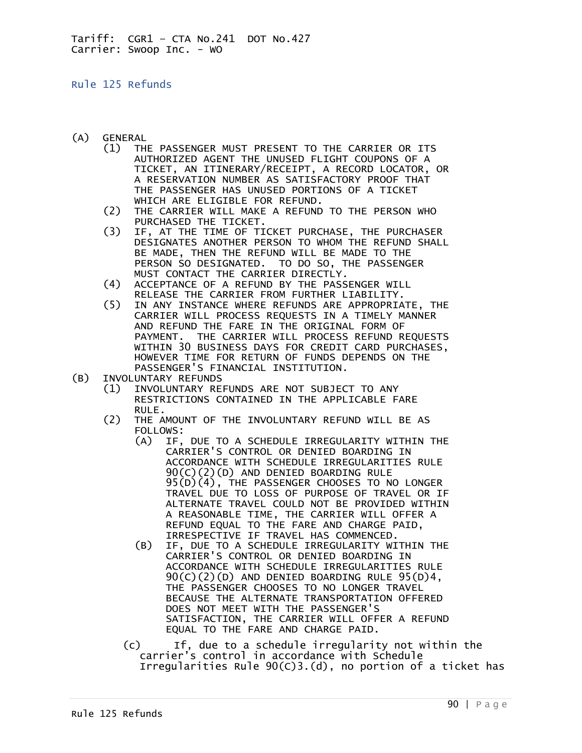## Rule 125 Refunds

- (A) GENERAL
	- (1) THE PASSENGER MUST PRESENT TO THE CARRIER OR ITS AUTHORIZED AGENT THE UNUSED FLIGHT COUPONS OF A TICKET, AN ITINERARY/RECEIPT, A RECORD LOCATOR, OR A RESERVATION NUMBER AS SATISFACTORY PROOF THAT THE PASSENGER HAS UNUSED PORTIONS OF A TICKET WHICH ARE ELIGIBLE FOR REFUND.
	- (2) THE CARRIER WILL MAKE A REFUND TO THE PERSON WHO PURCHASED THE TICKET.<br>IF. AT THE TIME OF TI
	- IF, AT THE TIME OF TICKET PURCHASE, THE PURCHASER DESIGNATES ANOTHER PERSON TO WHOM THE REFUND SHALL BE MADE, THEN THE REFUND WILL BE MADE TO THE PERSON SO DESIGNATED. TO DO SO, THE PASSENGER MUST CONTACT THE CARRIER DIRECTLY.
	- (4) ACCEPTANCE OF A REFUND BY THE PASSENGER WILL RELEASE THE CARRIER FROM FURTHER LIABILITY.<br>(5) IN ANY INSTANCE WHERE REFUNDS ARE APPROPRIA
	- IN ANY INSTANCE WHERE REFUNDS ARE APPROPRIATE, THE CARRIER WILL PROCESS REQUESTS IN A TIMELY MANNER AND REFUND THE FARE IN THE ORIGINAL FORM OF PAYMENT. THE CARRIER WILL PROCESS REFUND REQUESTS WITHIN 30 BUSINESS DAYS FOR CREDIT CARD PURCHASES, HOWEVER TIME FOR RETURN OF FUNDS DEPENDS ON THE PASSENGER'S FINANCIAL INSTITUTION.
- (B) INVOLUNTARY REFUNDS
	- (1) INVOLUNTARY REFUNDS ARE NOT SUBJECT TO ANY RESTRICTIONS CONTAINED IN THE APPLICABLE FARE RULE.<br>C2) THE A
	- THE AMOUNT OF THE INVOLUNTARY REFUND WILL BE AS FOLLOWS:
- (A) IF, DUE TO A SCHEDULE IRREGULARITY WITHIN THE CARRIER'S CONTROL OR DENIED BOARDING IN ACCORDANCE WITH SCHEDULE IRREGULARITIES RULE 90(C)(2)(D) AND DENIED BOARDING RULE 95(D)(4), THE PASSENGER CHOOSES TO NO LONGER TRAVEL DUE TO LOSS OF PURPOSE OF TRAVEL OR IF ALTERNATE TRAVEL COULD NOT BE PROVIDED WITHIN A REASONABLE TIME, THE CARRIER WILL OFFER A REFUND EQUAL TO THE FARE AND CHARGE PAID, IRRESPECTIVE IF TRAVEL HAS COMMENCED.
	- (B) IF, DUE TO A SCHEDULE IRREGULARITY WITHIN THE CARRIER'S CONTROL OR DENIED BOARDING IN ACCORDANCE WITH SCHEDULE IRREGULARITIES RULE  $90(C)(2)(D)$  AND DENIED BOARDING RULE  $95(D)4$ , THE PASSENGER CHOOSES TO NO LONGER TRAVEL BECAUSE THE ALTERNATE TRANSPORTATION OFFERED DOES NOT MEET WITH THE PASSENGER'S SATISFACTION, THE CARRIER WILL OFFER A REFUND EQUAL TO THE FARE AND CHARGE PAID.
	- (c) If, due to a schedule irregularity not within the carrier's control in accordance with Schedule Irregularities Rule 90(C)3.(d), no portion of a ticket has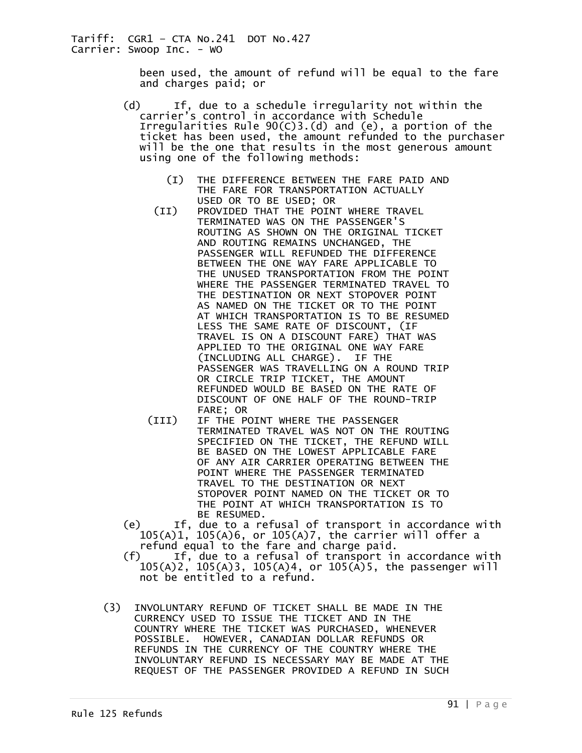> been used, the amount of refund will be equal to the fare and charges paid; or

- (d) If, due to a schedule irregularity not within the carrier's control in accordance with Schedule Irregularities Rule 90(C)3.(d) and (e), a portion of the ticket has been used, the amount refunded to the purchaser will be the one that results in the most generous amount using one of the following methods:
	- (I) THE DIFFERENCE BETWEEN THE FARE PAID AND THE FARE FOR TRANSPORTATION ACTUALLY USED OR TO BE USED; OR
	- (II) PROVIDED THAT THE POINT WHERE TRAVEL TERMINATED WAS ON THE PASSENGER'S ROUTING AS SHOWN ON THE ORIGINAL TICKET AND ROUTING REMAINS UNCHANGED, THE PASSENGER WILL REFUNDED THE DIFFERENCE BETWEEN THE ONE WAY FARE APPLICABLE TO THE UNUSED TRANSPORTATION FROM THE POINT WHERE THE PASSENGER TERMINATED TRAVEL TO THE DESTINATION OR NEXT STOPOVER POINT AS NAMED ON THE TICKET OR TO THE POINT AT WHICH TRANSPORTATION IS TO BE RESUMED LESS THE SAME RATE OF DISCOUNT, (IF TRAVEL IS ON A DISCOUNT FARE) THAT WAS APPLIED TO THE ORIGINAL ONE WAY FARE (INCLUDING ALL CHARGE). IF THE PASSENGER WAS TRAVELLING ON A ROUND TRIP OR CIRCLE TRIP TICKET, THE AMOUNT REFUNDED WOULD BE BASED ON THE RATE OF DISCOUNT OF ONE HALF OF THE ROUND-TRIP FARE; OR
	- (III) IF THE POINT WHERE THE PASSENGER TERMINATED TRAVEL WAS NOT ON THE ROUTING SPECIFIED ON THE TICKET, THE REFUND WILL BE BASED ON THE LOWEST APPLICABLE FARE OF ANY AIR CARRIER OPERATING BETWEEN THE POINT WHERE THE PASSENGER TERMINATED TRAVEL TO THE DESTINATION OR NEXT STOPOVER POINT NAMED ON THE TICKET OR TO THE POINT AT WHICH TRANSPORTATION IS TO BE RESUMED.
- (e) If, due to a refusal of transport in accordance with 105(A)1, 105(A)6, or 105(A)7, the carrier will offer a refund equal to the fare and charge paid.
- (f) If, due to a refusal of transport in accordance with 105(A)2, 105(A)3, 105(A)4, or 105(A)5, the passenger will not be entitled to a refund.
- (3) INVOLUNTARY REFUND OF TICKET SHALL BE MADE IN THE CURRENCY USED TO ISSUE THE TICKET AND IN THE COUNTRY WHERE THE TICKET WAS PURCHASED, WHENEVER POSSIBLE. HOWEVER, CANADIAN DOLLAR REFUNDS OR REFUNDS IN THE CURRENCY OF THE COUNTRY WHERE THE INVOLUNTARY REFUND IS NECESSARY MAY BE MADE AT THE REQUEST OF THE PASSENGER PROVIDED A REFUND IN SUCH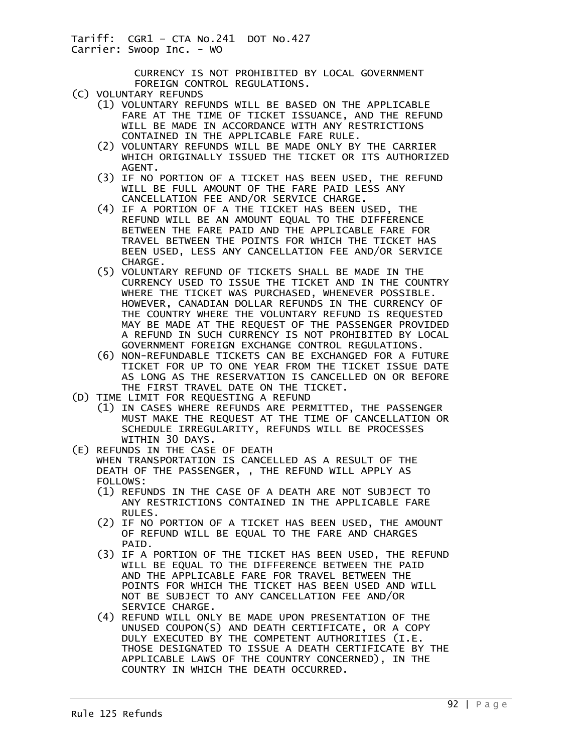> CURRENCY IS NOT PROHIBITED BY LOCAL GOVERNMENT FOREIGN CONTROL REGULATIONS.

- (C) VOLUNTARY REFUNDS
	- (1) VOLUNTARY REFUNDS WILL BE BASED ON THE APPLICABLE FARE AT THE TIME OF TICKET ISSUANCE, AND THE REFUND WILL BE MADE IN ACCORDANCE WITH ANY RESTRICTIONS CONTAINED IN THE APPLICABLE FARE RULE.
	- (2) VOLUNTARY REFUNDS WILL BE MADE ONLY BY THE CARRIER WHICH ORIGINALLY ISSUED THE TICKET OR ITS AUTHORIZED AGENT.
	- (3) IF NO PORTION OF A TICKET HAS BEEN USED, THE REFUND WILL BE FULL AMOUNT OF THE FARE PAID LESS ANY CANCELLATION FEE AND/OR SERVICE CHARGE.
	- (4) IF A PORTION OF A THE TICKET HAS BEEN USED, THE REFUND WILL BE AN AMOUNT EQUAL TO THE DIFFERENCE BETWEEN THE FARE PAID AND THE APPLICABLE FARE FOR TRAVEL BETWEEN THE POINTS FOR WHICH THE TICKET HAS BEEN USED, LESS ANY CANCELLATION FEE AND/OR SERVICE CHARGE.
	- (5) VOLUNTARY REFUND OF TICKETS SHALL BE MADE IN THE CURRENCY USED TO ISSUE THE TICKET AND IN THE COUNTRY WHERE THE TICKET WAS PURCHASED, WHENEVER POSSIBLE. HOWEVER, CANADIAN DOLLAR REFUNDS IN THE CURRENCY OF THE COUNTRY WHERE THE VOLUNTARY REFUND IS REQUESTED MAY BE MADE AT THE REQUEST OF THE PASSENGER PROVIDED A REFUND IN SUCH CURRENCY IS NOT PROHIBITED BY LOCAL GOVERNMENT FOREIGN EXCHANGE CONTROL REGULATIONS.
	- (6) NON-REFUNDABLE TICKETS CAN BE EXCHANGED FOR A FUTURE TICKET FOR UP TO ONE YEAR FROM THE TICKET ISSUE DATE AS LONG AS THE RESERVATION IS CANCELLED ON OR BEFORE THE FIRST TRAVEL DATE ON THE TICKET.
- (D) TIME LIMIT FOR REQUESTING A REFUND
	- (1) IN CASES WHERE REFUNDS ARE PERMITTED, THE PASSENGER MUST MAKE THE REQUEST AT THE TIME OF CANCELLATION OR SCHEDULE IRREGULARITY, REFUNDS WILL BE PROCESSES WITHIN 30 DAYS.
- (E) REFUNDS IN THE CASE OF DEATH WHEN TRANSPORTATION IS CANCELLED AS A RESULT OF THE DEATH OF THE PASSENGER, , THE REFUND WILL APPLY AS FOLLOWS:
	- (1) REFUNDS IN THE CASE OF A DEATH ARE NOT SUBJECT TO ANY RESTRICTIONS CONTAINED IN THE APPLICABLE FARE RULES.
	- (2) IF NO PORTION OF A TICKET HAS BEEN USED, THE AMOUNT OF REFUND WILL BE EQUAL TO THE FARE AND CHARGES PAID.
	- (3) IF A PORTION OF THE TICKET HAS BEEN USED, THE REFUND WILL BE EQUAL TO THE DIFFERENCE BETWEEN THE PAID AND THE APPLICABLE FARE FOR TRAVEL BETWEEN THE POINTS FOR WHICH THE TICKET HAS BEEN USED AND WILL NOT BE SUBJECT TO ANY CANCELLATION FEE AND/OR SERVICE CHARGE.
	- (4) REFUND WILL ONLY BE MADE UPON PRESENTATION OF THE UNUSED COUPON(S) AND DEATH CERTIFICATE, OR A COPY DULY EXECUTED BY THE COMPETENT AUTHORITIES (I.E. THOSE DESIGNATED TO ISSUE A DEATH CERTIFICATE BY THE APPLICABLE LAWS OF THE COUNTRY CONCERNED), IN THE COUNTRY IN WHICH THE DEATH OCCURRED.